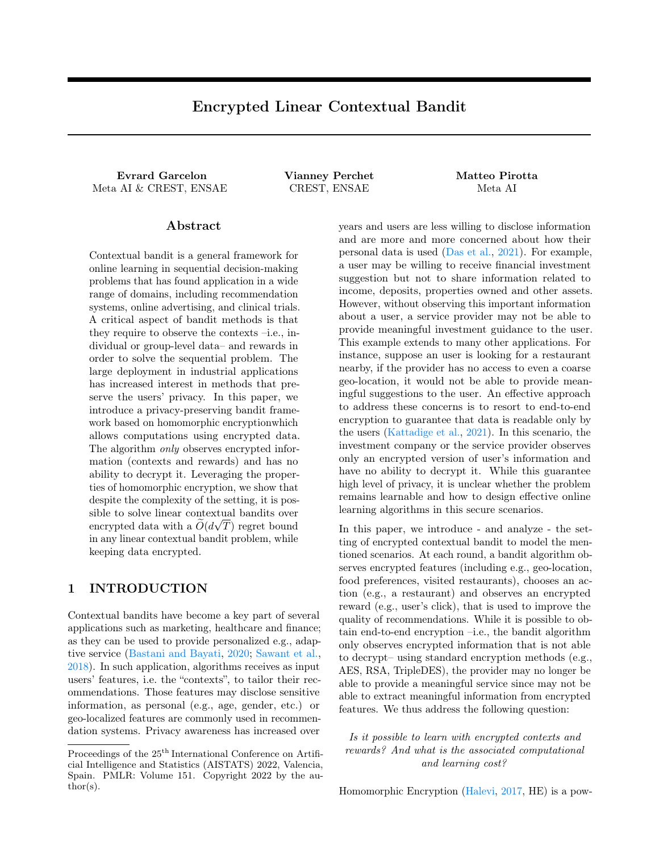# Encrypted Linear Contextual Bandit

Evrard Garcelon Vianney Perchet Matteo Pirotta Meta AI & CREST, ENSAE CREST, ENSAE Meta AI

## Abstract

Contextual bandit is a general framework for online learning in sequential decision-making problems that has found application in a wide range of domains, including recommendation systems, online advertising, and clinical trials. A critical aspect of bandit methods is that they require to observe the contexts –i.e., individual or group-level data– and rewards in order to solve the sequential problem. The large deployment in industrial applications has increased interest in methods that preserve the users' privacy. In this paper, we introduce a privacy-preserving bandit framework based on homomorphic encryptionwhich allows computations using encrypted data. The algorithm *only* observes encrypted information (contexts and rewards) and has no ability to decrypt it. Leveraging the properties of homomorphic encryption, we show that despite the complexity of the setting, it is possible to solve linear contextual bandits over encrypted data with a  $O(d\sqrt{T})$  regret bound in any linear contextual bandit problem, while keeping data encrypted.

# 1 INTRODUCTION

Contextual bandits have become a key part of several applications such as marketing, healthcare and finance; as they can be used to provide personalized e.g., adaptive service [\(Bastani and Bayati,](#page-8-0) [2020;](#page-8-0) [Sawant et al.,](#page-9-0) [2018\)](#page-9-0). In such application, algorithms receives as input users' features, i.e. the "contexts", to tailor their recommendations. Those features may disclose sensitive information, as personal (e.g., age, gender, etc.) or geo-localized features are commonly used in recommendation systems. Privacy awareness has increased over years and users are less willing to disclose information and are more and more concerned about how their personal data is used [\(Das et al.,](#page-9-1) [2021\)](#page-9-1). For example, a user may be willing to receive financial investment suggestion but not to share information related to income, deposits, properties owned and other assets. However, without observing this important information about a user, a service provider may not be able to provide meaningful investment guidance to the user. This example extends to many other applications. For instance, suppose an user is looking for a restaurant nearby, if the provider has no access to even a coarse geo-location, it would not be able to provide meaningful suggestions to the user. An effective approach to address these concerns is to resort to end-to-end encryption to guarantee that data is readable only by the users [\(Kattadige et al.,](#page-9-2) [2021\)](#page-9-2). In this scenario, the investment company or the service provider observes only an encrypted version of user's information and have no ability to decrypt it. While this guarantee high level of privacy, it is unclear whether the problem remains learnable and how to design effective online learning algorithms in this secure scenarios.

In this paper, we introduce - and analyze - the setting of encrypted contextual bandit to model the mentioned scenarios. At each round, a bandit algorithm observes encrypted features (including e.g., geo-location, food preferences, visited restaurants), chooses an action (e.g., a restaurant) and observes an encrypted reward (e.g., user's click), that is used to improve the quality of recommendations. While it is possible to obtain end-to-end encryption –i.e., the bandit algorithm only observes encrypted information that is not able to decrypt– using standard encryption methods (e.g., AES, RSA, TripleDES), the provider may no longer be able to provide a meaningful service since may not be able to extract meaningful information from encrypted features. We thus address the following question:

Is it possible to learn with encrypted contexts and rewards? And what is the associated computational and learning cost?

Homomorphic Encryption [\(Halevi,](#page-9-3) [2017,](#page-9-3) HE) is a pow-

Proceedings of the  $25<sup>th</sup>$  International Conference on Artificial Intelligence and Statistics (AISTATS) 2022, Valencia, Spain. PMLR: Volume 151. Copyright 2022 by the au- $\text{thor}(s)$ .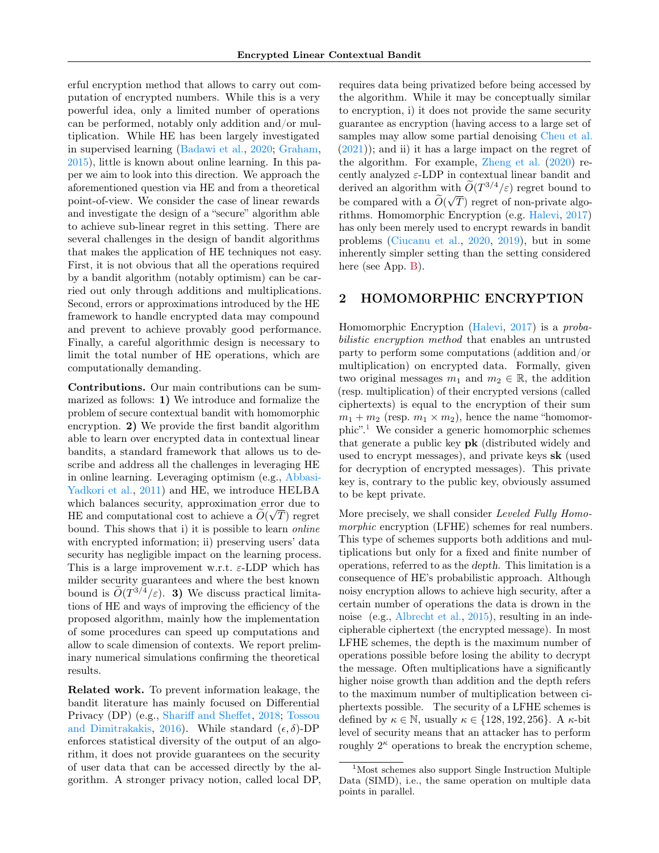erful encryption method that allows to carry out computation of encrypted numbers. While this is a very powerful idea, only a limited number of operations can be performed, notably only addition and/or multiplication. While HE has been largely investigated in supervised learning [\(Badawi et al.,](#page-8-1) [2020;](#page-8-1) [Graham,](#page-9-4) [2015\)](#page-9-4), little is known about online learning. In this paper we aim to look into this direction. We approach the aforementioned question via HE and from a theoretical point-of-view. We consider the case of linear rewards and investigate the design of a "secure" algorithm able to achieve sub-linear regret in this setting. There are several challenges in the design of bandit algorithms that makes the application of HE techniques not easy. First, it is not obvious that all the operations required by a bandit algorithm (notably optimism) can be carried out only through additions and multiplications. Second, errors or approximations introduced by the HE framework to handle encrypted data may compound and prevent to achieve provably good performance. Finally, a careful algorithmic design is necessary to limit the total number of HE operations, which are computationally demanding.

Contributions. Our main contributions can be summarized as follows: 1) We introduce and formalize the problem of secure contextual bandit with homomorphic encryption. 2) We provide the first bandit algorithm able to learn over encrypted data in contextual linear bandits, a standard framework that allows us to describe and address all the challenges in leveraging HE in online learning. Leveraging optimism (e.g., [Abbasi-](#page-8-2)[Yadkori et al.,](#page-8-2) [2011\)](#page-8-2) and HE, we introduce HELBA which balances security, approximation error due to HE and computational cost to achieve a  $O(\sqrt{T})$  regret bound. This shows that i) it is possible to learn online with encrypted information; ii) preserving users' data security has negligible impact on the learning process. This is a large improvement w.r.t.  $\varepsilon$ -LDP which has milder security guarantees and where the best known bound is  $O(T^{3/4}/\varepsilon)$ . 3) We discuss practical limitations of HE and ways of improving the efficiency of the proposed algorithm, mainly how the implementation of some procedures can speed up computations and allow to scale dimension of contexts. We report preliminary numerical simulations confirming the theoretical results.

Related work. To prevent information leakage, the bandit literature has mainly focused on Differential Privacy (DP) (e.g., [Shariff and Sheffet,](#page-10-0) [2018;](#page-10-0) [Tossou](#page-10-1) [and Dimitrakakis,](#page-10-1) [2016\)](#page-10-1). While standard  $(\epsilon, \delta)$ -DP enforces statistical diversity of the output of an algorithm, it does not provide guarantees on the security of user data that can be accessed directly by the algorithm. A stronger privacy notion, called local DP, requires data being privatized before being accessed by the algorithm. While it may be conceptually similar to encryption, i) it does not provide the same security guarantee as encryption (having access to a large set of samples may allow some partial denoising [Cheu et al.](#page-8-3)  $(2021)$ ; and ii) it has a large impact on the regret of the algorithm. For example, [Zheng et al.](#page-10-2) [\(2020\)](#page-10-2) recently analyzed  $\varepsilon$ -LDP in contextual linear bandit and derived an algorithm with  $\widetilde{O}(T^{3/4}/\varepsilon)$  regret bound to be compared with a  $O(\sqrt{T})$  regret of non-private algorithms. Homomorphic Encryption (e.g. [Halevi,](#page-9-3) [2017\)](#page-9-3) has only been merely used to encrypt rewards in bandit problems [\(Ciucanu et al.,](#page-8-4) [2020,](#page-8-4) [2019\)](#page-8-5), but in some inherently simpler setting than the setting considered here (see App. [B\)](#page-11-0).

# 2 HOMOMORPHIC ENCRYPTION

Homomorphic Encryption [\(Halevi,](#page-9-3) [2017\)](#page-9-3) is a probabilistic encryption method that enables an untrusted party to perform some computations (addition and/or multiplication) on encrypted data. Formally, given two original messages  $m_1$  and  $m_2 \in \mathbb{R}$ , the addition (resp. multiplication) of their encrypted versions (called ciphertexts) is equal to the encryption of their sum  $m_1 + m_2$  (resp.  $m_1 \times m_2$ ), hence the name "homomorphic".[1](#page-1-0) We consider a generic homomorphic schemes that generate a public key pk (distributed widely and used to encrypt messages), and private keys sk (used for decryption of encrypted messages). This private key is, contrary to the public key, obviously assumed to be kept private.

More precisely, we shall consider Leveled Fully Homomorphic encryption (LFHE) schemes for real numbers. This type of schemes supports both additions and multiplications but only for a fixed and finite number of operations, referred to as the depth. This limitation is a consequence of HE's probabilistic approach. Although noisy encryption allows to achieve high security, after a certain number of operations the data is drown in the noise (e.g., [Albrecht et al.,](#page-8-6) [2015\)](#page-8-6), resulting in an indecipherable ciphertext (the encrypted message). In most LFHE schemes, the depth is the maximum number of operations possible before losing the ability to decrypt the message. Often multiplications have a significantly higher noise growth than addition and the depth refers to the maximum number of multiplication between ciphertexts possible. The security of a LFHE schemes is defined by  $\kappa \in \mathbb{N}$ , usually  $\kappa \in \{128, 192, 256\}$ . A  $\kappa$ -bit level of security means that an attacker has to perform roughly  $2^{\kappa}$  operations to break the encryption scheme,

<span id="page-1-0"></span><sup>1</sup>Most schemes also support Single Instruction Multiple Data (SIMD), i.e., the same operation on multiple data points in parallel.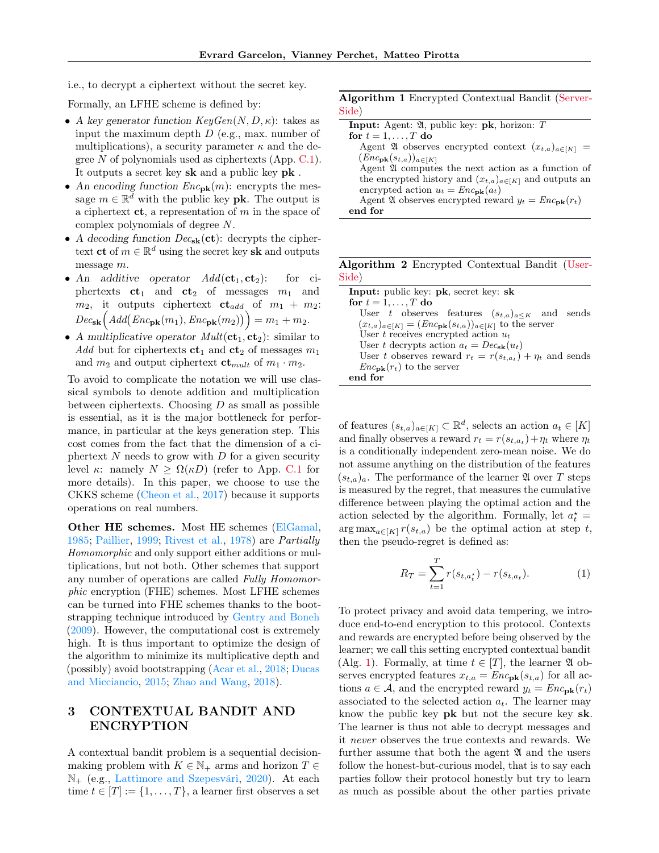i.e., to decrypt a ciphertext without the secret key.

Formally, an LFHE scheme is defined by:

- A key generator function  $KeyGen(N, D, \kappa)$ : takes as input the maximum depth  $D$  (e.g., max. number of multiplications), a security parameter  $\kappa$  and the degree N of polynomials used as ciphertexts (App. [C.1\)](#page-12-0). It outputs a secret key sk and a public key pk .
- An encoding function  $Enc_{\textbf{pk}}(m)$ : encrypts the message  $m \in \mathbb{R}^{\bar{d}}$  with the public key **pk**. The output is a ciphertext  $ct$ , a representation of m in the space of complex polynomials of degree N.
- A decoding function  $Dec_{sk}(\mathbf{ct})$ : decrypts the ciphertext ct of  $m \in \mathbb{R}^d$  using the secret key sk and outputs message m.
- An additive operator  $Add(\mathbf{ct}_1, \mathbf{ct}_2)$ : for ciphertexts  $ct_1$  and  $ct_2$  of messages  $m_1$  and  $m_2$ , it outputs ciphertext  $ct_{add}$  of  $m_1 + m_2$ :  $Dec_{\textbf{sk}}\Big( Add(Enc_{\textbf{pk}}(m_1), Enc_{\textbf{pk}}(m_2)) \Big) = m_1 + m_2.$
- A multiplicative operator  $Mult(\mathbf{ct}_1, \mathbf{ct}_2)$ : similar to Add but for ciphertexts  $ct_1$  and  $ct_2$  of messages  $m_1$ and  $m_2$  and output ciphertext  $\mathbf{ct}_{mult}$  of  $m_1 \cdot m_2$ .

To avoid to complicate the notation we will use classical symbols to denote addition and multiplication between ciphertexts. Choosing  $D$  as small as possible is essential, as it is the major bottleneck for performance, in particular at the keys generation step. This cost comes from the fact that the dimension of a ciphertext  $N$  needs to grow with  $D$  for a given security level κ: namely  $N > Ω(κD)$  (refer to App. [C.1](#page-12-0) for more details). In this paper, we choose to use the CKKS scheme [\(Cheon et al.,](#page-8-7) [2017\)](#page-8-7) because it supports operations on real numbers.

Other HE schemes. Most HE schemes [\(ElGamal,](#page-9-5) [1985;](#page-9-5) [Paillier,](#page-9-6) [1999;](#page-9-6) [Rivest et al.,](#page-9-7) [1978\)](#page-9-7) are Partially Homomorphic and only support either additions or multiplications, but not both. Other schemes that support any number of operations are called Fully Homomorphic encryption (FHE) schemes. Most LFHE schemes can be turned into FHE schemes thanks to the bootstrapping technique introduced by [Gentry and Boneh](#page-9-8) [\(2009\)](#page-9-8). However, the computational cost is extremely high. It is thus important to optimize the design of the algorithm to minimize its multiplicative depth and (possibly) avoid bootstrapping [\(Acar et al.,](#page-8-8) [2018;](#page-8-8) [Ducas](#page-9-9) [and Micciancio,](#page-9-9) [2015;](#page-9-9) [Zhao and Wang,](#page-10-3) [2018\)](#page-10-3).

# 3 CONTEXTUAL BANDIT AND ENCRYPTION

A contextual bandit problem is a sequential decisionmaking problem with  $K \in \mathbb{N}_+$  arms and horizon  $T \in$ N<sup>+</sup> (e.g., [Lattimore and Szepesvári,](#page-9-10) [2020\)](#page-9-10). At each time  $t \in [T] := \{1, \ldots, T\}$ , a learner first observes a set

## Algorithm 1 Encrypted Contextual Bandit (Server-Side)

<span id="page-2-0"></span>

| <b>Input:</b> Agent: $\mathfrak{A}$ , public key: <b>pk</b> , horizon: T |
|--------------------------------------------------------------------------|
| for $t = 1, \ldots, T$ do                                                |
| Agent 24 observes encrypted context $(x_{t,a})_{a\in[K]}$ =              |
| $(Encpk(st,a))_{a\in[K]}$                                                |
| Agent 24 computes the next action as a function of                       |
| the encrypted history and $(x_{t,a})_{a\in[K]}$ and outputs an           |
| encrypted action $u_t = Enc_{\textbf{pk}}(a_t)$                          |
| Agent 24 observes encrypted reward $y_t = Enc_{\textbf{pk}}(r_t)$        |
| end for                                                                  |

Algorithm 2 Encrypted Contextual Bandit (User-Side)

<span id="page-2-1"></span>

| Input: public key: pk, secret key: sk                                        |
|------------------------------------------------------------------------------|
| for $t = 1, \ldots, T$ do                                                    |
| User t observes features $(s_{t,a})_{a\leq K}$ and sends                     |
| $(x_{t,a})_{a\in[K]} = (Enc_{\mathbf{pk}}(s_{t,a}))_{a\in[K]}$ to the server |
| User $t$ receives encrypted action $u_t$                                     |
| User t decrypts action $a_t = Dec_{\mathbf{sk}}(u_t)$                        |
| User t observes reward $r_t = r(s_{t,a_t}) + \eta_t$ and sends               |
| $Enc_{\mathbf{pk}}(r_t)$ to the server                                       |
| end for                                                                      |

of features  $(s_{t,a})_{a \in [K]} \subset \mathbb{R}^d$ , selects an action  $a_t \in [K]$ and finally observes a reward  $r_t = r(s_{t,a_t}) + \eta_t$  where  $\eta_t$ is a conditionally independent zero-mean noise. We do not assume anything on the distribution of the features  $(s_{t,a})_a$ . The performance of the learner  $\mathfrak A$  over T steps is measured by the regret, that measures the cumulative difference between playing the optimal action and the action selected by the algorithm. Formally, let  $a_t^* =$  $\arg \max_{a \in [K]} r(s_{t,a})$  be the optimal action at step t, then the pseudo-regret is defined as:

$$
R_T = \sum_{t=1}^T r(s_{t,a_t}) - r(s_{t,a_t}).
$$
\n(1)

To protect privacy and avoid data tempering, we introduce end-to-end encryption to this protocol. Contexts and rewards are encrypted before being observed by the learner; we call this setting encrypted contextual bandit (Alg. [1\)](#page-2-0). Formally, at time  $t \in [T]$ , the learner  $\mathfrak A$  observes encrypted features  $x_{t,a} = Enc_{\textbf{pk}}(s_{t,a})$  for all actions  $a \in \mathcal{A}$ , and the encrypted reward  $y_t = Enc_{\textbf{pk}}(r_t)$ associated to the selected action  $a_t$ . The learner may know the public key pk but not the secure key sk. The learner is thus not able to decrypt messages and it never observes the true contexts and rewards. We further assume that both the agent  $\mathfrak A$  and the users follow the honest-but-curious model, that is to say each parties follow their protocol honestly but try to learn as much as possible about the other parties private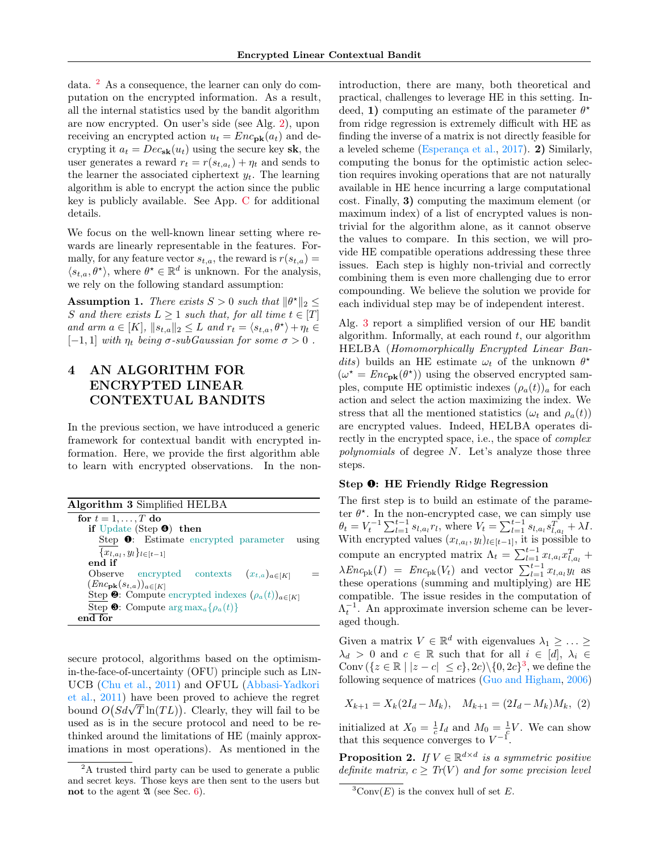data. [2](#page-3-0) As a consequence, the learner can only do computation on the encrypted information. As a result, all the internal statistics used by the bandit algorithm are now encrypted. On user's side (see Alg. [2\)](#page-2-1), upon receiving an encrypted action  $u_t = Enc_{\textbf{pk}}(a_t)$  and decrypting it  $a_t = Dec_{s\mathbf{k}}(u_t)$  using the secure key sk, the user generates a reward  $r_t = r(s_{t,a_t}) + \eta_t$  and sends to the learner the associated ciphertext  $y_t$ . The learning algorithm is able to encrypt the action since the public key is publicly available. See App. [C](#page-12-1) for additional details.

We focus on the well-known linear setting where rewards are linearly representable in the features. Formally, for any feature vector  $s_{t,a}$ , the reward is  $r(s_{t,a}) =$  $\langle s_{t,a}, \theta^* \rangle$ , where  $\theta^* \in \mathbb{R}^d$  is unknown. For the analysis, we rely on the following standard assumption:

<span id="page-3-5"></span>**Assumption 1.** There exists  $S > 0$  such that  $\|\theta^*\|_2 \leq$ S and there exists  $L \geq 1$  such that, for all time  $t \in [T]$ and arm  $a \in [K]$ ,  $||s_{t,a}||_2 \leq L$  and  $r_t = \langle s_{t,a}, \theta^{\star} \rangle + \eta_t \in$  $[-1, 1]$  with  $\eta_t$  being  $\sigma$ -subGaussian for some  $\sigma > 0$ .

# <span id="page-3-6"></span>4 AN ALGORITHM FOR ENCRYPTED LINEAR CONTEXTUAL BANDITS

In the previous section, we have introduced a generic framework for contextual bandit with encrypted information. Here, we provide the first algorithm able to learn with encrypted observations. In the non-

<span id="page-3-1"></span>

| Algorithm 3 Simplified HELBA                                         |       |
|----------------------------------------------------------------------|-------|
| for $t = 1, \ldots, T$ do                                            |       |
| if Update (Step $\Theta$ ) then                                      |       |
| Step $\bullet$ : Estimate encrypted parameter                        | using |
| ${x_{l,a_l}, y_l}_{l \in [t-1]}$                                     |       |
| end if                                                               |       |
| Observe encrypted contexts $(x_{t,a})_{a \in [K]}$                   |       |
| $(Encpk(st,a))a\in[K]$                                               |       |
| Step $\bullet$ : Compute encrypted indexes $(\rho_a(t))_{a \in [K]}$ |       |
| Step $\mathbf{\Theta}$ : Compute $\arg \max_a \{\rho_a(t)\}\$        |       |
| $end$ for                                                            |       |

secure protocol, algorithms based on the optimismin-the-face-of-uncertainty (OFU) principle such as Lin-UCB [\(Chu et al.,](#page-8-9) [2011\)](#page-8-9) and OFUL [\(Abbasi-Yadkori](#page-8-2) [et al.,](#page-8-2) [2011\)](#page-8-2) have been proved to achieve the regret et al., 2011) have been proved to achieve the regret<br>bound  $O(Sd\sqrt{T}\ln(TL))$ . Clearly, they will fail to be used as is in the secure protocol and need to be rethinked around the limitations of HE (mainly approximations in most operations). As mentioned in the introduction, there are many, both theoretical and practical, challenges to leverage HE in this setting. Indeed, 1) computing an estimate of the parameter  $\theta^*$ from ridge regression is extremely difficult with HE as finding the inverse of a matrix is not directly feasible for a leveled scheme [\(Esperança et al.,](#page-9-11) [2017\)](#page-9-11). 2) Similarly, computing the bonus for the optimistic action selection requires invoking operations that are not naturally available in HE hence incurring a large computational cost. Finally, 3) computing the maximum element (or maximum index) of a list of encrypted values is nontrivial for the algorithm alone, as it cannot observe the values to compare. In this section, we will provide HE compatible operations addressing these three issues. Each step is highly non-trivial and correctly combining them is even more challenging due to error compounding. We believe the solution we provide for each individual step may be of independent interest.

Alg. [3](#page-3-1) report a simplified version of our HE bandit algorithm. Informally, at each round  $t$ , our algorithm HELBA (Homomorphically Encrypted Linear Bandits) builds an HE estimate  $\omega_t$  of the unknown  $\theta^*$  $(\omega^* = Enc_{\text{pk}}(\theta^*))$  using the observed encrypted samples, compute HE optimistic indexes  $(\rho_a(t))_a$  for each action and select the action maximizing the index. We stress that all the mentioned statistics ( $\omega_t$  and  $\rho_a(t)$ ) are encrypted values. Indeed, HELBA operates directly in the encrypted space, i.e., the space of complex polynomials of degree N. Let's analyze those three steps.

## Step ❶: HE Friendly Ridge Regression

The first step is to build an estimate of the parameter  $\theta^*$ . In the non-encrypted case, we can simply use  $\theta_t = V_t^{-1} \sum_{l=1}^{t-1} s_{l,a_l} r_l$ , where  $V_t = \sum_{l=1}^{t-1} s_{l,a_l} s_{l,a_l}^T + \lambda I$ . With encrypted values  $(x_{l,a_l}, y_l)_{l \in [t-1]}$ , it is possible to compute an encrypted matrix  $\Lambda_t = \sum_{l=1}^{t-1} x_{l,a_l} x_{l,a_l}^T +$  $\lambda Enc_{\text{pk}}(I) = Enc_{\text{pk}}(V_t)$  and vector  $\sum_{l=1}^{t-1} x_{l,a_l} y_l$  as these operations (summing and multiplying) are HE compatible. The issue resides in the computation of  $\Lambda_t^{-1}$ . An approximate inversion scheme can be leveraged though.

Given a matrix  $V \in \mathbb{R}^d$  with eigenvalues  $\lambda_1 \geq \ldots \geq$  $\lambda_d > 0$  and  $c \in \mathbb{R}$  such that for all  $i \in [d], \lambda_i \in$ Conv  $({z \in \mathbb{R} \mid |z-c| \leq c}, 2c) \setminus {0, 2c}^3$  $({z \in \mathbb{R} \mid |z-c| \leq c}, 2c) \setminus {0, 2c}^3$ , we define the following sequence of matrices [\(Guo and Higham,](#page-9-12) [2006\)](#page-9-12)

<span id="page-3-3"></span>
$$
X_{k+1} = X_k(2I_d - M_k), \quad M_{k+1} = (2I_d - M_k)M_k, \tag{2}
$$

initialized at  $X_0 = \frac{1}{c} I_d$  and  $M_0 = \frac{1}{c} V$ . We can show that this sequence converges to  $V^{-1}$ .

<span id="page-3-4"></span>**Proposition 2.** If  $V \in \mathbb{R}^{d \times d}$  is a symmetric positive definite matrix,  $c \geq Tr(V)$  and for some precision level

<span id="page-3-0"></span><sup>2</sup>A trusted third party can be used to generate a public and secret keys. Those keys are then sent to the users but not to the agent  $\mathfrak A$  (see Sec. [6\)](#page-6-0).

<span id="page-3-2"></span> ${}^{3}$ Conv $(E)$  is the convex hull of set E.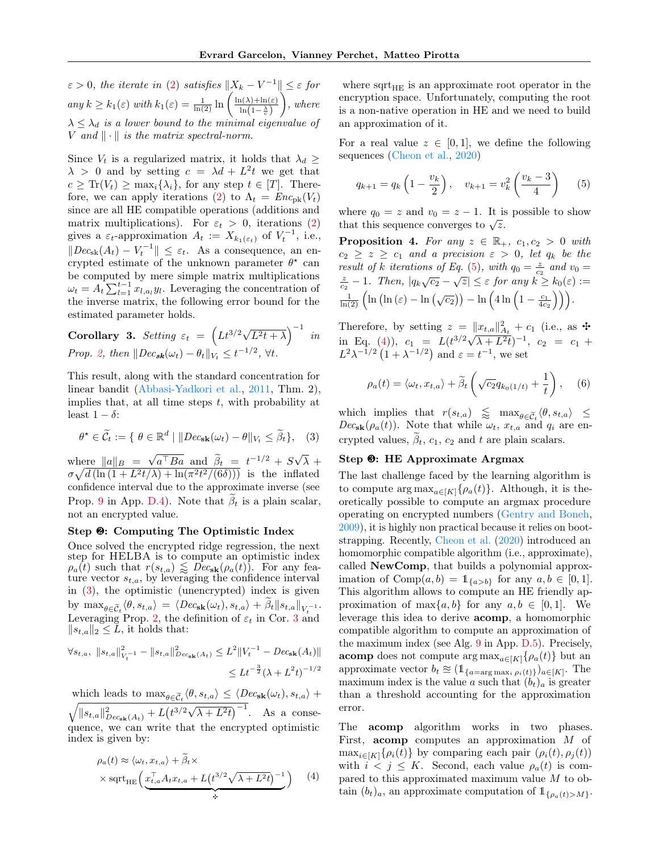$\varepsilon > 0$ , the iterate in [\(2\)](#page-3-3) satisfies  $||X_k - V^{-1}|| \leq \varepsilon$  for any  $k \geq k_1(\varepsilon)$  with  $k_1(\varepsilon) = \frac{1}{\ln(2)} \ln \left( \frac{\ln(\lambda) + \ln(\varepsilon)}{\ln(1 - \lambda)} \right)$  $\ln\left(1-\frac{\lambda}{c}\right)$  $\Big)$ , where  $\lambda \leq \lambda_d$  is a lower bound to the minimal eigenvalue of V and  $\|\cdot\|$  is the matrix spectral-norm.

Since  $V_t$  is a regularized matrix, it holds that  $\lambda_d \geq$  $\lambda > 0$  and by setting  $c = \lambda d + L^2 t$  we get that  $c \geq \text{Tr}(V_t) \geq \max_i {\lambda_i}$ , for any step  $t \in [T]$ . There-fore, we can apply iterations [\(2\)](#page-3-3) to  $\Lambda_t = Enc_{\text{pk}}(V_t)$ since are all HE compatible operations (additions and matrix multiplications). For  $\varepsilon_t > 0$ , iterations [\(2\)](#page-3-3) gives a  $\varepsilon_t$ -approximation  $A_t := X_{k_1(\varepsilon_t)}$  of  $V_t^{-1}$ , i.e.,  $||Dec_{sk}(A_t) - V_t^{-1}||$  ≤  $\varepsilon_t$ . As a consequence, an encrypted estimate of the unknown parameter  $\theta^*$  can be computed by mere simple matrix multiplications  $\omega_t = A_t \sum_{l=1}^{t-1} x_{l,a_l} y_l$ . Leveraging the concentration of the inverse matrix, the following error bound for the estimated parameter holds.

<span id="page-4-1"></span>**Corollary 3.** Setting 
$$
\varepsilon_t = \left( Lt^{3/2} \sqrt{L^2t + \lambda} \right)^{-1}
$$
 in  
Prop. 2, then  $||Dec_{sk}(\omega_t) - \theta_t||_{V_t} \le t^{-1/2}$ ,  $\forall t$ .

This result, along with the standard concentration for linear bandit [\(Abbasi-Yadkori et al.,](#page-8-2) [2011,](#page-8-2) Thm. 2), implies that, at all time steps  $t$ , with probability at least  $1 - \delta$ :

$$
\theta^* \in \widetilde{\mathcal{C}}_t := \{ \ \theta \in \mathbb{R}^d \ | \ \Vert Dec_{\mathbf{sk}}(\omega_t) - \theta \Vert_{V_t} \leq \widetilde{\beta}_t \}, \quad (3)
$$

where  $||a||_B =$ √  $a^{\top}Ba$  and  $\tilde{\beta}_t = t^{-1/2} + S\sqrt{\frac{1}{2}t^{-1/2}}$  $\lambda +$  $\sigma \sqrt{d \left(\ln\left(1 + L^2 t / \lambda\right) + \ln\left(\pi^2 t^2 / (6\delta)\right)\right)}$  is the inflated confidence interval due to the approximate inverse (see Prop. [9](#page-16-0) in App. [D.4\)](#page-16-1). Note that  $\beta_t$  is a plain scalar, not an encrypted value.

## Step ❷: Computing The Optimistic Index

Once solved the encrypted ridge regression, the next step for HELBA is to compute an optimistic index  $\rho_a(t)$  such that  $r(s_{t,a}) \leqslant Dec_{\mathbf{sk}}(\rho_a(t))$ . For any feature vector  $s_{t,a}$ , by leveraging the confidence interval in [\(3\)](#page-4-0), the optimistic (unencrypted) index is given by  $\max_{\theta \in \widetilde{C}_t} \langle \theta, s_{t,a} \rangle = \langle Dec_{\mathbf{sk}}(\omega_t), s_{t,a} \rangle + \beta_t ||s_{t,a}||_{V_t^{-1}}.$ Leveraging Prop. [2,](#page-3-4) the definition of  $\varepsilon_t$  in Cor. [3](#page-4-1) and  $||s_{t,a}||_2 \leq \tilde{L}$ , it holds that:

$$
\forall s_{t,a}, \; \|s_{t,a}\|_{V_t^{-1}}^2 - \|s_{t,a}\|_{Dec_{\mathbf{sk}}(A_t)}^2 \le L^2 \|V_t^{-1} - Dec_{\mathbf{sk}}(A_t)\|
$$
  

$$
\le Lt^{-\frac{3}{2}}(\lambda + L^2t)^{-1/2}
$$

which leads to  $\max_{\theta \in \widetilde{\mathcal{C}}_t} \langle \theta, s_{t,a} \rangle \leq \langle Dec_{\mathbf{sk}}(\omega_t), s_{t,a} \rangle +$  $\sqrt{\|s_{t,a}\|_{Dec_{sk}(A_t)}^2 + L(t^{3/2}\sqrt{\lambda + L^2t})^{-1}}$ . As a consequence, we can write that the encrypted optimistic index is given by:

<span id="page-4-3"></span>
$$
\rho_a(t) \approx \langle \omega_t, x_{t,a} \rangle + \beta_t \times
$$
  
 
$$
\times \operatorname{sqrt}_{HE} \left( \underbrace{x_{t,a}^\top A_t x_{t,a} + L(t^{3/2} \sqrt{\lambda + L^2 t})^{-1}} \right) \tag{4}
$$

where  $sqrt_{HE}$  is an approximate root operator in the encryption space. Unfortunately, computing the root is a non-native operation in HE and we need to build an approximation of it.

For a real value  $z \in [0,1]$ , we define the following sequences [\(Cheon et al.,](#page-8-10) [2020\)](#page-8-10)

<span id="page-4-2"></span>
$$
q_{k+1} = q_k \left( 1 - \frac{v_k}{2} \right), \quad v_{k+1} = v_k^2 \left( \frac{v_k - 3}{4} \right) \tag{5}
$$

where  $q_0 = z$  and  $v_0 = z - 1$ . It is possible to show where  $q_0 = z$  and  $v_0 = z - 1$ . It is<br>that this sequence converges to  $\sqrt{z}$ .

<span id="page-4-4"></span>**Proposition 4.** For any  $z \in \mathbb{R}_+$ ,  $c_1, c_2 > 0$  with  $c_2 \geq z \geq c_1$  and a precision  $\varepsilon > 0$ , let  $q_k$  be the result of k iterations of Eq. [\(5\)](#page-4-2), with  $q_0 = \frac{z}{c_2}$  and  $v_0 = \frac{z}{c_2} - 1$ . Then,  $|q_k\sqrt{c_2} - \sqrt{z}| \leq \varepsilon$  for any  $k \geq k_0(\varepsilon) :=$  $\frac{1}{\ln(2)}\left(\ln\left(\ln\left(\varepsilon\right)-\ln\left(\sqrt{c_2}\right)\right)-\ln\left(4\ln\left(1-\frac{c_1}{4c_2}\right)\right)\right).$ 

Therefore, by setting  $z = ||x_{t,a}||_{A_t}^2 + c_1$  (i.e., as  $\div$ in Eq. [\(4\)](#page-4-3)),  $c_1 = L(t^{3/2}\sqrt{\lambda + L^2}t)^{-1}$ ,  $c_2 = c_1 +$  $L^2 \lambda^{-1/2} (1 + \lambda^{-1/2})$  and  $\varepsilon = t^{-1}$ , we set

$$
\rho_a(t) = \langle \omega_t, x_{t,a} \rangle + \widetilde{\beta}_t \left( \sqrt{c_2} q_{k_0(1/t)} + \frac{1}{t} \right), \quad (6)
$$

<span id="page-4-0"></span>which implies that  $r(s_{t,a}) \leq \max_{\theta \in \widetilde{C}_t} \langle \theta, s_{t,a} \rangle \leq D_{\mathcal{F}_{t,a}}(s_{t,a})$  $Dec_{\mathbf{sk}}(\rho_a(t))$ . Note that while  $\omega_t$ ,  $x_{t,a}$  and  $q_i$  are encrypted values,  $\tilde{\beta}_t$ ,  $c_1$ ,  $c_2$  and t are plain scalars.

#### Step ❸: HE Approximate Argmax

The last challenge faced by the learning algorithm is to compute  $\arg \max_{a \in [K]} {\rho_a(t)}$ . Although, it is theoretically possible to compute an argmax procedure operating on encrypted numbers [\(Gentry and Boneh,](#page-9-8) [2009\)](#page-9-8), it is highly non practical because it relies on bootstrapping. Recently, [Cheon et al.](#page-8-10) [\(2020\)](#page-8-10) introduced an homomorphic compatible algorithm (i.e., approximate), called NewComp, that builds a polynomial approximation of Comp $(a, b) = 1_{\{a > b\}}$  for any  $a, b \in [0, 1]$ . This algorithm allows to compute an HE friendly approximation of  $\max\{a, b\}$  for any  $a, b \in [0, 1]$ . We leverage this idea to derive acomp, a homomorphic compatible algorithm to compute an approximation of the maximum index (see Alg. [9](#page-18-0) in App. [D.5\)](#page-16-2). Precisely, **acomp** does not compute  $\arg \max_{a \in [K]} {\rho_a(t)}$  but an approximate vector  $b_t \approx (\mathbb{1}_{\{a=\arg\max_i \rho_i(t)\}})_{a\in[K]}$ . The maximum index is the value a such that  $(b_t)_a$  is greater than a threshold accounting for the approximation error.

The acomp algorithm works in two phases. First, acomp computes an approximation M of  $\max_{i\in[K]}\{\rho_i(t)\}\$ by comparing each pair  $(\rho_i(t), \rho_i(t))$ with  $i < j \leq K$ . Second, each value  $\rho_a(t)$  is compared to this approximated maximum value M to obtain  $(b_t)_a$ , an approximate computation of  $\mathbb{1}_{\{\rho_a(t)&>M\}}$ .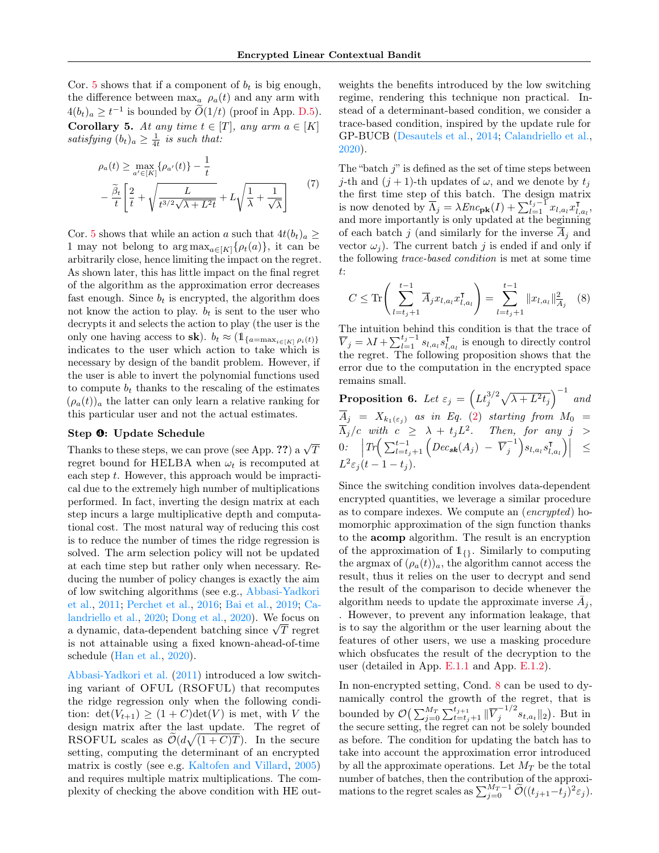<span id="page-5-0"></span>Cor. [5](#page-5-0) shows that if a component of  $b_t$  is big enough, the difference between  $\max_a \rho_a(t)$  and any arm with  $4(b_t)_a \geq t^{-1}$  is bounded by  $\widetilde{O}(1/t)$  (proof in App. [D.5\)](#page-16-2). Corollary 5. At any time  $t \in [T]$ , any arm  $a \in [K]$ satisfying  $(b_t)_a \geq \frac{1}{4t}$  is such that:

$$
\rho_a(t) \ge \max_{a' \in [K]} \{\rho_{a'}(t)\} - \frac{1}{t}
$$

$$
- \frac{\tilde{\beta}_t}{t} \left[ \frac{2}{t} + \sqrt{\frac{L}{t^{3/2}\sqrt{\lambda + L^2}t}} + L\sqrt{\frac{1}{\lambda} + \frac{1}{\sqrt{\lambda}}} \right] \tag{7}
$$

Cor. [5](#page-5-0) shows that while an action a such that  $4t(b_t)_a \geq$ 1 may not belong to  $\arg \max_{a \in [K]} {\{\rho_t(a)\}}$ , it can be arbitrarily close, hence limiting the impact on the regret. As shown later, this has little impact on the final regret of the algorithm as the approximation error decreases fast enough. Since  $b_t$  is encrypted, the algorithm does not know the action to play.  $b_t$  is sent to the user who decrypts it and selects the action to play (the user is the only one having access to sk).  $b_t \approx (\mathbb{1}_{\{a=\max_{i\in[K]} \rho_i(t)\}})$ indicates to the user which action to take which is necessary by design of the bandit problem. However, if the user is able to invert the polynomial functions used to compute  $b_t$  thanks to the rescaling of the estimates  $(\rho_a(t))_a$  the latter can only learn a relative ranking for this particular user and not the actual estimates.

## Step ❹: Update Schedule

Thanks to these steps, we can prove (see App. ??) a  $\sqrt{T}$ regret bound for HELBA when  $\omega_t$  is recomputed at each step  $t$ . However, this approach would be impractical due to the extremely high number of multiplications performed. In fact, inverting the design matrix at each step incurs a large multiplicative depth and computational cost. The most natural way of reducing this cost is to reduce the number of times the ridge regression is solved. The arm selection policy will not be updated at each time step but rather only when necessary. Reducing the number of policy changes is exactly the aim of low switching algorithms (see e.g., [Abbasi-Yadkori](#page-8-2) [et al.,](#page-8-2) [2011;](#page-8-2) [Perchet et al.,](#page-9-13) [2016;](#page-9-13) [Bai et al.,](#page-8-11) [2019;](#page-8-11) [Ca](#page-8-12)[landriello et al.,](#page-8-12) [2020;](#page-8-12) [Dong et al.,](#page-9-14) [2020\)](#page-9-14). We focus on andriello et al., 2020; Dong et al., 2020). We focus on<br>a dynamic, data-dependent batching since  $\sqrt{T}$  regret is not attainable using a fixed known-ahead-of-time schedule [\(Han et al.,](#page-9-15) [2020\)](#page-9-15).

[Abbasi-Yadkori et al.](#page-8-2) [\(2011\)](#page-8-2) introduced a low switching variant of OFUL (RSOFUL) that recomputes the ridge regression only when the following condition:  $\det(V_{t+1}) \geq (1+C)\det(V)$  is met, with V the design matrix after the last update. The regret of RSOFUL scales as  $\widetilde{\mathcal{O}}(d\sqrt{(1+C)T})$ . In the secure setting, computing the determinant of an encrypted matrix is costly (see e.g. [Kaltofen and Villard,](#page-9-16) [2005\)](#page-9-16) and requires multiple matrix multiplications. The complexity of checking the above condition with HE outweights the benefits introduced by the low switching regime, rendering this technique non practical. Instead of a determinant-based condition, we consider a trace-based condition, inspired by the update rule for GP-BUCB [\(Desautels et al.,](#page-9-17) [2014;](#page-9-17) [Calandriello et al.,](#page-8-12) [2020\)](#page-8-12).

The "batch  $j$ " is defined as the set of time steps between *j*-th and  $(j + 1)$ -th updates of  $\omega$ , and we denote by  $t_j$ the first time step of this batch. The design matrix is now denoted by  $\overline{\Lambda}_j = \lambda E n c_{\mathbf{pk}}(I) + \sum_{l=1}^{t_j-1} x_{l,a_l} x_{l,a_l}^{\mathsf{T}}$  $_{l,a_l}^{\intercal},$ and more importantly is only updated at the beginning of each batch j (and similarly for the inverse  $A_i$  and vector  $\omega_i$ ). The current batch j is ended if and only if the following trace-based condition is met at some time t:

<span id="page-5-1"></span>
$$
C \le \text{Tr}\left(\sum_{l=t_j+1}^{t-1} \overline{A}_j x_{l,a_l} x_{l,a_l}^{\mathsf{T}}\right) = \sum_{l=t_j+1}^{t-1} \|x_{l,a_l}\|_{\overline{A}_j}^2 \quad (8)
$$

The intuition behind this condition is that the trace of  $\overline{V}_j = \lambda I + \sum_{l=1}^{t_j-1} s_{l,a_l} s_{l,a_l}^{\intercal}$  $\overline{l}_{l,a_l}$  is enough to directly control the regret. The following proposition shows that the error due to the computation in the encrypted space remains small.

**Proposition 6.** Let  $\varepsilon_j = \left( L t_j^{3/2} \sqrt{\lambda + L^2 t_j} \right)^{-1}$  and  $A_j$  =  $X_{k_1(\varepsilon_j)}$  as in Eq. [\(2\)](#page-3-3) starting from  $M_0$  =  $\overline{\Lambda}_j/c$  with  $c \geq \lambda + t_j L^2$ . Then, for any  $j >$  $0: \quad \Big|Tr\Big( \sum_{l=t_j+1}^{t-1} \Big( Dec_{sk}(A_j) - \overline{V}_j^{-1} \Big) \Big|$  $\binom{-1}{j} s_{l,a_l} s_{l,a_l}^{\intercal}$  $\left|\left.\begin{smallmatrix}\mathtt{I} \ I, a_l\end{smallmatrix}\right)\right| \quad\leq\quad$  $L^2 \varepsilon_j(t-1-t_j).$ 

Since the switching condition involves data-dependent encrypted quantities, we leverage a similar procedure as to compare indexes. We compute an (encrypted) homomorphic approximation of the sign function thanks to the acomp algorithm. The result is an encryption of the approximation of  $1_{\{1\}}$ . Similarly to computing the argmax of  $(\rho_a(t))_a$ , the algorithm cannot access the result, thus it relies on the user to decrypt and send the result of the comparison to decide whenever the algorithm needs to update the approximate inverse  $\bar{A}_j$ , . However, to prevent any information leakage, that is to say the algorithm or the user learning about the features of other users, we use a masking procedure which obsfucates the result of the decryption to the user (detailed in App. [E.1.1](#page-20-0) and App. [E.1.2\)](#page-22-0).

In non-encrypted setting, Cond. [8](#page-5-1) can be used to dynamically control the growth of the regret, that is bounded by  $\mathcal{O}\left(\sum_{j=0}^{M_T}\sum_{t=t_j+1}^{t_{j+1}}\|\overline{V}_j^{-1/2}\right)$  $j^{-1/2} s_{t,a_t} \|_2$ ). But in the secure setting, the regret can not be solely bounded as before. The condition for updating the batch has to take into account the approximation error introduced by all the approximate operations. Let  $M_T$  be the total number of batches, then the contribution of the approximations to the regret scales as  $\sum_{j=0}^{M_T-1} \widetilde{\mathcal{O}}((t_{j+1}-t_j)^2 \varepsilon_j)$ .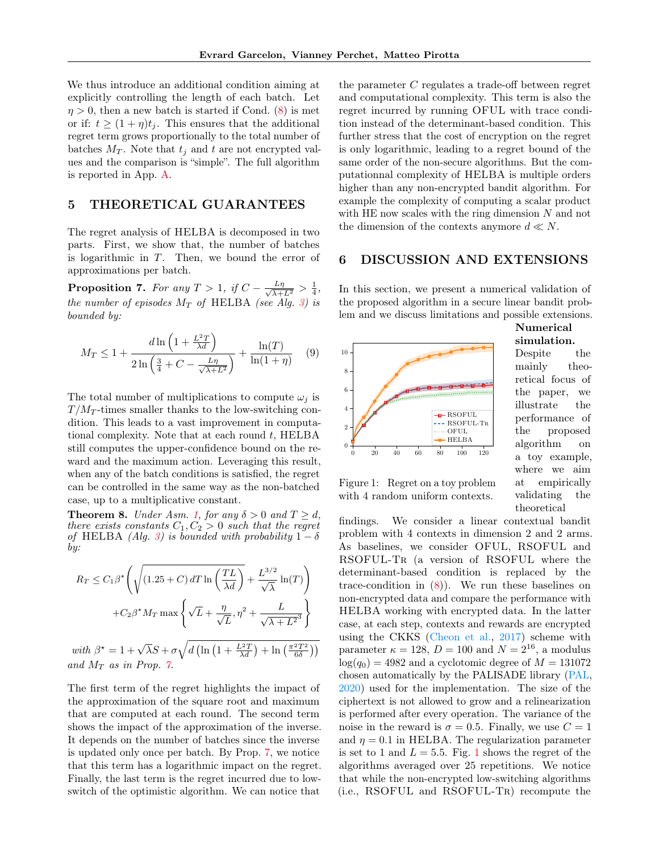We thus introduce an additional condition aiming at explicitly controlling the length of each batch. Let  $\eta > 0$ , then a new batch is started if Cond. [\(8\)](#page-5-1) is met or if:  $t \geq (1 + \eta)t_j$ . This ensures that the additional regret term grows proportionally to the total number of batches  $M_T$ . Note that  $t_i$  and t are not encrypted values and the comparison is "simple". The full algorithm is reported in App. [A.](#page-11-1)

## 5 THEORETICAL GUARANTEES

The regret analysis of HELBA is decomposed in two parts. First, we show that, the number of batches is logarithmic in T. Then, we bound the error of approximations per batch.

<span id="page-6-1"></span>**Proposition 7.** For any  $T > 1$ , if  $C - \frac{L\eta}{\sqrt{\lambda + L^2}} > \frac{1}{4}$ , the number of episodes  $M_T$  of HELBA (see Alg. [3\)](#page-3-1) is bounded by:

$$
M_T \le 1 + \frac{d \ln\left(1 + \frac{L^2 T}{\lambda d}\right)}{2 \ln\left(\frac{3}{4} + C - \frac{L\eta}{\sqrt{\lambda + L^2}}\right)} + \frac{\ln(T)}{\ln(1 + \eta)}
$$
(9)

The total number of multiplications to compute  $\omega_i$  is  $T/M_T$ -times smaller thanks to the low-switching condition. This leads to a vast improvement in computational complexity. Note that at each round  $t$ , HELBA still computes the upper-confidence bound on the reward and the maximum action. Leveraging this result, when any of the batch conditions is satisfied, the regret can be controlled in the same way as the non-batched case, up to a multiplicative constant.

<span id="page-6-3"></span>**Theorem 8.** Under Asm. [1,](#page-3-5) for any  $\delta > 0$  and  $T \ge d$ , there exists constants  $C_1, C_2 > 0$  such that the regret of HELBA (Alg. [3\)](#page-3-1) is bounded with probability  $1 - \delta$ by:

$$
R_T \le C_1 \beta^* \left( \sqrt{(1.25 + C) dT \ln \left( \frac{TL}{\lambda d} \right)} + \frac{L^{3/2}}{\sqrt{\lambda}} \ln(T) \right)
$$

$$
+ C_2 \beta^* M_T \max \left\{ \sqrt{L} + \frac{\eta}{\sqrt{L}}, \eta^2 + \frac{L}{\sqrt{\lambda + L^2}^3} \right\}
$$
with  $\beta^* = 1 + \sqrt{\lambda} S + \sigma \sqrt{d \left( \ln \left( 1 + \frac{L^2 T}{\lambda d} \right) + \ln \left( \frac{\pi^2 T^2}{6 \delta} \right) \right)}$   
and  $M_T$  as in Prop. 7.

The first term of the regret highlights the impact of the approximation of the square root and maximum that are computed at each round. The second term shows the impact of the approximation of the inverse. It depends on the number of batches since the inverse is updated only once per batch. By Prop. [7,](#page-6-1) we notice that this term has a logarithmic impact on the regret. Finally, the last term is the regret incurred due to lowswitch of the optimistic algorithm. We can notice that

the parameter C regulates a trade-off between regret and computational complexity. This term is also the regret incurred by running OFUL with trace condition instead of the determinant-based condition. This further stress that the cost of encryption on the regret is only logarithmic, leading to a regret bound of the same order of the non-secure algorithms. But the computationnal complexity of HELBA is multiple orders higher than any non-encrypted bandit algorithm. For example the complexity of computing a scalar product with HE now scales with the ring dimension  $N$  and not the dimension of the contexts anymore  $d \ll N$ .

## <span id="page-6-0"></span>6 DISCUSSION AND EXTENSIONS

In this section, we present a numerical validation of the proposed algorithm in a secure linear bandit problem and we discuss limitations and possible extensions.



Numerical simulation.

Despite the mainly theoretical focus of the paper, we illustrate the performance of the proposed algorithm on a toy example, where we aim at empirically validating the theoretical

<span id="page-6-2"></span>Figure 1: Regret on a toy problem with 4 random uniform contexts.

findings. We consider a linear contextual bandit problem with 4 contexts in dimension 2 and 2 arms. As baselines, we consider OFUL, RSOFUL and RSOFUL-TR (a version of RSOFUL where the determinant-based condition is replaced by the trace-condition in  $(8)$ ). We run these baselines on non-encrypted data and compare the performance with HELBA working with encrypted data. In the latter case, at each step, contexts and rewards are encrypted using the CKKS [\(Cheon et al.,](#page-8-7) [2017\)](#page-8-7) scheme with parameter  $\kappa = 128$ ,  $D = 100$  and  $N = 2^{16}$ , a modulus  $log(q_0) = 4982$  and a cyclotomic degree of  $M = 131072$ chosen automatically by the PALISADE library [\(PAL,](#page-8-13) [2020\)](#page-8-13) used for the implementation. The size of the ciphertext is not allowed to grow and a relinearization is performed after every operation. The variance of the noise in the reward is  $\sigma = 0.5$ . Finally, we use  $C = 1$ and  $\eta = 0.1$  in HELBA. The regularization parameter is set to [1](#page-6-2) and  $L = 5.5$ . Fig. 1 shows the regret of the algorithms averaged over 25 repetitions. We notice that while the non-encrypted low-switching algorithms (i.e., RSOFUL and RSOFUL-Tr) recompute the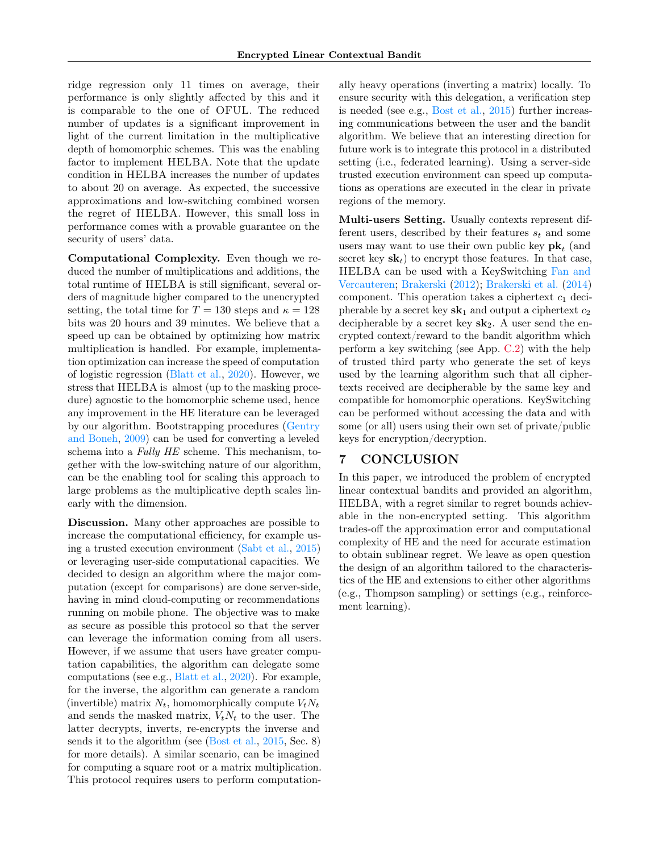ridge regression only 11 times on average, their performance is only slightly affected by this and it is comparable to the one of OFUL. The reduced number of updates is a significant improvement in light of the current limitation in the multiplicative depth of homomorphic schemes. This was the enabling factor to implement HELBA. Note that the update condition in HELBA increases the number of updates to about 20 on average. As expected, the successive approximations and low-switching combined worsen the regret of HELBA. However, this small loss in performance comes with a provable guarantee on the security of users' data.

Computational Complexity. Even though we reduced the number of multiplications and additions, the total runtime of HELBA is still significant, several orders of magnitude higher compared to the unencrypted setting, the total time for  $T = 130$  steps and  $\kappa = 128$ bits was 20 hours and 39 minutes. We believe that a speed up can be obtained by optimizing how matrix multiplication is handled. For example, implementation optimization can increase the speed of computation of logistic regression [\(Blatt et al.,](#page-8-14) [2020\)](#page-8-14). However, we stress that HELBA is almost (up to the masking procedure) agnostic to the homomorphic scheme used, hence any improvement in the HE literature can be leveraged by our algorithm. Bootstrapping procedures [\(Gentry](#page-9-8) [and Boneh,](#page-9-8) [2009\)](#page-9-8) can be used for converting a leveled schema into a Fully HE scheme. This mechanism, together with the low-switching nature of our algorithm, can be the enabling tool for scaling this approach to large problems as the multiplicative depth scales linearly with the dimension.

Discussion. Many other approaches are possible to increase the computational efficiency, for example using a trusted execution environment [\(Sabt et al.,](#page-9-18) [2015\)](#page-9-18) or leveraging user-side computational capacities. We decided to design an algorithm where the major computation (except for comparisons) are done server-side, having in mind cloud-computing or recommendations running on mobile phone. The objective was to make as secure as possible this protocol so that the server can leverage the information coming from all users. However, if we assume that users have greater computation capabilities, the algorithm can delegate some computations (see e.g., [Blatt et al.,](#page-8-14) [2020\)](#page-8-14). For example, for the inverse, the algorithm can generate a random (invertible) matrix  $N_t$ , homomorphically compute  $V_tN_t$ and sends the masked matrix,  $V_tN_t$  to the user. The latter decrypts, inverts, re-encrypts the inverse and sends it to the algorithm (see [\(Bost et al.,](#page-8-15) [2015,](#page-8-15) Sec. 8) for more details). A similar scenario, can be imagined for computing a square root or a matrix multiplication. This protocol requires users to perform computationally heavy operations (inverting a matrix) locally. To ensure security with this delegation, a verification step is needed (see e.g., [Bost et al.,](#page-8-15) [2015\)](#page-8-15) further increasing communications between the user and the bandit algorithm. We believe that an interesting direction for future work is to integrate this protocol in a distributed setting (i.e., federated learning). Using a server-side trusted execution environment can speed up computations as operations are executed in the clear in private regions of the memory.

Multi-users Setting. Usually contexts represent different users, described by their features  $s_t$  and some users may want to use their own public key  $\mathbf{pk}_t$  (and secret key  $s\mathbf{k}_t$  to encrypt those features. In that case, HELBA can be used with a KeySwitching [Fan and](#page-9-19) [Vercauteren;](#page-9-19) [Brakerski](#page-8-16) [\(2012\)](#page-8-16); [Brakerski et al.](#page-8-17) [\(2014\)](#page-8-17) component. This operation takes a ciphertext  $c_1$  decipherable by a secret key  $sk_1$  and output a ciphertext  $c_2$ decipherable by a secret key  $sk_2$ . A user send the encrypted context/reward to the bandit algorithm which perform a key switching (see App. [C.2\)](#page-13-0) with the help of trusted third party who generate the set of keys used by the learning algorithm such that all ciphertexts received are decipherable by the same key and compatible for homomorphic operations. KeySwitching can be performed without accessing the data and with some (or all) users using their own set of private/public keys for encryption/decryption.

# 7 CONCLUSION

In this paper, we introduced the problem of encrypted linear contextual bandits and provided an algorithm, HELBA, with a regret similar to regret bounds achievable in the non-encrypted setting. This algorithm trades-off the approximation error and computational complexity of HE and the need for accurate estimation to obtain sublinear regret. We leave as open question the design of an algorithm tailored to the characteristics of the HE and extensions to either other algorithms (e.g., Thompson sampling) or settings (e.g., reinforcement learning).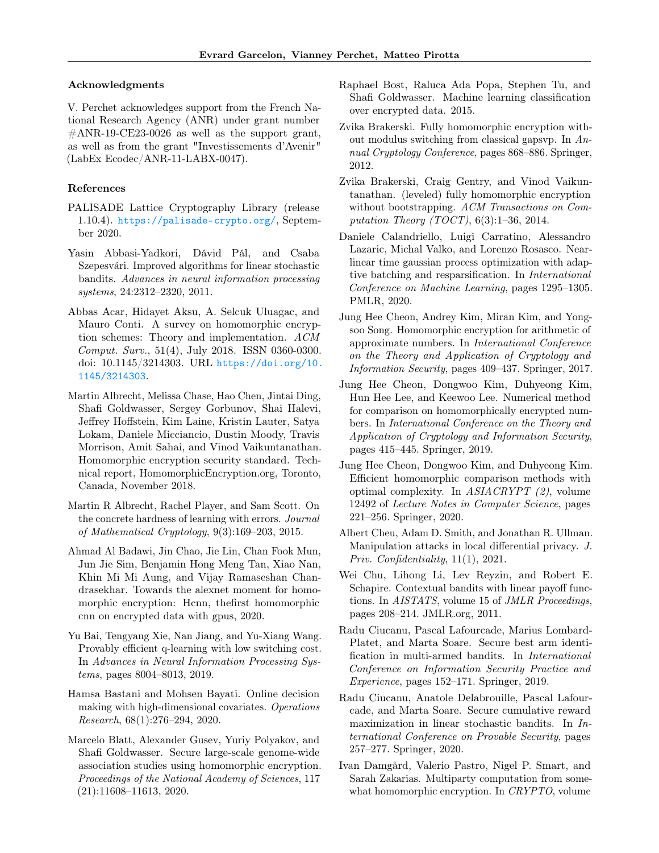#### Acknowledgments

V. Perchet acknowledges support from the French National Research Agency (ANR) under grant number  $\#\text{ANR-19-CE23-0026}$  as well as the support grant, as well as from the grant "Investissements d'Avenir" (LabEx Ecodec/ANR-11-LABX-0047).

## References

- <span id="page-8-13"></span>PALISADE Lattice Cryptography Library (release 1.10.4). <https://palisade-crypto.org/>, September 2020.
- <span id="page-8-2"></span>Yasin Abbasi-Yadkori, Dávid Pál, and Csaba Szepesvári. Improved algorithms for linear stochastic bandits. Advances in neural information processing systems, 24:2312–2320, 2011.
- <span id="page-8-8"></span>Abbas Acar, Hidayet Aksu, A. Selcuk Uluagac, and Mauro Conti. A survey on homomorphic encryption schemes: Theory and implementation. ACM Comput. Surv., 51(4), July 2018. ISSN 0360-0300. doi: 10.1145/3214303. URL [https://doi.org/10.](https://doi.org/10.1145/3214303) [1145/3214303](https://doi.org/10.1145/3214303).
- <span id="page-8-19"></span>Martin Albrecht, Melissa Chase, Hao Chen, Jintai Ding, Shafi Goldwasser, Sergey Gorbunov, Shai Halevi, Jeffrey Hoffstein, Kim Laine, Kristin Lauter, Satya Lokam, Daniele Micciancio, Dustin Moody, Travis Morrison, Amit Sahai, and Vinod Vaikuntanathan. Homomorphic encryption security standard. Technical report, HomomorphicEncryption.org, Toronto, Canada, November 2018.
- <span id="page-8-6"></span>Martin R Albrecht, Rachel Player, and Sam Scott. On the concrete hardness of learning with errors. Journal of Mathematical Cryptology, 9(3):169–203, 2015.
- <span id="page-8-1"></span>Ahmad Al Badawi, Jin Chao, Jie Lin, Chan Fook Mun, Jun Jie Sim, Benjamin Hong Meng Tan, Xiao Nan, Khin Mi Mi Aung, and Vijay Ramaseshan Chandrasekhar. Towards the alexnet moment for homomorphic encryption: Hcnn, thefirst homomorphic cnn on encrypted data with gpus, 2020.
- <span id="page-8-11"></span>Yu Bai, Tengyang Xie, Nan Jiang, and Yu-Xiang Wang. Provably efficient q-learning with low switching cost. In Advances in Neural Information Processing Systems, pages 8004–8013, 2019.
- <span id="page-8-0"></span>Hamsa Bastani and Mohsen Bayati. Online decision making with high-dimensional covariates. Operations Research, 68(1):276–294, 2020.
- <span id="page-8-14"></span>Marcelo Blatt, Alexander Gusev, Yuriy Polyakov, and Shafi Goldwasser. Secure large-scale genome-wide association studies using homomorphic encryption. Proceedings of the National Academy of Sciences, 117 (21):11608–11613, 2020.
- <span id="page-8-15"></span>Raphael Bost, Raluca Ada Popa, Stephen Tu, and Shafi Goldwasser. Machine learning classification over encrypted data. 2015.
- <span id="page-8-16"></span>Zvika Brakerski. Fully homomorphic encryption without modulus switching from classical gapsvp. In Annual Cryptology Conference, pages 868–886. Springer, 2012.
- <span id="page-8-17"></span>Zvika Brakerski, Craig Gentry, and Vinod Vaikuntanathan. (leveled) fully homomorphic encryption without bootstrapping. ACM Transactions on Computation Theory (TOCT),  $6(3):1-36$ , 2014.
- <span id="page-8-12"></span>Daniele Calandriello, Luigi Carratino, Alessandro Lazaric, Michal Valko, and Lorenzo Rosasco. Nearlinear time gaussian process optimization with adaptive batching and resparsification. In International Conference on Machine Learning, pages 1295–1305. PMLR, 2020.
- <span id="page-8-7"></span>Jung Hee Cheon, Andrey Kim, Miran Kim, and Yongsoo Song. Homomorphic encryption for arithmetic of approximate numbers. In International Conference on the Theory and Application of Cryptology and Information Security, pages 409–437. Springer, 2017.
- <span id="page-8-20"></span>Jung Hee Cheon, Dongwoo Kim, Duhyeong Kim, Hun Hee Lee, and Keewoo Lee. Numerical method for comparison on homomorphically encrypted numbers. In International Conference on the Theory and Application of Cryptology and Information Security, pages 415–445. Springer, 2019.
- <span id="page-8-10"></span>Jung Hee Cheon, Dongwoo Kim, and Duhyeong Kim. Efficient homomorphic comparison methods with optimal complexity. In ASIACRYPT (2), volume 12492 of Lecture Notes in Computer Science, pages 221–256. Springer, 2020.
- <span id="page-8-3"></span>Albert Cheu, Adam D. Smith, and Jonathan R. Ullman. Manipulation attacks in local differential privacy. J. Priv. Confidentiality, 11(1), 2021.
- <span id="page-8-9"></span>Wei Chu, Lihong Li, Lev Reyzin, and Robert E. Schapire. Contextual bandits with linear payoff functions. In AISTATS, volume 15 of JMLR Proceedings, pages 208–214. JMLR.org, 2011.
- <span id="page-8-5"></span>Radu Ciucanu, Pascal Lafourcade, Marius Lombard-Platet, and Marta Soare. Secure best arm identification in multi-armed bandits. In International Conference on Information Security Practice and Experience, pages 152–171. Springer, 2019.
- <span id="page-8-4"></span>Radu Ciucanu, Anatole Delabrouille, Pascal Lafourcade, and Marta Soare. Secure cumulative reward maximization in linear stochastic bandits. In International Conference on Provable Security, pages 257–277. Springer, 2020.
- <span id="page-8-18"></span>Ivan Damgård, Valerio Pastro, Nigel P. Smart, and Sarah Zakarias. Multiparty computation from somewhat homomorphic encryption. In CRYPTO, volume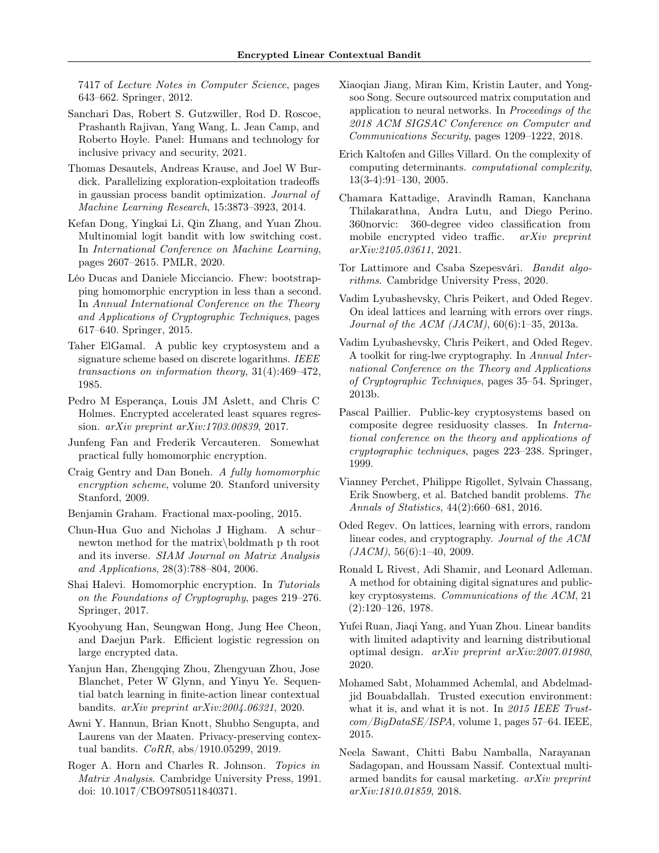7417 of Lecture Notes in Computer Science, pages 643–662. Springer, 2012.

- <span id="page-9-1"></span>Sanchari Das, Robert S. Gutzwiller, Rod D. Roscoe, Prashanth Rajivan, Yang Wang, L. Jean Camp, and Roberto Hoyle. Panel: Humans and technology for inclusive privacy and security, 2021.
- <span id="page-9-17"></span>Thomas Desautels, Andreas Krause, and Joel W Burdick. Parallelizing exploration-exploitation tradeoffs in gaussian process bandit optimization. Journal of Machine Learning Research, 15:3873–3923, 2014.
- <span id="page-9-14"></span>Kefan Dong, Yingkai Li, Qin Zhang, and Yuan Zhou. Multinomial logit bandit with low switching cost. In International Conference on Machine Learning, pages 2607–2615. PMLR, 2020.
- <span id="page-9-9"></span>Léo Ducas and Daniele Micciancio. Fhew: bootstrapping homomorphic encryption in less than a second. In Annual International Conference on the Theory and Applications of Cryptographic Techniques, pages 617–640. Springer, 2015.
- <span id="page-9-5"></span>Taher ElGamal. A public key cryptosystem and a signature scheme based on discrete logarithms. IEEE transactions on information theory, 31(4):469–472, 1985.
- <span id="page-9-11"></span>Pedro M Esperança, Louis JM Aslett, and Chris C Holmes. Encrypted accelerated least squares regression. arXiv preprint arXiv:1703.00839, 2017.
- <span id="page-9-19"></span>Junfeng Fan and Frederik Vercauteren. Somewhat practical fully homomorphic encryption.
- <span id="page-9-8"></span>Craig Gentry and Dan Boneh. A fully homomorphic encryption scheme, volume 20. Stanford university Stanford, 2009.
- <span id="page-9-4"></span>Benjamin Graham. Fractional max-pooling, 2015.
- <span id="page-9-12"></span>Chun-Hua Guo and Nicholas J Higham. A schur– newton method for the matrix\boldmath p th root and its inverse. SIAM Journal on Matrix Analysis and Applications, 28(3):788–804, 2006.
- <span id="page-9-3"></span>Shai Halevi. Homomorphic encryption. In Tutorials on the Foundations of Cryptography, pages 219–276. Springer, 2017.
- <span id="page-9-26"></span>Kyoohyung Han, Seungwan Hong, Jung Hee Cheon, and Daejun Park. Efficient logistic regression on large encrypted data.
- <span id="page-9-15"></span>Yanjun Han, Zhengqing Zhou, Zhengyuan Zhou, Jose Blanchet, Peter W Glynn, and Yinyu Ye. Sequential batch learning in finite-action linear contextual bandits. arXiv preprint arXiv:2004.06321, 2020.
- <span id="page-9-20"></span>Awni Y. Hannun, Brian Knott, Shubho Sengupta, and Laurens van der Maaten. Privacy-preserving contextual bandits. CoRR, abs/1910.05299, 2019.
- <span id="page-9-24"></span>Roger A. Horn and Charles R. Johnson. Topics in Matrix Analysis. Cambridge University Press, 1991. doi: 10.1017/CBO9780511840371.
- <span id="page-9-27"></span>Xiaoqian Jiang, Miran Kim, Kristin Lauter, and Yongsoo Song. Secure outsourced matrix computation and application to neural networks. In Proceedings of the 2018 ACM SIGSAC Conference on Computer and Communications Security, pages 1209–1222, 2018.
- <span id="page-9-16"></span>Erich Kaltofen and Gilles Villard. On the complexity of computing determinants. computational complexity, 13(3-4):91–130, 2005.
- <span id="page-9-2"></span>Chamara Kattadige, Aravindh Raman, Kanchana Thilakarathna, Andra Lutu, and Diego Perino. 360norvic: 360-degree video classification from mobile encrypted video traffic. arXiv preprint arXiv:2105.03611, 2021.
- <span id="page-9-10"></span>Tor Lattimore and Csaba Szepesvári. Bandit algorithms. Cambridge University Press, 2020.
- <span id="page-9-23"></span>Vadim Lyubashevsky, Chris Peikert, and Oded Regev. On ideal lattices and learning with errors over rings. Journal of the ACM (JACM), 60(6):1–35, 2013a.
- <span id="page-9-22"></span>Vadim Lyubashevsky, Chris Peikert, and Oded Regev. A toolkit for ring-lwe cryptography. In Annual International Conference on the Theory and Applications of Cryptographic Techniques, pages 35–54. Springer, 2013b.
- <span id="page-9-6"></span>Pascal Paillier. Public-key cryptosystems based on composite degree residuosity classes. In International conference on the theory and applications of cryptographic techniques, pages 223–238. Springer, 1999.
- <span id="page-9-13"></span>Vianney Perchet, Philippe Rigollet, Sylvain Chassang, Erik Snowberg, et al. Batched bandit problems. The Annals of Statistics, 44(2):660–681, 2016.
- <span id="page-9-21"></span>Oded Regev. On lattices, learning with errors, random linear codes, and cryptography. Journal of the ACM  $(JACM)$ , 56(6):1–40, 2009.
- <span id="page-9-7"></span>Ronald L Rivest, Adi Shamir, and Leonard Adleman. A method for obtaining digital signatures and publickey cryptosystems. Communications of the ACM, 21 (2):120–126, 1978.
- <span id="page-9-25"></span>Yufei Ruan, Jiaqi Yang, and Yuan Zhou. Linear bandits with limited adaptivity and learning distributional optimal design. arXiv preprint arXiv:2007.01980, 2020.
- <span id="page-9-18"></span>Mohamed Sabt, Mohammed Achemlal, and Abdelmadjid Bouabdallah. Trusted execution environment: what it is, and what it is not. In 2015 IEEE Trust $com/BigDataSE/ISPA$ , volume 1, pages 57–64. IEEE, 2015.
- <span id="page-9-0"></span>Neela Sawant, Chitti Babu Namballa, Narayanan Sadagopan, and Houssam Nassif. Contextual multiarmed bandits for causal marketing. arXiv preprint arXiv:1810.01859, 2018.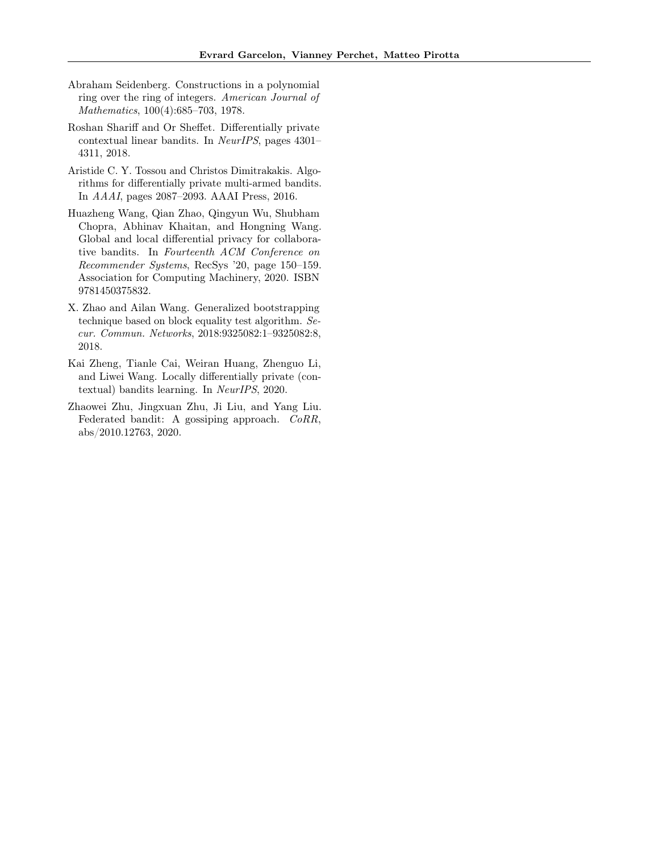- <span id="page-10-6"></span>Abraham Seidenberg. Constructions in a polynomial ring over the ring of integers. American Journal of Mathematics, 100(4):685–703, 1978.
- <span id="page-10-0"></span>Roshan Shariff and Or Sheffet. Differentially private contextual linear bandits. In NeurIPS, pages 4301– 4311, 2018.
- <span id="page-10-1"></span>Aristide C. Y. Tossou and Christos Dimitrakakis. Algorithms for differentially private multi-armed bandits. In AAAI, pages 2087–2093. AAAI Press, 2016.
- <span id="page-10-4"></span>Huazheng Wang, Qian Zhao, Qingyun Wu, Shubham Chopra, Abhinav Khaitan, and Hongning Wang. Global and local differential privacy for collaborative bandits. In Fourteenth ACM Conference on Recommender Systems, RecSys '20, page 150–159. Association for Computing Machinery, 2020. ISBN 9781450375832.
- <span id="page-10-3"></span>X. Zhao and Ailan Wang. Generalized bootstrapping technique based on block equality test algorithm. Secur. Commun. Networks, 2018:9325082:1–9325082:8, 2018.
- <span id="page-10-2"></span>Kai Zheng, Tianle Cai, Weiran Huang, Zhenguo Li, and Liwei Wang. Locally differentially private (contextual) bandits learning. In NeurIPS, 2020.
- <span id="page-10-5"></span>Zhaowei Zhu, Jingxuan Zhu, Ji Liu, and Yang Liu. Federated bandit: A gossiping approach. CoRR, abs/2010.12763, 2020.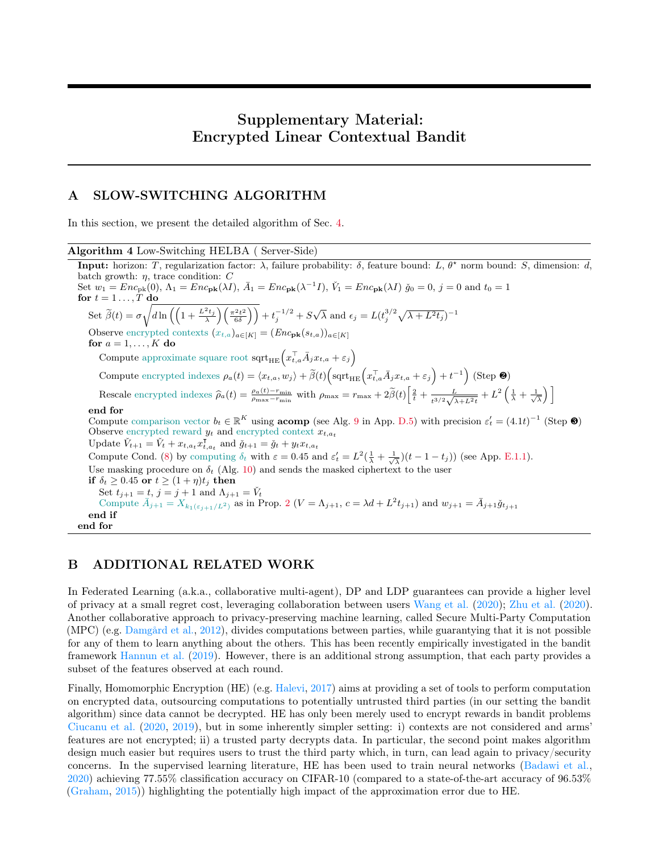# Supplementary Material: Encrypted Linear Contextual Bandit

# <span id="page-11-1"></span>A SLOW-SWITCHING ALGORITHM

In this section, we present the detailed algorithm of Sec. [4.](#page-3-6)

<span id="page-11-2"></span>Algorithm 4 Low-Switching HELBA ( Server-Side) **Input:** horizon: T, regularization factor:  $\lambda$ , failure probability:  $\delta$ , feature bound: L,  $\theta^*$  norm bound: S, dimension: d, batch growth:  $\eta$ , trace condition: C Set  $w_1 = Enc_{\text{pk}}(0)$ ,  $\Lambda_1 = Enc_{\text{pk}}(\lambda I)$ ,  $\bar{A}_1 = Enc_{\text{pk}}(\lambda^{-1}I)$ ,  $\check{V}_1 = Enc_{\text{pk}}(\lambda I)$   $\check{g}_0 = 0$ ,  $j = 0$  and  $t_0 = 1$ for  $t = 1 \ldots, T$  do Set  $\widetilde{\beta}(t) = \sigma \sqrt{d \ln \left( \left( 1 + \frac{L^2 t_j}{\lambda} \right) \left( \frac{\pi^2 t^2}{6 \delta} \right) \right)} + t_j^{-1/2} + S \sqrt{\lambda}$  and  $\epsilon_j = L(t_j^{3/2} \sqrt{\lambda + L^2 t_j})^{-1}$ Observe encrypted contexts  $(x_{t,a})_{a\in[K]} = (Enc_{\mathbf{pk}}(s_{t,a}))_{a\in[K]}$ for  $a = 1, \ldots, K$  do Compute approximate square root  $\text{sqrt}_{HE}\left(x_{t,a}^{\top}\bar{A}_jx_{t,a}+\varepsilon_j\right)$ Compute encrypted indexes  $\rho_a(t) = \langle x_{t,a}, w_j \rangle + \widetilde{\beta}(t) \Big( \text{sqrt}_{HE} \Big( x_{t,a}^{\top} \bar{A}_j x_{t,a} + \varepsilon_j \Big) + t^{-1} \Big)$  (Step  $\Theta$ ) Rescale encrypted indexes  $\hat{\rho}_a(t) = \frac{\rho_a(t) - r_{\min}}{\rho_{\max} - r_{\min}}$  with  $\rho_{\max} = r_{\max} + 2\tilde{\beta}(t) \left[ \frac{2}{t} + \frac{L}{t^{3/2}\sqrt{2}} \right]$  $\frac{L}{t^{3/2}\sqrt{\lambda+L^2t}}+L^2\left(\frac{1}{\lambda}+\frac{1}{\sqrt{\lambda}}\right)\right]$ end for Compute comparison vector  $b_t \in \mathbb{R}^K$  using **acomp** (see Alg. [9](#page-18-0) in App. [D.5\)](#page-16-2) with precision  $\varepsilon'_t = (4.1t)^{-1}$  (Step <sup>3</sup>) Observe encrypted reward  $y_t$  and encrypted context  $x_{t,a_t}$ Update  $\check{V}_{t+1} = \check{V}_t + x_{t,a_t} x_{t,a_t}^{\mathsf{T}}$  and  $\check{g}_{t+1} = \check{g}_t + y_t x_{t,a_t}$ Compute Cond. [\(8\)](#page-5-1) by computing  $\delta_t$  with  $\varepsilon = 0.45$  and  $\varepsilon'_t = L^2(\frac{1}{\lambda} + \frac{1}{\sqrt{\lambda}})(t - 1 - t_j)$  (see App. [E.1.1\)](#page-20-0). Use masking procedure on  $\delta_t$  (Alg. [10\)](#page-23-0) and sends the masked ciphertext to the user if  $\delta_t \geq 0.45$  or  $t \geq (1 + \eta)t_j$  then Set  $t_{j+1} = t$ ,  $j = j + 1$  and  $\Lambda_{j+1} = \check{V}_t$ Compute  $\bar{A}_{j+1} = X_{k_1(\varepsilon_{j+1}/L^2)}$  $\bar{A}_{j+1} = X_{k_1(\varepsilon_{j+1}/L^2)}$  $\bar{A}_{j+1} = X_{k_1(\varepsilon_{j+1}/L^2)}$  as in Prop. 2  $(V = \Lambda_{j+1}, c = \lambda d + L^2 t_{j+1})$  and  $w_{j+1} = \bar{A}_{j+1} \check{g}_{t_{j+1}}$ end if end for

## <span id="page-11-0"></span>B ADDITIONAL RELATED WORK

In Federated Learning (a.k.a., collaborative multi-agent), DP and LDP guarantees can provide a higher level of privacy at a small regret cost, leveraging collaboration between users [Wang et al.](#page-10-4) [\(2020\)](#page-10-4); [Zhu et al.](#page-10-5) [\(2020\)](#page-10-5). Another collaborative approach to privacy-preserving machine learning, called Secure Multi-Party Computation (MPC) (e.g. [Damgård et al.,](#page-8-18) [2012\)](#page-8-18), divides computations between parties, while guarantying that it is not possible for any of them to learn anything about the others. This has been recently empirically investigated in the bandit framework [Hannun et al.](#page-9-20) [\(2019\)](#page-9-20). However, there is an additional strong assumption, that each party provides a subset of the features observed at each round.

Finally, Homomorphic Encryption (HE) (e.g. [Halevi,](#page-9-3) [2017\)](#page-9-3) aims at providing a set of tools to perform computation on encrypted data, outsourcing computations to potentially untrusted third parties (in our setting the bandit algorithm) since data cannot be decrypted. HE has only been merely used to encrypt rewards in bandit problems [Ciucanu et al.](#page-8-4) [\(2020,](#page-8-4) [2019\)](#page-8-5), but in some inherently simpler setting: i) contexts are not considered and arms' features are not encrypted; ii) a trusted party decrypts data. In particular, the second point makes algorithm design much easier but requires users to trust the third party which, in turn, can lead again to privacy/security concerns. In the supervised learning literature, HE has been used to train neural networks [\(Badawi et al.,](#page-8-1) [2020\)](#page-8-1) achieving 77.55% classification accuracy on CIFAR-10 (compared to a state-of-the-art accuracy of 96.53% [\(Graham,](#page-9-4) [2015\)](#page-9-4)) highlighting the potentially high impact of the approximation error due to HE.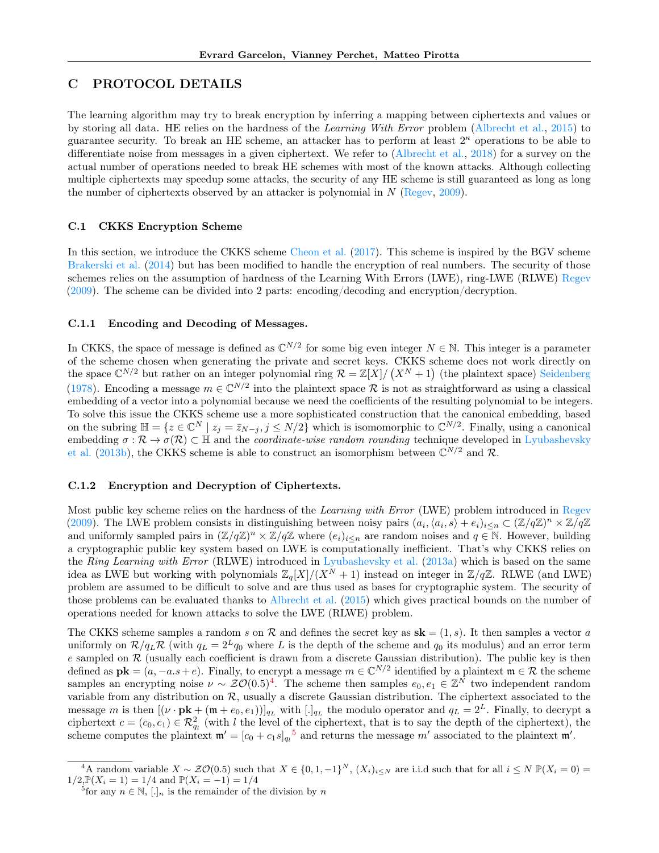# <span id="page-12-1"></span>C PROTOCOL DETAILS

The learning algorithm may try to break encryption by inferring a mapping between ciphertexts and values or by storing all data. HE relies on the hardness of the Learning With Error problem [\(Albrecht et al.,](#page-8-6) [2015\)](#page-8-6) to guarantee security. To break an HE scheme, an attacker has to perform at least  $2^{\kappa}$  operations to be able to differentiate noise from messages in a given ciphertext. We refer to [\(Albrecht et al.,](#page-8-19) [2018\)](#page-8-19) for a survey on the actual number of operations needed to break HE schemes with most of the known attacks. Although collecting multiple ciphertexts may speedup some attacks, the security of any HE scheme is still guaranteed as long as long the number of ciphertexts observed by an attacker is polynomial in  $N$  [\(Regev,](#page-9-21) [2009\)](#page-9-21).

## <span id="page-12-0"></span>C.1 CKKS Encryption Scheme

In this section, we introduce the CKKS scheme [Cheon et al.](#page-8-7) [\(2017\)](#page-8-7). This scheme is inspired by the BGV scheme [Brakerski et al.](#page-8-17) [\(2014\)](#page-8-17) but has been modified to handle the encryption of real numbers. The security of those schemes relies on the assumption of hardness of the Learning With Errors (LWE), ring-LWE (RLWE) [Regev](#page-9-21) [\(2009\)](#page-9-21). The scheme can be divided into 2 parts: encoding/decoding and encryption/decryption.

#### C.1.1 Encoding and Decoding of Messages.

In CKKS, the space of message is defined as  $\mathbb{C}^{N/2}$  for some big even integer  $N \in \mathbb{N}$ . This integer is a parameter of the scheme chosen when generating the private and secret keys. CKKS scheme does not work directly on the space  $\mathbb{C}^{N/2}$  but rather on an integer polynomial ring  $\mathcal{R} = \mathbb{Z}[X]/(X^N + 1)$  (the plaintext space) [Seidenberg](#page-10-6) [\(1978\)](#page-10-6). Encoding a message  $m \in \mathbb{C}^{N/2}$  into the plaintext space R is not as straightforward as using a classical embedding of a vector into a polynomial because we need the coefficients of the resulting polynomial to be integers. To solve this issue the CKKS scheme use a more sophisticated construction that the canonical embedding, based on the subring  $\mathbb{H} = \{z \in \mathbb{C}^N \mid z_j = \bar{z}_{N-j}, j \le N/2\}$  which is isomomorphic to  $\mathbb{C}^{N/2}$ . Finally, using a canonical embedding  $\sigma : \mathcal{R} \to \sigma(\mathcal{R}) \subset \mathbb{H}$  and the *coordinate-wise random rounding* technique developed in [Lyubashevsky](#page-9-22) [et al.](#page-9-22) [\(2013b\)](#page-9-22), the CKKS scheme is able to construct an isomorphism between  $\mathbb{C}^{N/2}$  and R.

## C.1.2 Encryption and Decryption of Ciphertexts.

Most public key scheme relies on the hardness of the *Learning with Error* (LWE) problem introduced in [Regev](#page-9-21) [\(2009\)](#page-9-21). The LWE problem consists in distinguishing between noisy pairs  $(a_i, \langle a_i, s \rangle + e_i)_{i \leq n} \subset (\mathbb{Z}/q\mathbb{Z})^n \times \mathbb{Z}/q\mathbb{Z}$ and uniformly sampled pairs in  $(\mathbb{Z}/q\mathbb{Z})^n \times \mathbb{Z}/q\mathbb{Z}$  where  $(e_i)_{i\leq n}$  are random noises and  $q \in \mathbb{N}$ . However, building a cryptographic public key system based on LWE is computationally inefficient. That's why CKKS relies on the Ring Learning with Error (RLWE) introduced in [Lyubashevsky et al.](#page-9-23) [\(2013a\)](#page-9-23) which is based on the same idea as LWE but working with polynomials  $\mathbb{Z}_q[X]/(X^N + 1)$  instead on integer in  $\mathbb{Z}/q\mathbb{Z}$ . RLWE (and LWE) problem are assumed to be difficult to solve and are thus used as bases for cryptographic system. The security of those problems can be evaluated thanks to [Albrecht et al.](#page-8-6) [\(2015\)](#page-8-6) which gives practical bounds on the number of operations needed for known attacks to solve the LWE (RLWE) problem.

The CKKS scheme samples a random s on R and defines the secret key as  $sk = (1, s)$ . It then samples a vector a uniformly on  $\mathcal{R}/q_L\mathcal{R}$  (with  $q_L = 2^Lq_0$  where L is the depth of the scheme and  $q_0$  its modulus) and an error term e sampled on  $\mathcal R$  (usually each coefficient is drawn from a discrete Gaussian distribution). The public key is then defined as  $\mathbf{pk} = (a, -a.s + e)$ . Finally, to encrypt a message  $m \in \mathbb{C}^{N/2}$  identified by a plaintext  $\mathfrak{m} \in \mathcal{R}$  the scheme samples an encrypting noise  $\nu \sim \mathcal{ZO}(0.5)^4$  $\nu \sim \mathcal{ZO}(0.5)^4$ . The scheme then samples  $e_0, e_1 \in \mathbb{Z}^N$  two independent random variable from any distribution on  $\mathcal{R}$ , usually a discrete Gaussian distribution. The ciphertext associated to the message m is then  $[(\nu \cdot \mathbf{pk} + (\mathfrak{m} + e_0, e_1))]_{q_L}$  with  $[.]_{q_L}$  the modulo operator and  $q_L = 2^L$ . Finally, to decrypt a ciphertext  $c = (c_0, c_1) \in \mathcal{R}_{q_l}^2$  (with l the level of the ciphertext, that is to say the depth of the ciphertext), the scheme computes the plaintext  $\mathfrak{m}' = [c_0 + c_1 s]_{q_i}^5$  $\mathfrak{m}' = [c_0 + c_1 s]_{q_i}^5$  and returns the message m' associated to the plaintext  $\mathfrak{m}'$ .

<span id="page-12-2"></span><sup>&</sup>lt;sup>4</sup>A random variable  $X \sim \mathcal{ZO}(0.5)$  such that  $X \in \{0, 1, -1\}^N$ ,  $(X_i)_{i \leq N}$  are i.i.d such that for all  $i \leq N \mathbb{P}(X_i = 0)$  $1/2 \mathbb{P}(X_i = 1) = 1/4$  and  $\mathbb{P}(X_i = -1) = 1/4$ <br><sup>5</sup>for any  $n \in \mathbb{N}$ , [.]<sub>n</sub> is the remainder of the division by n

<span id="page-12-3"></span>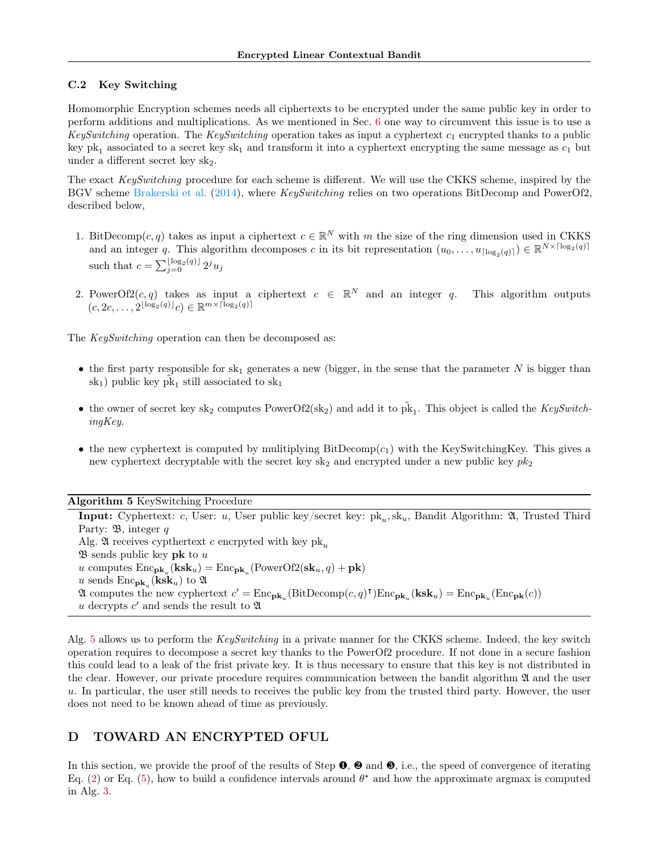## <span id="page-13-0"></span>C.2 Key Switching

Homomorphic Encryption schemes needs all ciphertexts to be encrypted under the same public key in order to perform additions and multiplications. As we mentioned in Sec. [6](#page-6-0) one way to circumvent this issue is to use a KeySwitching operation. The KeySwitching operation takes as input a cyphertext  $c_1$  encrypted thanks to a public key pk<sub>1</sub> associated to a secret key sk<sub>1</sub> and transform it into a cyphertext encrypting the same message as  $c_1$  but under a different secret key  $sk_2$ .

The exact KeySwitching procedure for each scheme is different. We will use the CKKS scheme, inspired by the BGV scheme [Brakerski et al.](#page-8-17) [\(2014\)](#page-8-17), where *KeySwitching* relies on two operations BitDecomp and PowerOf2, described below,

- 1. BitDecomp $(c, q)$  takes as input a ciphertext  $c \in \mathbb{R}^N$  with m the size of the ring dimension used in CKKS and an integer q. This algorithm decomposes c in its bit representation  $(u_0, \ldots, u_{\lceil \log_2(q) \rceil}) \in \mathbb{R}^{N \times \lceil \log_2(q) \rceil}$ such that  $c = \sum_{j=0}^{\lfloor \log_2(q) \rfloor} 2^j u_j$
- 2. PowerOf2 $(c, q)$  takes as input a ciphertext  $c \in \mathbb{R}^N$  and an integer q. This algorithm outputs  $(c, 2c, \ldots, 2^{\lfloor \log_2(q) \rfloor}c) \in \mathbb{R}^{m \times \lceil \log_2(q) \rceil}$

The KeySwitching operation can then be decomposed as:

- the first party responsible for  $sk_1$  generates a new (bigger, in the sense that the parameter N is bigger than sk<sub>1</sub>) public key  $\tilde{pk}_1$  still associated to sk<sub>1</sub>
- the owner of secret key sk<sub>2</sub> computes PowerOf2(sk<sub>2</sub>) and add it to  $\tilde{pk}_1$ . This object is called the *KeySwitch*ingKey.
- the new cyphertext is computed by mulitiplying  $BitDecomp(c_1)$  with the KeySwitchingKey. This gives a new cyphertext decryptable with the secret key  $sk_2$  and encrypted under a new public key  $pk_2$

Algorithm 5 KeySwitching Procedure

<span id="page-13-1"></span>**Input:** Cyphertext: c, User: u, User public key/secret key:  $pk_u, sk_u$ , Bandit Algorithm:  $\mathfrak{A}$ , Trusted Third Party:  $\mathfrak{B}$ , integer q Alg. 24 receives cypthertext c encrpyted with key  $pk_u$  $\mathfrak{B}$  sends public key pk to u u computes  $\text{Enc}_{\mathbf{pk}_u}(\mathbf{ksk}_u) = \text{Enc}_{\mathbf{pk}_u}(\text{PowerOf2}(\mathbf{sk}_u, q) + \mathbf{pk})$ u sends  $\text{Enc}_{\textbf{pk}_{u}}(\textbf{ksk}_{u})$  to  $\mathfrak A$  $\mathfrak A$  computes the new cyphertext  $c' = \text{Enc}_{\textbf{pk}_u}(\text{BitDecomp}(c, q)^\intercal)\text{Enc}_{\textbf{pk}_u}(\textbf{ksk}_u) = \text{Enc}_{\textbf{pk}_u}(\text{Enc}_{\textbf{pk}}(c))$ u decrypts  $c'$  and sends the result to  $\mathfrak A$ 

Alg. [5](#page-13-1) allows us to perform the KeySwitching in a private manner for the CKKS scheme. Indeed, the key switch operation requires to decompose a secret key thanks to the PowerOf2 procedure. If not done in a secure fashion this could lead to a leak of the frist private key. It is thus necessary to ensure that this key is not distributed in the clear. However, our private procedure requires communication between the bandit algorithm  $\mathfrak A$  and the user u. In particular, the user still needs to receives the public key from the trusted third party. However, the user does not need to be known ahead of time as previously.

# D TOWARD AN ENCRYPTED OFUL

In this section, we provide the proof of the results of Step  $\bullet$ ,  $\bullet$  and  $\bullet$ , i.e., the speed of convergence of iterating Eq. [\(2\)](#page-3-3) or Eq. [\(5\)](#page-4-2), how to build a confidence intervals around  $\theta^*$  and how the approximate argmax is computed in Alg. [3.](#page-3-1)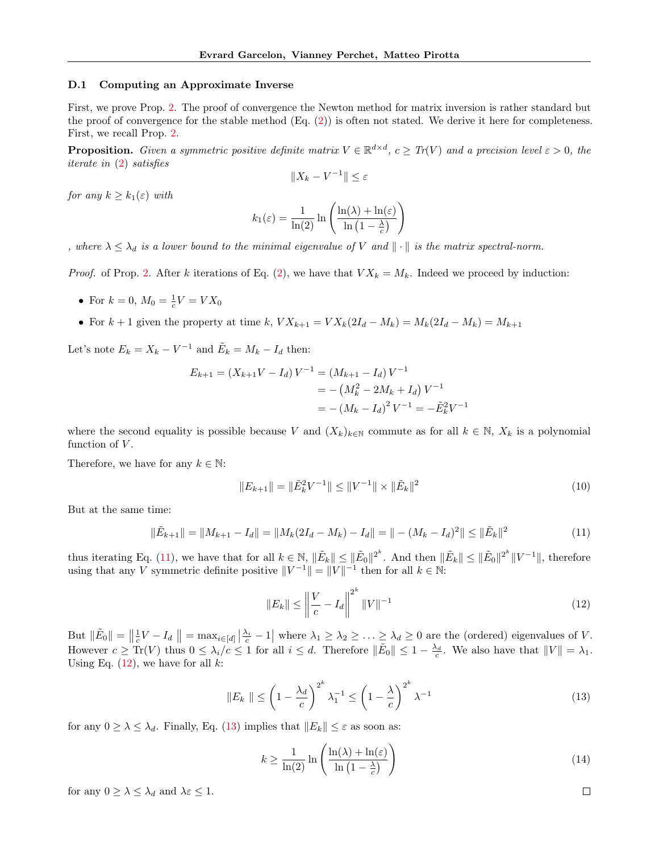#### D.1 Computing an Approximate Inverse

First, we prove Prop. [2.](#page-3-4) The proof of convergence the Newton method for matrix inversion is rather standard but the proof of convergence for the stable method (Eq. [\(2\)](#page-3-3)) is often not stated. We derive it here for completeness. First, we recall Prop. [2.](#page-3-4)

**Proposition.** Given a symmetric positive definite matrix  $V \in \mathbb{R}^{d \times d}$ ,  $c \geq Tr(V)$  and a precision level  $\varepsilon > 0$ , the iterate in [\(2\)](#page-3-3) satisfies

$$
||X_k - V^{-1}|| \le \varepsilon
$$

for any  $k \geq k_1(\varepsilon)$  with

$$
k_1(\varepsilon) = \frac{1}{\ln(2)} \ln\left(\frac{\ln(\lambda) + \ln(\varepsilon)}{\ln\left(1 - \frac{\lambda}{c}\right)}\right)
$$

, where  $\lambda \leq \lambda_d$  is a lower bound to the minimal eigenvalue of V and  $\|\cdot\|$  is the matrix spectral-norm.

*Proof.* of Prop. [2.](#page-3-4) After k iterations of Eq. [\(2\)](#page-3-3), we have that  $V X_k = M_k$ . Indeed we proceed by induction:

- For  $k = 0$ ,  $M_0 = \frac{1}{c}V = VX_0$
- For  $k + 1$  given the property at time k,  $V X_{k+1} = V X_k (2I_d M_k) = M_k (2I_d M_k) = M_{k+1}$

Let's note  $E_k = X_k - V^{-1}$  and  $\tilde{E}_k = M_k - I_d$  then:

$$
E_{k+1} = (X_{k+1}V - I_d)V^{-1} = (M_{k+1} - I_d)V^{-1}
$$
  
= - (M<sub>k</sub><sup>2</sup> - 2M<sub>k</sub> + I<sub>d</sub>)V<sup>-1</sup>  
= - (M<sub>k</sub> - I<sub>d</sub>)<sup>2</sup>V<sup>-1</sup> = - $\tilde{E}_k^2V^{-1}$ 

where the second equality is possible because V and  $(X_k)_{k\in\mathbb{N}}$  commute as for all  $k\in\mathbb{N}$ ,  $X_k$  is a polynomial function of  $V$ .

Therefore, we have for any  $k \in \mathbb{N}$ :

$$
||E_{k+1}|| = ||\tilde{E}_k^2 V^{-1}|| \le ||V^{-1}|| \times ||\tilde{E}_k||^2
$$
\n(10)

But at the same time:

<span id="page-14-0"></span>
$$
\|\tilde{E}_{k+1}\| = \|M_{k+1} - I_d\| = \|M_k(2I_d - M_k) - I_d\| = \|-(M_k - I_d)^2\| \le \|\tilde{E}_k\|^2
$$
\n(11)

thus iterating Eq. [\(11\)](#page-14-0), we have that for all  $k \in \mathbb{N}$ ,  $\|\tilde{E}_k\| \leq \|\tilde{E}_0\|^{2^k}$ . And then  $\|\tilde{E}_k\| \leq \|\tilde{E}_0\|^{2^k} \|V^{-1}\|$ , therefore using that any V symmetric definite positive  $||V^{-1}|| = ||V||^{-1}$  then for all  $k \in \mathbb{N}$ :

<span id="page-14-1"></span>
$$
||E_k|| \le \left\| \frac{V}{c} - I_d \right\|^{2^k} ||V||^{-1}
$$
\n(12)

But  $\|\tilde{E}_0\| = \left\|\frac{1}{c}V - I_d\right\| = \max_{i \in [d]} \left|\frac{\lambda_i}{c} - 1\right|$  where  $\lambda_1 \geq \lambda_2 \geq \ldots \geq \lambda_d \geq 0$  are the (ordered) eigenvalues of V. However  $c \geq Tr(V)$  thus  $0 \leq \lambda_i/c \leq 1$  for all  $i \leq d$ . Therefore  $\|\tilde{E}_0\| \leq 1 - \frac{\lambda_d}{c}$ . We also have that  $||V|| = \lambda_1$ . Using Eq.  $(12)$ , we have for all k:

$$
||E_k|| \le \left(1 - \frac{\lambda_d}{c}\right)^{2^k} \lambda_1^{-1} \le \left(1 - \frac{\lambda}{c}\right)^{2^k} \lambda^{-1}
$$
\n(13)

for any  $0 \geq \lambda \leq \lambda_d$ . Finally, Eq. [\(13\)](#page-14-2) implies that  $||E_k|| \leq \varepsilon$  as soon as:

$$
k \ge \frac{1}{\ln(2)} \ln \left( \frac{\ln(\lambda) + \ln(\varepsilon)}{\ln\left(1 - \frac{\lambda}{c}\right)} \right) \tag{14}
$$

for any  $0 \geq \lambda \leq \lambda_d$  and  $\lambda_{\varepsilon} \leq 1$ .

<span id="page-14-2"></span> $\Box$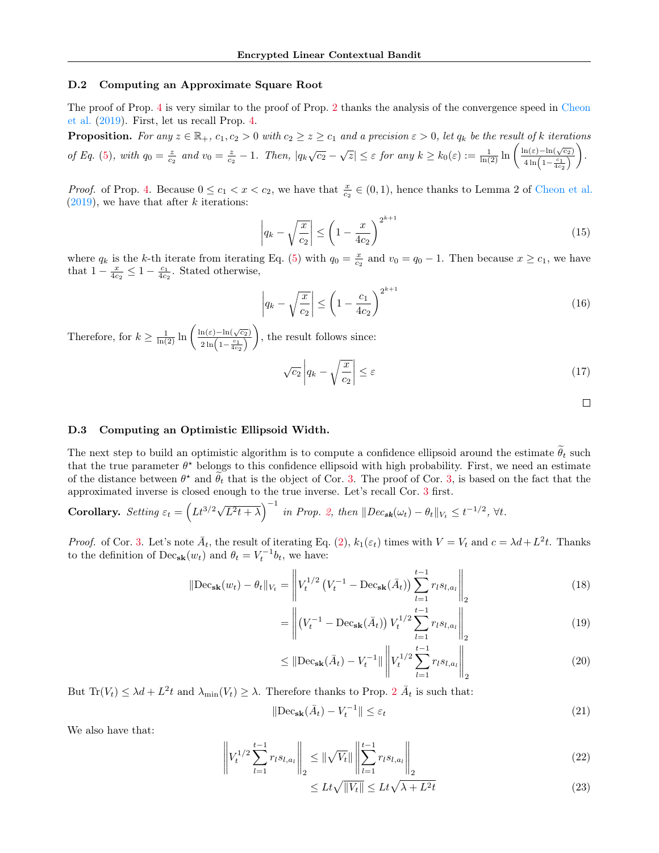#### D.2 Computing an Approximate Square Root

The proof of Prop. [4](#page-4-4) is very similar to the proof of Prop. [2](#page-3-4) thanks the analysis of the convergence speed in [Cheon](#page-8-20) [et al.](#page-8-20) [\(2019\)](#page-8-20). First, let us recall Prop. [4.](#page-4-4)

**Proposition.** For any  $z \in \mathbb{R}_+$ ,  $c_1, c_2 > 0$  with  $c_2 \geq z \geq c_1$  and a precision  $\epsilon > 0$ , let  $q_k$  be the result of k iterations of Eq. [\(5\)](#page-4-2), with  $q_0 = \frac{z}{c_2}$  and  $v_0 = \frac{z}{c_2} - 1$ . Then,  $|q_k\sqrt{c_2} - \sqrt{z}| \leq \varepsilon$  for any  $k \geq k_0(\varepsilon) := \frac{1}{\ln(2)} \ln\left(\frac{\ln(\varepsilon) - \ln(\sqrt{c_2})}{4\ln(1 - \varepsilon_1)}\right)$  $4\ln\left(1-\frac{c_1}{4c_2}\right)$ .

*Proof.* of Prop. [4.](#page-4-4) Because  $0 \le c_1 < x < c_2$ , we have that  $\frac{x}{c_2} \in (0,1)$ , hence thanks to Lemma 2 of [Cheon et al.](#page-8-20)  $(2019)$ , we have that after k iterations:

$$
\left| q_k - \sqrt{\frac{x}{c_2}} \right| \le \left( 1 - \frac{x}{4c_2} \right)^{2^{k+1}} \tag{15}
$$

where  $q_k$  is the k-th iterate from iterating Eq. [\(5\)](#page-4-2) with  $q_0 = \frac{x}{c_2}$  and  $v_0 = q_0 - 1$ . Then because  $x \ge c_1$ , we have that  $1 - \frac{x}{4c_2} \leq 1 - \frac{c_1}{4c_2}$ . Stated otherwise,

$$
\left| q_k - \sqrt{\frac{x}{c_2}} \right| \le \left( 1 - \frac{c_1}{4c_2} \right)^{2^{k+1}} \tag{16}
$$

Therefore, for  $k \geq \frac{1}{\ln(2)} \ln \left( \frac{\ln(\varepsilon) - \ln(\sqrt{c_2})}{2 \ln(1 - \frac{c_1}{c_1})} \right)$  $2\ln\left(1-\frac{c_1}{4c_2}\right)$ ), the result follows since:

$$
\sqrt{c_2} \left| q_k - \sqrt{\frac{x}{c_2}} \right| \le \varepsilon \tag{17}
$$

 $\Box$ 

### D.3 Computing an Optimistic Ellipsoid Width.

The next step to build an optimistic algorithm is to compute a confidence ellipsoid around the estimate  $\hat{\theta}_t$  such that the true parameter  $\theta^*$  belongs to this confidence ellipsoid with high probability. First, we need an estimate of the distance between  $\theta^*$  and  $\tilde{\theta}_t$  that is the object of Cor. [3.](#page-4-1) The proof of Cor. [3,](#page-4-1) is based on the fact that the approximated inverse is closed enough to the true inverse. Let's recall Cor. [3](#page-4-1) first.

Corollary. Setting 
$$
\varepsilon_t = \left( Lt^{3/2}\sqrt{L^2t + \lambda}\right)^{-1}
$$
 in Prop. 2, then  $||Dec_{sk}(\omega_t) - \theta_t||_{V_t} \leq t^{-1/2}$ ,  $\forall t$ .

*Proof.* of Cor. [3.](#page-4-1) Let's note  $\bar{A}_t$ , the result of iterating Eq. [\(2\)](#page-3-3),  $k_1(\varepsilon_t)$  times with  $V = V_t$  and  $c = \lambda d + L^2t$ . Thanks to the definition of  $\text{Dec}_{\textbf{sk}}(w_t)$  and  $\theta_t = V_t^{-1}b_t$ , we have:

$$
\|\text{Dec}_{\textbf{sk}}(w_t) - \theta_t\|_{V_t} = \left\| V_t^{1/2} \left( V_t^{-1} - \text{Dec}_{\textbf{sk}}(\bar{A}_t) \right) \sum_{l=1}^{t-1} r_l s_{l,a_l} \right\|_2 \tag{18}
$$

$$
= \left\| \left( V_t^{-1} - \text{Dec}_{\textbf{sk}}(\bar{A}_t) \right) V_t^{1/2} \sum_{l=1}^{t-1} r_l s_{l,a_l} \right\|_2 \tag{19}
$$

$$
\leq \|\text{Dec}_{\textbf{sk}}(\bar{A}_t) - V_t^{-1}\| \left\| V_t^{1/2} \sum_{l=1}^{t-1} r_l s_{l,a_l} \right\|_2 \tag{20}
$$

But  $\text{Tr}(V_t) \leq \lambda d + L^2 t$  $\text{Tr}(V_t) \leq \lambda d + L^2 t$  $\text{Tr}(V_t) \leq \lambda d + L^2 t$  and  $\lambda_{\min}(V_t) \geq \lambda$ . Therefore thanks to Prop. 2  $\bar{A}_t$  is such that:

$$
\|\text{Dec}_{\textbf{sk}}(\bar{A}_t) - V_t^{-1}\| \le \varepsilon_t \tag{21}
$$

We also have that:

$$
\left\| V_t^{1/2} \sum_{l=1}^{t-1} r_l s_{l,a_l} \right\|_2 \leq \left\| \sqrt{V_t} \right\| \left\| \sum_{l=1}^{t-1} r_l s_{l,a_l} \right\|_2 \tag{22}
$$

$$
\leq Lt\sqrt{\|V_t\|} \leq Lt\sqrt{\lambda + L^2t} \tag{23}
$$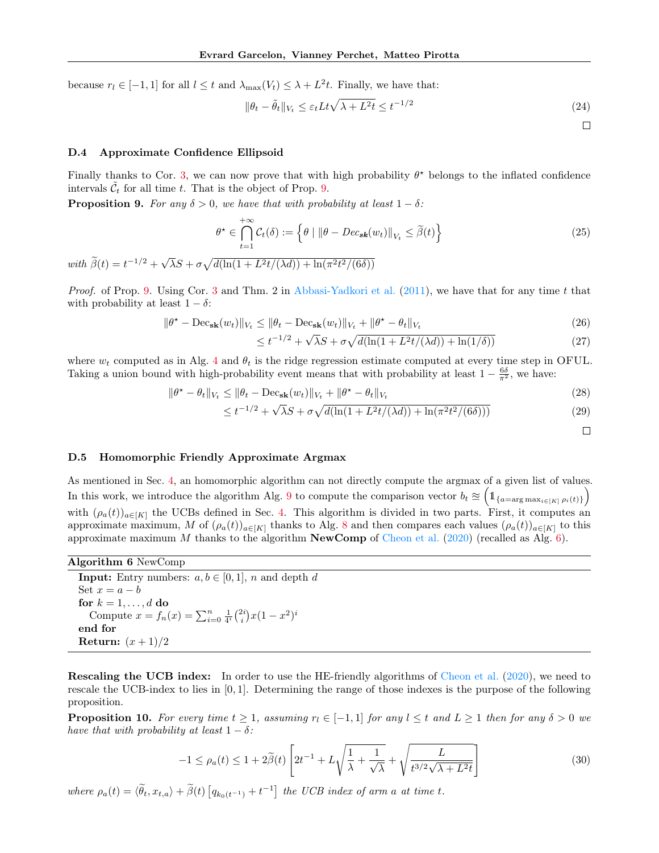because  $r_l \in [-1, 1]$  for all  $l \leq t$  and  $\lambda_{\max}(V_t) \leq \lambda + L^2 t$ . Finally, we have that:

$$
\|\theta_t - \tilde{\theta}_t\|_{V_t} \le \varepsilon_t L t \sqrt{\lambda + L^2 t} \le t^{-1/2}
$$
\n(24)

 $\Box$ 

## <span id="page-16-1"></span>D.4 Approximate Confidence Ellipsoid

Finally thanks to Cor. [3,](#page-4-1) we can now prove that with high probability  $\theta^*$  belongs to the inflated confidence intervals  $\tilde{\mathcal{C}}_t$  for all time t. That is the object of Prop. [9.](#page-16-0)

<span id="page-16-0"></span>**Proposition 9.** For any  $\delta > 0$ , we have that with probability at least  $1 - \delta$ :

$$
\theta^* \in \bigcap_{t=1}^{+\infty} C_t(\delta) := \left\{ \theta \mid \|\theta - Dec_{s\mathbf{k}}(w_t)\|_{V_t} \le \tilde{\beta}(t) \right\} \tag{25}
$$

with  $\widetilde{\beta}(t) = t^{-1/2} + \sqrt{2}$  $\overline{\lambda}S + \sigma \sqrt{d(\ln(1 + L^2t/(\lambda d)) + \ln(\pi^2t^2/(\sqrt{6\delta})))}$ 

*Proof.* of Prop. [9.](#page-16-0) Using Cor. [3](#page-4-1) and Thm. 2 in [Abbasi-Yadkori et al.](#page-8-2)  $(2011)$ , we have that for any time t that with probability at least  $1 - \delta$ :

$$
\|\theta^* - \operatorname{Dec}_{\mathbf{sk}}(w_t)\|_{V_t} \le \|\theta_t - \operatorname{Dec}_{\mathbf{sk}}(w_t)\|_{V_t} + \|\theta^* - \theta_t\|_{V_t}
$$
\n(26)

$$
\leq t^{-1/2} + \sqrt{\lambda}S + \sigma \sqrt{d(\ln(1 + L^2 t/(\lambda d)) + \ln(1/\delta))}
$$
\n(27)

where  $w_t$  computed as in Alg. [4](#page-11-2) and  $\theta_t$  is the ridge regression estimate computed at every time step in OFUL. Taking a union bound with high-probability event means that with probability at least  $1 - \frac{6\delta}{\pi^2}$ , we have:

$$
\|\theta^* - \theta_t\|_{V_t} \le \|\theta_t - \text{Dec}_{\textbf{sk}}(w_t)\|_{V_t} + \|\theta^* - \theta_t\|_{V_t}
$$
\n(28)

$$
\leq t^{-1/2} + \sqrt{\lambda}S + \sigma \sqrt{d(\ln(1 + L^2 t/(\lambda d)) + \ln(\pi^2 t^2/(6\delta)))}
$$
\n(29)

 $\Box$ 

## <span id="page-16-2"></span>D.5 Homomorphic Friendly Approximate Argmax

As mentioned in Sec. [4,](#page-3-6) an homomorphic algorithm can not directly compute the argmax of a given list of values. In this work, we introduce the algorithm Alg. [9](#page-18-0) to compute the comparison vector  $b_t \approx \left(1_{\{a=\arg\max_{i\in[K]}\rho_i(t)\}}\right)$ with  $(\rho_a(t))_{a\in[K]}$  the UCBs defined in Sec. [4.](#page-3-6) This algorithm is divided in two parts. First, it computes an approximate maximum, M of  $(\rho_a(t))_{a\in [K]}$  thanks to Alg. [8](#page-17-0) and then compares each values  $(\rho_a(t))_{a\in [K]}$  to this approximate maximum M thanks to the algorithm **NewComp** of [Cheon et al.](#page-8-10) [\(2020\)](#page-8-10) (recalled as Alg. [6\)](#page-16-3).

| Algorithm 6 NewComp |  |  |
|---------------------|--|--|
|---------------------|--|--|

<span id="page-16-3"></span>

| <b>Input:</b> Entry numbers: $a, b \in [0, 1]$ , n and depth d              |
|-----------------------------------------------------------------------------|
| Set $x = a - b$                                                             |
| for $k = 1, \ldots, d$ do                                                   |
| Compute $x = f_n(x) = \sum_{i=0}^n \frac{1}{4^i} {2i \choose i} x(1-x^2)^i$ |
| end for                                                                     |
| Return: $(x+1)/2$                                                           |

Rescaling the UCB index: In order to use the HE-friendly algorithms of [Cheon et al.](#page-8-10) [\(2020\)](#page-8-10), we need to rescale the UCB-index to lies in [0, 1]. Determining the range of those indexes is the purpose of the following proposition.

<span id="page-16-4"></span>**Proposition 10.** For every time  $t \geq 1$ , assuming  $r_l \in [-1, 1]$  for any  $l \leq t$  and  $L \geq 1$  then for any  $\delta > 0$  we have that with probability at least  $1 - \delta$ :

$$
-1 \le \rho_a(t) \le 1 + 2\tilde{\beta}(t) \left[ 2t^{-1} + L\sqrt{\frac{1}{\lambda} + \frac{1}{\sqrt{\lambda}}} + \sqrt{\frac{L}{t^{3/2}\sqrt{\lambda + L^2t}}} \right]
$$
(30)

where  $\rho_a(t) = \langle \tilde{\theta}_t, x_{t,a} \rangle + \tilde{\beta}(t) \left[ q_{k_0(t^{-1})} + t^{-1} \right]$  the UCB index of arm a at time t.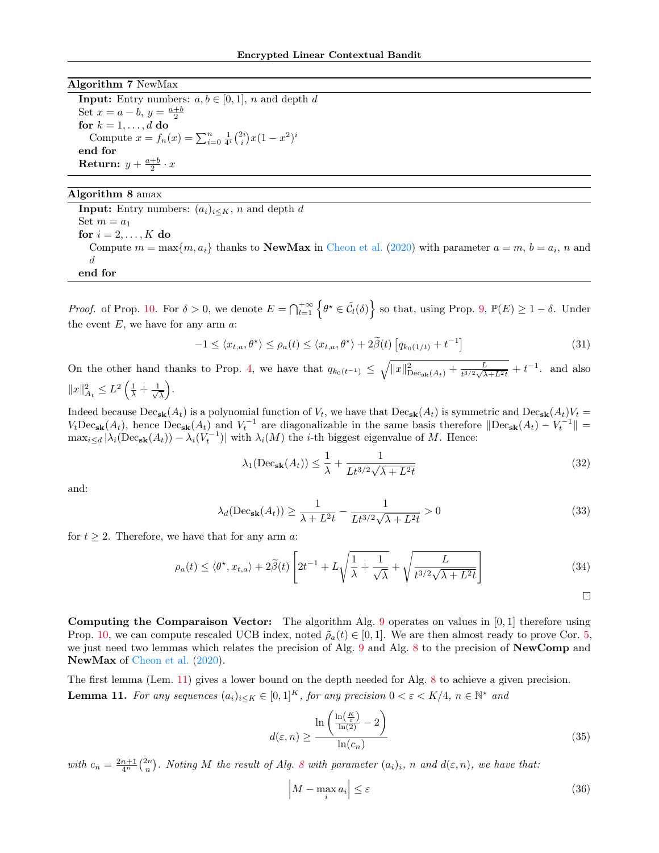#### Algorithm 7 NewMax

**Input:** Entry numbers:  $a, b \in [0, 1]$ , n and depth d Set  $x = a - b$ ,  $y = \frac{a+b}{2}$ for  $k = 1, \ldots, d$  do Compute  $x = f_n(x) = \sum_{i=0}^n \frac{1}{4^i} {2i \choose i} x(1-x^2)^i$ end for Return:  $y + \frac{a+b}{2} \cdot x$ 

## Algorithm 8 amax

<span id="page-17-0"></span>**Input:** Entry numbers:  $(a_i)_{i \leq K}$ , n and depth d Set  $m = a_1$ for  $i = 2, \ldots, K$  do Compute  $m = \max\{m, a_i\}$  thanks to **NewMax** in [Cheon et al.](#page-8-10) [\(2020\)](#page-8-10) with parameter  $a = m$ ,  $b = a_i$ , n and d end for

*Proof.* of Prop. [10.](#page-16-4) For  $\delta > 0$ , we denote  $E = \bigcap_{l=1}^{+\infty} \left\{ \theta^{\star} \in \tilde{C}_l(\delta) \right\}$  so that, using Prop. [9,](#page-16-0)  $\mathbb{P}(E) \geq 1 - \delta$ . Under the event  $E$ , we have for any arm  $a$ :

$$
-1 \leq \langle x_{t,a}, \theta^{\star} \rangle \leq \rho_a(t) \leq \langle x_{t,a}, \theta^{\star} \rangle + 2\tilde{\beta}(t) \left[ q_{k_0(1/t)} + t^{-1} \right] \tag{31}
$$

On the other hand thanks to Prop. [4,](#page-4-4) we have that  $q_{k_0(t^{-1})} \leq \sqrt{\|x\|_{\text{Dec}_{sk}(A_t)}^2 + \frac{L}{t^{3/2}\sqrt{\lambda}}}$  $\frac{L}{t^{3/2}\sqrt{\lambda+L^2t}}+t^{-1}$  and also  $||x||_{A_t}^2 \leq L^2 \left(\frac{1}{\lambda} + \frac{1}{\sqrt{2}}\right)$  $\frac{1}{\overline{\lambda}}$ .

Indeed because  $\text{Dec}_{\textbf{sk}}(A_t)$  is a polynomial function of  $V_t$ , we have that  $\text{Dec}_{\textbf{sk}}(A_t)$  is symmetric and  $\text{Dec}_{\textbf{sk}}(A_t)V_t =$  $V_t \text{Dec}_{\textbf{sk}}(A_t)$ , hence  $\text{Dec}_{\textbf{sk}}(A_t)$  and  $V_t^{-1}$  are diagonalizable in the same basis therefore  $\|\text{Dec}_{\textbf{sk}}(A_t) - V_t^{-1}\|$  $\max_{i\leq d}|\lambda_i(\text{Dec}_{\textbf{sk}}(A_t)) - \lambda_i(V_t^{-1})|$  with  $\lambda_i(M)$  the *i*-th biggest eigenvalue of M. Hence:

$$
\lambda_1(\text{Dec}_{\textbf{sk}}(A_t)) \le \frac{1}{\lambda} + \frac{1}{Lt^{3/2}\sqrt{\lambda + L^2t}}\tag{32}
$$

and:

$$
\lambda_d(\text{Dec}_{\textbf{sk}}(A_t)) \ge \frac{1}{\lambda + L^2 t} - \frac{1}{L t^{3/2} \sqrt{\lambda + L^2 t}} > 0
$$
\n(33)

for  $t \geq 2$ . Therefore, we have that for any arm a:

$$
\rho_a(t) \le \langle \theta^{\star}, x_{t,a} \rangle + 2\tilde{\beta}(t) \left[ 2t^{-1} + L\sqrt{\frac{1}{\lambda} + \frac{1}{\sqrt{\lambda}}} + \sqrt{\frac{L}{t^{3/2}\sqrt{\lambda + L^2 t}}} \right]
$$
(34)

 $\Box$ 

Computing the Comparaison Vector: The algorithm Alg. [9](#page-18-0) operates on values in  $[0,1]$  therefore using Prop. [10,](#page-16-4) we can compute rescaled UCB index, noted  $\tilde{\rho}_a(t) \in [0,1]$ . We are then almost ready to prove Cor. [5,](#page-5-0) we just need two lemmas which relates the precision of Alg. [9](#page-18-0) and Alg. [8](#page-17-0) to the precision of NewComp and NewMax of [Cheon et al.](#page-8-10)  $(2020)$ .

<span id="page-17-1"></span>The first lemma (Lem. [11\)](#page-17-1) gives a lower bound on the depth needed for Alg. [8](#page-17-0) to achieve a given precision. **Lemma 11.** For any sequences  $(a_i)_{i\leq K} \in [0,1]^K$ , for any precision  $0 < \varepsilon < K/4$ ,  $n \in \mathbb{N}^*$  and

$$
d(\varepsilon, n) \ge \frac{\ln\left(\frac{\ln\left(\frac{K}{\varepsilon}\right)}{\ln(2)} - 2\right)}{\ln(c_n)}\tag{35}
$$

with  $c_n = \frac{2n+1}{4^n} {2n \choose n}$ . Noting M the result of Alg. [8](#page-17-0) with parameter  $(a_i)_i$ , n and  $d(\varepsilon, n)$ , we have that:

$$
\left| M - \max_{i} a_i \right| \le \varepsilon \tag{36}
$$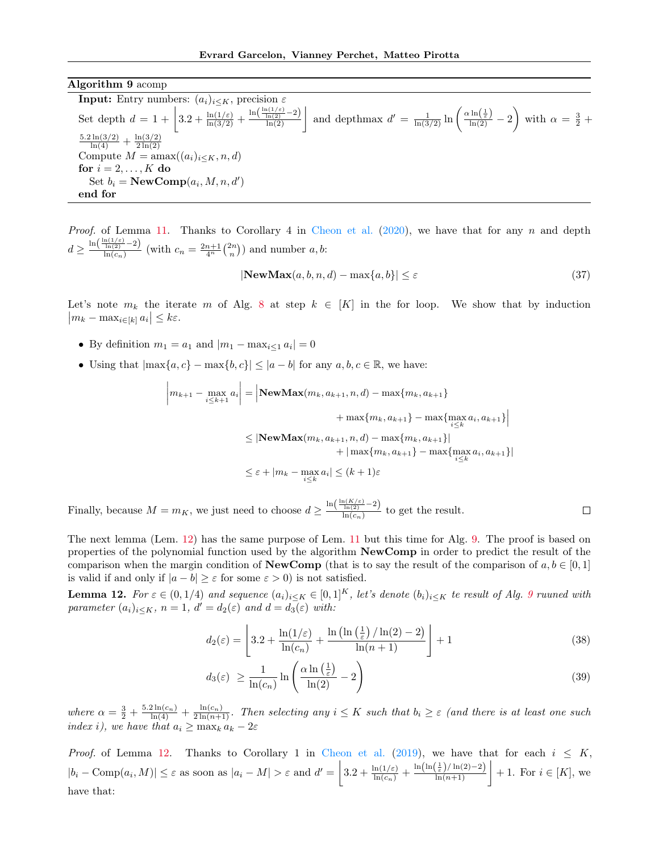Algorithm 9 acomp

<span id="page-18-0"></span>**Input:** Entry numbers:  $(a_i)_{i\leq K}$ , precision  $\varepsilon$ Set depth  $d = 1 + \left|3.2 + \frac{\ln(1/\varepsilon)}{\ln(3/2)} + \frac{\ln(\frac{\ln(1/\varepsilon)}{\ln(2)} - 2)}{\ln(2)}\right|$  and depthmax  $d' = \frac{1}{\ln(3/2)} \ln\left(\frac{\alpha \ln(\frac{1}{\varepsilon})}{\ln(2)} - 2\right)$  with  $\alpha = \frac{3}{2} + \frac{1}{2}$  $\frac{5.2 \ln(3/2)}{\ln(4)} + \frac{\ln(3/2)}{2 \ln(2)}$  $2\ln(2)$ Compute  $M = \text{amax}((a_i)_{i \leq K}, n, d)$ for  $i = 2, \ldots, K$  do Set  $b_i = \textbf{NewComp}(a_i, M, n, d')$ end for

*Proof.* of Lemma [11.](#page-17-1) Thanks to Corollary 4 in [Cheon et al.](#page-8-10)  $(2020)$ , we have that for any n and depth  $d \geq \frac{\ln\left(\frac{\ln(1/\varepsilon)}{\ln(2)} - 2\right)}{\ln(c)}$  $\frac{\ln(2)}{\ln(c_n)}$  (with  $c_n = \frac{2n+1}{4^n} {2n \choose n}$ ) and number a, b:

$$
|\mathbf{NewMax}(a, b, n, d) - \max\{a, b\}| \le \varepsilon \tag{37}
$$

Let's note  $m_k$  the iterate m of Alg. [8](#page-17-0) at step  $k \in [K]$  in the for loop. We show that by induction  $|m_k - \max_{i \in [k]} a_i| \leq k\varepsilon.$ 

• By definition  $m_1 = a_1$  and  $|m_1 - \max_{i \leq 1} a_i| = 0$ 

 $\begin{array}{c} \begin{array}{c} \begin{array}{c} \end{array} \\ \begin{array}{c} \end{array} \end{array} \end{array}$ 

• Using that  $|\max\{a, c\} - \max\{b, c\}| \leq |a - b|$  for any  $a, b, c \in \mathbb{R}$ , we have:

$$
\begin{aligned}\n\left| m_{k+1} - \max_{i \le k+1} a_i \right| &= \left| \text{NewMax}(m_k, a_{k+1}, n, d) - \max\{m_k, a_{k+1}\} + \max\{m_k, a_{k+1}\} - \max\{\max_{i \le k} a_i, a_{k+1}\} \right| \\
&\le \left| \text{NewMax}(m_k, a_{k+1}, n, d) - \max\{m_k, a_{k+1}\} \right| \\
&\quad + \left| \max\{m_k, a_{k+1}\} - \max\{\max_{i \le k} a_i, a_{k+1}\} \right| \\
&\le \varepsilon + \left| m_k - \max_{i \le k} a_i \right| \le (k+1)\varepsilon\n\end{aligned}
$$

Finally, because  $M = m_K$ , we just need to choose  $d \geq \frac{\ln(\frac{\ln(K/\varepsilon)}{\ln(2)})}{\ln(c_{\varepsilon})}$  $\Box$  $\frac{\ln(2)}{\ln(c_n)}$  to get the result.

The next lemma (Lem. [12\)](#page-18-1) has the same purpose of Lem. [11](#page-17-1) but this time for Alg. [9.](#page-18-0) The proof is based on properties of the polynomial function used by the algorithm NewComp in order to predict the result of the comparison when the margin condition of **NewComp** (that is to say the result of the comparison of  $a, b \in [0, 1]$ ) is valid if and only if  $|a - b| \geq \varepsilon$  for some  $\varepsilon > 0$ ) is not satisfied.

<span id="page-18-1"></span>**Lemma 12.** For  $\varepsilon \in (0, 1/4)$  and sequence  $(a_i)_{i \leq K} \in [0, 1]^K$ , let's denote  $(b_i)_{i \leq K}$  te result of Alg. [9](#page-18-0) ruuned with parameter  $(a_i)_{i \leq K}$ ,  $n = 1$ ,  $d' = d_2(\varepsilon)$  and  $d = d_3(\varepsilon)$  with:

$$
d_2(\varepsilon) = \left[3.2 + \frac{\ln(1/\varepsilon)}{\ln(c_n)} + \frac{\ln(\ln(\frac{1}{\varepsilon})/\ln(2) - 2)}{\ln(n+1)}\right] + 1
$$
\n(38)

$$
d_3(\varepsilon) \ge \frac{1}{\ln(c_n)} \ln \left( \frac{\alpha \ln \left( \frac{1}{\varepsilon} \right)}{\ln(2)} - 2 \right) \tag{39}
$$

where  $\alpha = \frac{3}{2} + \frac{5.2 \ln(c_n)}{\ln(4)} + \frac{\ln(c_n)}{2 \ln(n+1)}$ . Then selecting any  $i \leq K$  such that  $b_i \geq \varepsilon$  (and there is at least one such index i), we have that  $a_i \ge \max_k a_k - 2\varepsilon$ 

*Proof.* of Lemma [12.](#page-18-1) Thanks to Corollary 1 in [Cheon et al.](#page-8-20) [\(2019\)](#page-8-20), we have that for each  $i \leq K$ ,  $|b_i - \text{Comp}(a_i, M)| \leq \varepsilon$  as soon as  $|a_i - M| > \varepsilon$  and  $d' = \left| 3.2 + \frac{\ln(1/\varepsilon)}{\ln(c_n)} + \frac{\ln(\ln(\frac{1}{\varepsilon})/\ln(2)-2)}{\ln(n+1)} \right| + 1$ . For  $i \in [K]$ , we have that: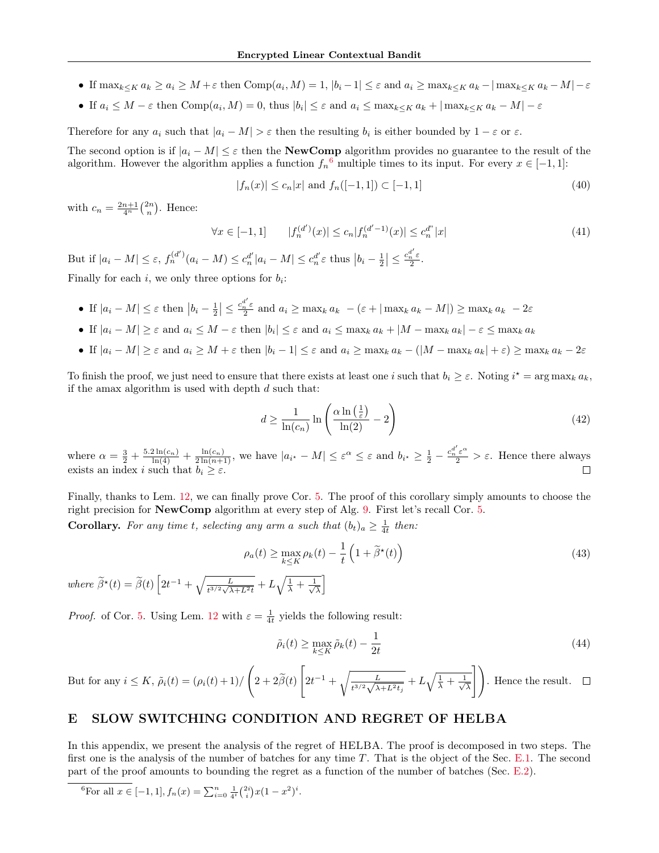- If  $\max_{k \leq K} a_k \geq a_i \geq M + \varepsilon$  then  $\text{Comp}(a_i, M) = 1, |b_i 1| \leq \varepsilon$  and  $a_i \geq \max_{k \leq K} a_k |\max_{k \leq K} a_k M| \varepsilon$
- If  $a_i \leq M \varepsilon$  then  $\text{Comp}(a_i, M) = 0$ , thus  $|b_i| \leq \varepsilon$  and  $a_i \leq \max_{k \leq K} a_k + |\max_{k \leq K} a_k M| \varepsilon$

Therefore for any  $a_i$  such that  $|a_i - M| > \varepsilon$  then the resulting  $b_i$  is either bounded by  $1 - \varepsilon$  or  $\varepsilon$ .

The second option is if  $|a_i - M| \leq \varepsilon$  then the **NewComp** algorithm provides no guarantee to the result of the algorithm. However the algorithm applies a function  $f_n^6$  $f_n^6$  multiple times to its input. For every  $x \in [-1,1]$ :

$$
|f_n(x)| \le c_n |x| \text{ and } f_n([-1, 1]) \subset [-1, 1] \tag{40}
$$

with  $c_n = \frac{2n+1}{4^n} {2n \choose n}$ . Hence:

$$
\forall x \in [-1, 1] \qquad |f_n^{(d')}(x)| \le c_n |f_n^{(d'-1)}(x)| \le c_n^{d''}|x| \tag{41}
$$

But if  $|a_i - M| \leq \varepsilon$ ,  $f_n^{(d')}(a_i - M) \leq c_n^{d'}|a_i - M| \leq c_n^{d'} \varepsilon$  thus  $|b_i - \frac{1}{2}| \leq \frac{c_n^{d'} \varepsilon}{2}$ . Finally for each  $i$ , we only three options for  $b_i$ :

- If  $|a_i M| \leq \varepsilon$  then  $|b_i \frac{1}{2}| \leq \frac{c_n^{d'}\varepsilon}{2}$  and  $a_i \geq \max_k a_k (\varepsilon + |\max_k a_k M|) \geq \max_k a_k 2\varepsilon$
- If  $|a_i M| \geq \varepsilon$  and  $a_i \leq M \varepsilon$  then  $|b_i| \leq \varepsilon$  and  $a_i \leq \max_k a_k + |M \max_k a_k| \varepsilon \leq \max_k a_k$
- If  $|a_i M| \geq \varepsilon$  and  $a_i \geq M + \varepsilon$  then  $|b_i 1| \leq \varepsilon$  and  $a_i \geq \max_k a_k (|M \max_k a_k| + \varepsilon) \geq \max_k a_k 2\varepsilon$

To finish the proof, we just need to ensure that there exists at least one i such that  $b_i \geq \varepsilon$ . Noting  $i^* = \arg \max_k a_k$ , if the amax algorithm is used with depth  $d$  such that:

$$
d \ge \frac{1}{\ln(c_n)} \ln \left( \frac{\alpha \ln \left( \frac{1}{\varepsilon} \right)}{\ln(2)} - 2 \right) \tag{42}
$$

where  $\alpha = \frac{3}{2} + \frac{5.2 \ln(c_n)}{\ln(4)} + \frac{\ln(c_n)}{2 \ln(n+1)}$ , we have  $|a_{i^*} - M| \leq \varepsilon^{\alpha} \leq \varepsilon$  and  $b_{i^*} \geq \frac{1}{2} - \frac{c_n^{d'} \varepsilon^{\alpha}}{2} > \varepsilon$ . Hence there always exists an index i such that  $b_i \geq \varepsilon$ .

Finally, thanks to Lem. [12,](#page-18-1) we can finally prove Cor. [5.](#page-5-0) The proof of this corollary simply amounts to choose the right precision for NewComp algorithm at every step of Alg. [9.](#page-18-0) First let's recall Cor. [5.](#page-5-0)

**Corollary.** For any time t, selecting any arm a such that  $(b_t)_a \geq \frac{1}{4t}$  then:

$$
\rho_a(t) \ge \max_{k \le K} \rho_k(t) - \frac{1}{t} \left( 1 + \tilde{\beta}^*(t) \right) \tag{43}
$$

where  $\widetilde{\beta}^{\star}(t) = \widetilde{\beta}(t) \left[2t^{-1} + \sqrt{\frac{L}{t^{3/2}\sqrt{\lambda + L^2 t}}} + L\sqrt{\frac{1}{\lambda} + \frac{1}{\sqrt{\lambda}}} \right]$  $\frac{1}{\overline{\lambda}}$ 

*Proof.* of Cor. [5.](#page-5-0) Using Lem. [12](#page-18-1) with  $\varepsilon = \frac{1}{4t}$  yields the following result:

$$
\tilde{\rho}_i(t) \ge \max_{k \le K} \tilde{\rho}_k(t) - \frac{1}{2t} \tag{44}
$$

But for any 
$$
i \le K
$$
,  $\tilde{\rho}_i(t) = (\rho_i(t) + 1) / \left(2 + 2\tilde{\beta}(t) \left[2t^{-1} + \sqrt{\frac{L}{t^{3/2}\sqrt{\lambda + L^2 t_j}}} + L\sqrt{\frac{1}{\lambda} + \frac{1}{\sqrt{\lambda}}}\right]\right)$ . Hence the result.  $\square$ 

# E SLOW SWITCHING CONDITION AND REGRET OF HELBA

In this appendix, we present the analysis of the regret of HELBA. The proof is decomposed in two steps. The first one is the analysis of the number of batches for any time  $T$ . That is the object of the Sec. [E.1.](#page-20-1) The second part of the proof amounts to bounding the regret as a function of the number of batches (Sec. [E.2\)](#page-24-0).

<span id="page-19-0"></span><sup>6</sup>For all 
$$
x \in [-1, 1]
$$
,  $f_n(x) = \sum_{i=0}^n \frac{1}{4^i} {2i \choose i} x (1 - x^2)^i$ .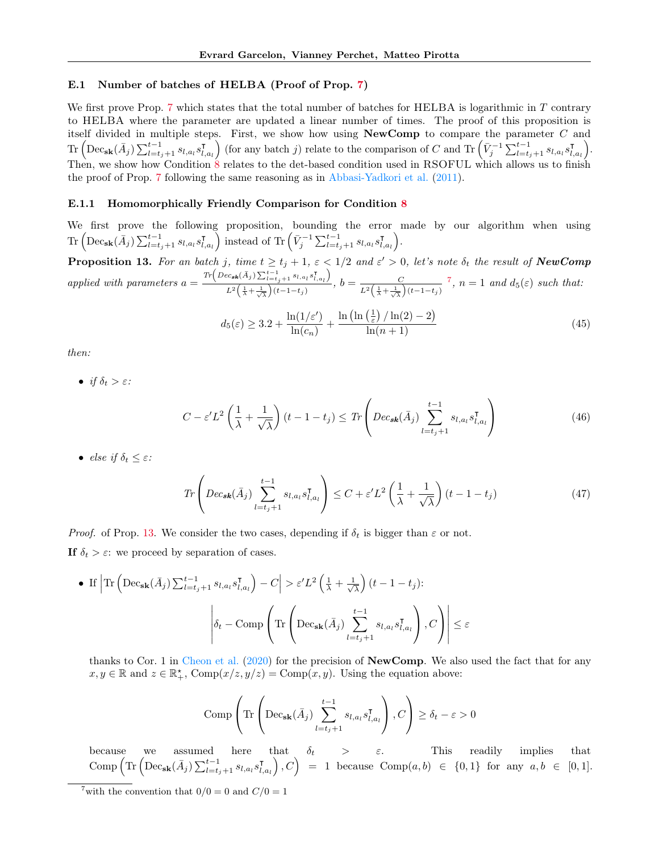## <span id="page-20-1"></span>E.1 Number of batches of HELBA (Proof of Prop. [7\)](#page-6-1)

We first prove Prop. [7](#page-6-1) which states that the total number of batches for HELBA is logarithmic in T contrary to HELBA where the parameter are updated a linear number of times. The proof of this proposition is itself divided in multiple steps. First, we show how using NewComp to compare the parameter C and  $\text{Tr}\left(\text{Dec}_{\textbf{sk}}(\bar{A}_{j})\sum_{l=t_{j}+1}^{t-1} s_{l, a_{l}}s_{l,}^{\intercal}\right)$  $\begin{bmatrix} \nabla_{l,a_l} \n\end{bmatrix}$  (for any batch j) relate to the comparison of C and Tr  $(\bar{V}_j^{-1} \sum_{l=t_j+1}^{t-1} s_{l,a_l} s_{l,a_l}^{\intercal})$  $\left(\begin{matrix} \mathsf{T} \ l, a_l \end{matrix}\right).$ Then, we show how Condition [8](#page-5-1) relates to the det-based condition used in RSOFUL which allows us to finish the proof of Prop. [7](#page-6-1) following the same reasoning as in [Abbasi-Yadkori et al.](#page-8-2) [\(2011\)](#page-8-2).

#### <span id="page-20-0"></span>E.1.1 Homomorphically Friendly Comparison for Condition [8](#page-5-1)

We first prove the following proposition, bounding the error made by our algorithm when using  $\text{Tr}\left(\text{Dec}_{\textbf{sk}}(\bar{A}_{j})\sum_{l=t_{j}+1}^{t-1} s_{l,a_{l}}s_{l,a_{l}}^{\intercal}\right)$  $\begin{bmatrix} \overline{I}_{l,a_l} \end{bmatrix}$  instead of Tr $\left( \bar{V}_j^{-1} \sum_{l=t_j+1}^{t-1} s_{l,a_l} s_{l,a_l}^{\intercal} \right)$  $\left(\begin{smallmatrix} \texttt{I} \ I, a_l \end{smallmatrix}\right).$ 

<span id="page-20-3"></span>**Proposition 13.** For an batch j, time  $t \ge t_j + 1$ ,  $\varepsilon < 1/2$  and  $\varepsilon' > 0$ , let's note  $\delta_t$  the result of **NewComp** applied with parameters  $a =$  $Tr\left(Dec_{sk}(\bar{A}_{j})\sum_{l=t_{j}+1}^{t-1} s_{l,a_{l}}s_{l,a_{l}}^{\intercal}\right)$  $\frac{C}{L^2\left(\frac{1}{\lambda}+\frac{1}{\sqrt{\lambda}}\right)(t-1-t_j)}, b=\frac{C}{L^2\left(\frac{1}{\lambda}+\frac{1}{\sqrt{\lambda}}\right)}$  $L^2\left(\frac{1}{\lambda}+\frac{1}{\sqrt{\lambda}}\right)(t-1-t_j)$ <sup>[7](#page-20-2)</sup>,  $n = 1$  and  $d_5(\varepsilon)$  such that:

$$
d_5(\varepsilon) \ge 3.2 + \frac{\ln(1/\varepsilon')}{\ln(c_n)} + \frac{\ln\left(\ln\left(\frac{1}{\varepsilon}\right)/\ln(2) - 2\right)}{\ln(n+1)}
$$
(45)

then:

• if  $\delta_t > \varepsilon$ :

$$
C - \varepsilon' L^2 \left( \frac{1}{\lambda} + \frac{1}{\sqrt{\lambda}} \right) (t - 1 - t_j) \leq Tr \left( Dec_{\mathbf{sk}}(\bar{A}_j) \sum_{l=t_j+1}^{t-1} s_{l, a_l} s_{l, a_l}^{\mathsf{T}} \right)
$$
(46)

• else if  $\delta_t \leq \varepsilon$ :

$$
Tr\left(Dec_{sk}(\bar{A}_{j})\sum_{l=t_{j}+1}^{t-1} s_{l,a_{l}}s_{l,a_{l}}^{\mathsf{T}}\right) \leq C + \varepsilon'L^{2}\left(\frac{1}{\lambda} + \frac{1}{\sqrt{\lambda}}\right)(t-1-t_{j})
$$
\n
$$
(47)
$$

*Proof.* of Prop. [13.](#page-20-3) We consider the two cases, depending if  $\delta_t$  is bigger than  $\varepsilon$  or not.

If  $\delta_t > \varepsilon$ : we proceed by separation of cases.

• If 
$$
|\text{Tr} \left( \text{Dec}_{\textbf{sk}}(\bar{A}_{j}) \sum_{l=t_{j}+1}^{t-1} s_{l,a_{l}} s_{l,a_{l}}^{\intercal} \right) - C| > \varepsilon'L^{2} \left( \frac{1}{\lambda} + \frac{1}{\sqrt{\lambda}} \right) (t - 1 - t_{j})
$$
:  

$$
\left| \delta_{t} - \text{Comp} \left( \text{Tr} \left( \text{Dec}_{\textbf{sk}}(\bar{A}_{j}) \sum_{l=t_{j}+1}^{t-1} s_{l,a_{l}} s_{l,a_{l}}^{\intercal} \right), C \right) \right| \le \varepsilon
$$

thanks to Cor. 1 in [Cheon et al.](#page-8-10) [\(2020\)](#page-8-10) for the precision of NewComp. We also used the fact that for any  $x, y \in \mathbb{R}$  and  $z \in \mathbb{R}^*_+$ ,  $\text{Comp}(x/z, y/z) = \text{Comp}(x, y)$ . Using the equation above:

Comp 
$$
\left(\text{Tr}\left(\text{Dec}_{\textbf{sk}}(\bar{A}_{j})\sum_{l=t_{j}+1}^{t-1} s_{l,a_{l}}s_{l,a_{l}}^{\mathsf{T}}\right), C\right) \geq \delta_{t} - \varepsilon > 0
$$

because we assumed here that  $\delta_t$  >  $\varepsilon$ . This readily implies that  $\mathop{\mathrm{Comp}}\nolimits \Big(\mathop{\mathrm{Tr}}\nolimits \Big(\mathop{\mathrm{Dec}}\nolimits_{\mathbf{sk}}(\bar A_j) \sum_{l=t_j+1}^{t-1} s_{l,a_l}s^\intercal_{l,a_l} \Big)$  $\left(\begin{matrix} \texttt{I}_{l,a_l} \end{matrix}\right), C\Big) \;\; = \;\; 1 \;\; \text{because} \;\; \text{Comp}(a, b) \;\; \in \;\; \{0, 1\} \;\; \text{for any} \;\; a, b \;\; \in \;\; [0, 1].$ 

<span id="page-20-2"></span><sup>&</sup>lt;sup>7</sup>with the convention that  $0/0 = 0$  and  $C/0 = 1$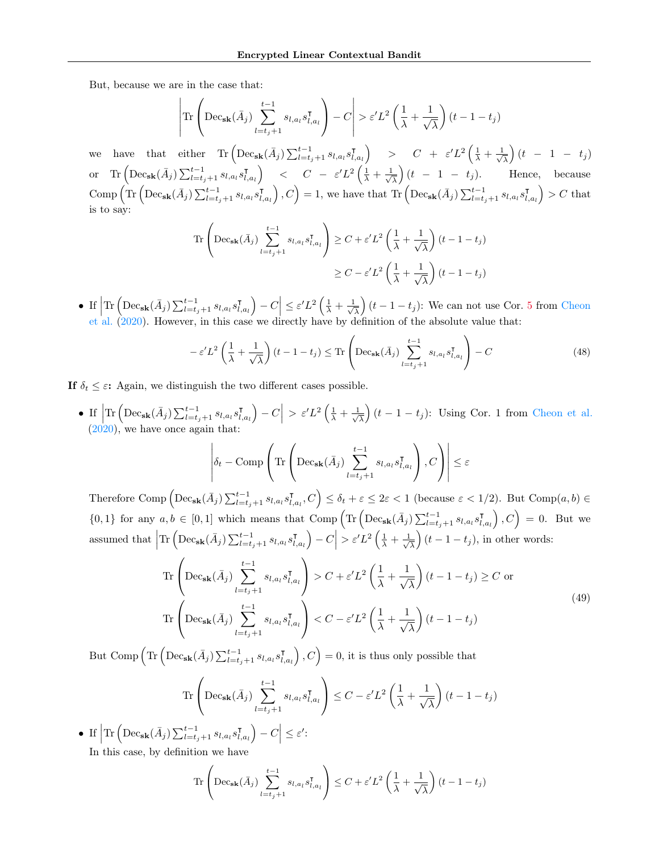But, because we are in the case that:

$$
\left| \text{Tr} \left( \text{Dec}_{\textbf{sk}}(\bar{A}_{j}) \sum_{l=t_{j}+1}^{t-1} s_{l,a_{l}} s_{l,a_{l}}^{\intercal} \right) - C \right| > \varepsilon'L^{2} \left( \frac{1}{\lambda} + \frac{1}{\sqrt{\lambda}} \right) (t - 1 - t_{j})
$$

we have that either  $\text{Tr} \left( \text{Dec}_{\textbf{sk}}(\bar{A}_{j}) \sum_{l=t_j+1}^{t-1} s_{l,a_{l}} s_{l,a_{l}}^{\intercal}\right)$  $\begin{pmatrix} \nabla \cdot \mathbf{I}_{l, a_l} & \cdots \nabla \cdot \mathbf{I}_{l} \end{pmatrix} \quad \Rightarrow \quad C \quad + \quad \varepsilon' L^2 \left( \frac{1}{\lambda} + \frac{1}{\sqrt{2}} \right)$  $\frac{1}{\lambda}$   $\Big)$   $(t$   $-$  1  $t_j$   $\Big)$ or Tr  $\left( \mathrm{Dec}_{\mathbf{sk}}(\bar{A}_{j}) \sum_{l=t_{j}+1}^{t-1} s_{l,a_{l}} s_{l,a_{l}}^{\intercal}\right)$  $\left(\frac{\mathsf{T}}{\lambda}, a_l\right)$  <  $C$  -  $\varepsilon' L^2 \left(\frac{1}{\lambda} + \frac{1}{\sqrt{2}}\right)$  $\frac{1}{\lambda}$   $(t - 1 - t_j)$ . Hence, because  $\mathop{\mathrm{Comp}}\nolimits \Big(\mathop{\mathrm{Tr}}\nolimits \Big(\mathop{\mathrm{Dec}}\nolimits_{\mathbf{sk}}(\bar A_j) \sum_{l=t_j+1}^{t-1} s_{l,a_l}s^\intercal_{l,a_l} \Big)$  $\left(I_{l,a_l}\right), C\Big) = 1$ , we have that Tr  $\left( \text{Dec}_{\textbf{sk}}(\bar{A}_j) \sum_{l=t_j+1}^{t-1} s_{l,a_l} s_{l,a_l}^{\intercal} \right)$  $\left(\begin{smallmatrix} \textsf{T}\ I_{l, a_l} \end{smallmatrix}\right) > C \text{ that}$ is to say:

$$
\operatorname{Tr}\left(\operatorname{Dec}_{\mathbf{sk}}(\bar{A}_{j})\sum_{l=t_{j}+1}^{t-1} s_{l,a_{l}}s_{l,a_{l}}^{\mathbf{T}}\right) \geq C + \varepsilon'L^{2}\left(\frac{1}{\lambda} + \frac{1}{\sqrt{\lambda}}\right)(t-1-t_{j})
$$

$$
\geq C - \varepsilon'L^{2}\left(\frac{1}{\lambda} + \frac{1}{\sqrt{\lambda}}\right)(t-1-t_{j})
$$

• If  $\left| \text{Tr} \left( \text{Dec}_{\textbf{sk}}(\bar{A}_{j}) \sum_{l=t_j+1}^{t-1} s_{l,a_{l}} s_{l}^{\intercal}, \right) \right|$  $\left| \begin{matrix} \mathsf{T} \ I_{l, a_l} \end{matrix} \right| - C \leq \varepsilon' L^2 \left( \frac{1}{\lambda} + \frac{1}{\sqrt{l}} \right)$  $\frac{1}{\lambda}$   $(t-1-t_j)$ : We can not use Cor. [5](#page-5-0) from [Cheon](#page-8-10) [et al.](#page-8-10) [\(2020\)](#page-8-10). However, in this case we directly have by definition of the absolute value that:

$$
-\varepsilon' L^2 \left(\frac{1}{\lambda} + \frac{1}{\sqrt{\lambda}}\right) (t - 1 - t_j) \le \text{Tr}\left(\text{Dec}_{\textbf{sk}}(\bar{A}_j) \sum_{l=t_j+1}^{t-1} s_{l,a_l} s_{l,a_l}^{\mathsf{T}}\right) - C
$$
\n(48)

If  $\delta_t \leq \varepsilon$ : Again, we distinguish the two different cases possible.

• If  $\left| \text{Tr} \left( \text{Dec}_{\textbf{sk}}(\bar{A}_{j}) \sum_{l=t_j+1}^{t-1} s_{l,a_{l}} s_{l,a_{l}}^{\intercal}\right) \right|$  $\left| \begin{matrix} \overline{J}_{l, a_l} \end{matrix} \right| - C \Big| > \varepsilon' L^2 \left( \frac{1}{\lambda} + \frac{1}{\sqrt{2}} \right)$  $\frac{1}{\lambda}$  (t - 1 - t<sub>j</sub>): Using Cor. 1 from [Cheon et al.](#page-8-10)  $(2020)$ , we have once again that:

$$
\left| \delta_t - \text{Comp}\left( \text{Tr}\left( \text{Dec}_{\textbf{sk}}(\bar{A}_j) \sum_{l=t_j+1}^{t-1} s_{l,a_l} s_{l,a_l}^{\mathsf{T}} \right), C \right) \right| \leq \varepsilon
$$

Therefore Comp  $\left( \mathrm{Dec}_{\mathbf{sk}}(\bar{A}_{j}) \sum_{l=t_{j}+1}^{t-1} s_{l,a_{l}}s_{l,a_{l}}^{\intercal}\right)$  $\left(\mathcal{L}_{l,a_l}, C\right) \leq \delta_t + \varepsilon \leq 2\varepsilon < 1$  (because  $\varepsilon < 1/2$ ). But Comp $(a, b) \in$  $\{0,1\}$  for any  $a, b \in [0,1]$  which means that Comp  $\left(\text{Tr}\left(\text{Dec}_{\textbf{sk}}(\bar{A}_{j})\sum_{l=t_{j}+1}^{t-1} s_{l,a_{l}}s_{l,a_{l}}^{\intercal}\right)\right)$  $\left(\begin{smallmatrix} \textsf{T}\ I_{l, a_l} \end{smallmatrix}\right), C\Big) \,=\, 0. \;\; \text{But we}$ assumed that  $\left|\text{Tr}\left(\text{Dec}_{\textbf{sk}}(\bar{A}_{j})\sum_{l=t_{j}+1}^{t-1} s_{l,a_{l}}s_{l,a_{l}}^{\intercal}\right)\right|$  $\left| \begin{matrix} \mathsf{T} \ I_{l, a_l} \end{matrix} \right| - C \Big| > \varepsilon' L^2 \left( \frac{1}{\lambda} + \frac{1}{\sqrt{2}} \right)$  $\frac{1}{\lambda}$   $(t-1-t_j)$ , in other words:

$$
\operatorname{Tr}\left(\operatorname{Dec}_{\mathbf{sk}}(\bar{A}_{j})\sum_{l=t_{j}+1}^{t-1} s_{l,a_{l}} s_{l,a_{l}}^{\mathsf{T}}\right) > C + \varepsilon'L^{2}\left(\frac{1}{\lambda} + \frac{1}{\sqrt{\lambda}}\right)(t-1-t_{j}) \ge C \text{ or}
$$
\n
$$
\operatorname{Tr}\left(\operatorname{Dec}_{\mathbf{sk}}(\bar{A}_{j})\sum_{l=t_{j}+1}^{t-1} s_{l,a_{l}} s_{l,a_{l}}^{\mathsf{T}}\right) < C - \varepsilon'L^{2}\left(\frac{1}{\lambda} + \frac{1}{\sqrt{\lambda}}\right)(t-1-t_{j})
$$
\n
$$
(49)
$$

But Comp  $\left(\text{Tr}\left(\text{Dec}_{\textbf{sk}}(\bar{A}_{j})\sum_{l=t_{j}+1}^{t-1} s_{l,a_{l}}s_{l,\alpha_{l}}^{\intercal}\right)\right)$  $\left(I_{l,a_l}\right)$ ,  $C\Big) = 0$ , it is thus only possible that

$$
\operatorname{Tr}\left(\operatorname{Dec}_{\mathbf{sk}}(\bar{A}_{j})\sum_{l=t_{j}+1}^{t-1} s_{l,a_{l}}s_{l,a_{l}}^{\mathsf{T}}\right) \leq C - \varepsilon'L^{2}\left(\frac{1}{\lambda} + \frac{1}{\sqrt{\lambda}}\right)(t-1-t_{j})
$$

• If  $\left| \text{Tr} \left( \text{Dec}_{\textbf{sk}}(\bar{A}_{j}) \sum_{l=t_{j}+1}^{t-1} s_{l,a_{l}} s_{l,a_{l}}^{\intercal}\right) \right|$  $\left| \begin{matrix} \texttt{I} \ I, a_l \end{matrix} \right| - C \Big| \leq \varepsilon'$ In this case, by definition we have

$$
\operatorname{Tr}\left(\operatorname{Dec}_{\mathbf{sk}}(\bar{A}_{j})\sum_{l=t_{j}+1}^{t-1} s_{l,a_{l}}s_{l,a_{l}}^{\intercal} \right) \leq C + \varepsilon'L^{2}\left(\frac{1}{\lambda} + \frac{1}{\sqrt{\lambda}}\right)(t-1-t_{j})
$$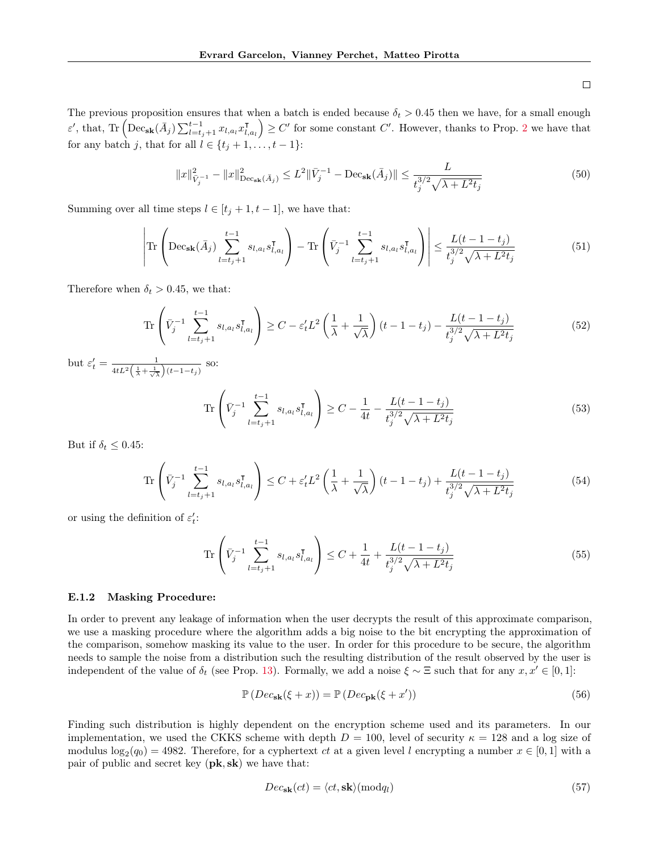<span id="page-22-1"></span> $\Box$ 

The previous proposition ensures that when a batch is ended because  $\delta_t > 0.45$  then we have, for a small enough ε', that, Tr  $\left( \mathrm{Dec}_{\mathbf{sk}}(\bar{A}_{j}) \sum_{l=t_{j}+1}^{t-1} x_{l,a_{l}} x_{l,a_{l}}^{\intercal} \right)$  $\left(\begin{smallmatrix} \mathsf{T} \ I_{l,a_l} \end{smallmatrix}\right) \geq C'$  for some constant C'. However, thanks to Prop. [2](#page-3-4) we have that for any batch j, that for all  $l \in \{t_j + 1, \ldots, t-1\}$ :

$$
||x||_{\bar{V}_j^{-1}}^2 - ||x||_{\text{Dec}_{\textbf{sk}}(\bar{A}_j)}^2 \le L^2 ||\bar{V}_j^{-1} - \text{Dec}_{\textbf{sk}}(\bar{A}_j)|| \le \frac{L}{t_j^{3/2}\sqrt{\lambda + L^2 t_j}}
$$
(50)

Summing over all time steps  $l \in [t_j + 1, t - 1]$ , we have that:

$$
\left| \text{Tr} \left( \text{Dec}_{\textbf{sk}}(\bar{A}_{j}) \sum_{l=t_{j}+1}^{t-1} s_{l,a_{l}} s_{l,a_{l}}^{\intercal} \right) - \text{Tr} \left( \bar{V}_{j}^{-1} \sum_{l=t_{j}+1}^{t-1} s_{l,a_{l}} s_{l,a_{l}}^{\intercal} \right) \right| \leq \frac{L(t-1-t_{j})}{t_{j}^{3/2} \sqrt{\lambda + L^{2}t_{j}}} \tag{51}
$$

Therefore when  $\delta_t > 0.45$ , we that:

$$
\operatorname{Tr}\left(\bar{V}_j^{-1} \sum_{l=t_j+1}^{t-1} s_{l,a_l} s_{l,a_l}^{\mathsf{T}}\right) \ge C - \varepsilon'_t L^2 \left(\frac{1}{\lambda} + \frac{1}{\sqrt{\lambda}}\right) (t-1-t_j) - \frac{L(t-1-t_j)}{t_j^{3/2} \sqrt{\lambda + L^2 t_j}}\tag{52}
$$

but  $\varepsilon'_t = \frac{1}{4t^2\left(1 + 1\right)}$  $\frac{1}{4tL^2\left(\frac{1}{\lambda}+\frac{1}{\sqrt{\lambda}}\right)(t-1-t_j)}$  so:

$$
\operatorname{Tr}\left(\bar{V}_j^{-1}\sum_{l=t_j+1}^{t-1} s_{l,a_l} s_{l,a_l}^{\mathsf{T}}\right) \ge C - \frac{1}{4t} - \frac{L(t-1-t_j)}{t_j^{3/2}\sqrt{\lambda + L^2 t_j}}\tag{53}
$$

But if  $\delta_t \leq 0.45$ :

$$
\operatorname{Tr}\left(\bar{V}_j^{-1} \sum_{l=t_j+1}^{t-1} s_{l,a_l} s_{l,a_l}^{\mathsf{T}}\right) \le C + \varepsilon'_t L^2 \left(\frac{1}{\lambda} + \frac{1}{\sqrt{\lambda}}\right) (t-1-t_j) + \frac{L(t-1-t_j)}{t_j^{3/2} \sqrt{\lambda + L^2 t_j}}\tag{54}
$$

or using the definition of  $\varepsilon'_t$ :

$$
\operatorname{Tr}\left(\bar{V}_j^{-1}\sum_{l=t_j+1}^{t-1} s_{l,a_l} s_{l,a_l}^{\mathsf{T}}\right) \le C + \frac{1}{4t} + \frac{L(t-1-t_j)}{t_j^{3/2}\sqrt{\lambda + L^2 t_j}}\tag{55}
$$

#### <span id="page-22-0"></span>E.1.2 Masking Procedure:

In order to prevent any leakage of information when the user decrypts the result of this approximate comparison, we use a masking procedure where the algorithm adds a big noise to the bit encrypting the approximation of the comparison, somehow masking its value to the user. In order for this procedure to be secure, the algorithm needs to sample the noise from a distribution such the resulting distribution of the result observed by the user is independent of the value of  $\delta_t$  (see Prop. [13\)](#page-20-3). Formally, we add a noise  $\xi \sim \Xi$  such that for any  $x, x' \in [0, 1]$ :

$$
\mathbb{P}\left(Dec_{\mathbf{sk}}(\xi+x)\right) = \mathbb{P}\left(Dec_{\mathbf{pk}}(\xi+x')\right) \tag{56}
$$

Finding such distribution is highly dependent on the encryption scheme used and its parameters. In our implementation, we used the CKKS scheme with depth  $D = 100$ , level of security  $\kappa = 128$  and a log size of modulus  $\log_2(q_0) = 4982$ . Therefore, for a cyphertext ct at a given level l encrypting a number  $x \in [0,1]$  with a pair of public and secret key  $(\mathbf{pk}, \mathbf{sk})$  we have that:

$$
Dec_{\mathbf{sk}}(ct) = \langle ct, \mathbf{sk} \rangle (\bmod q_l) \tag{57}
$$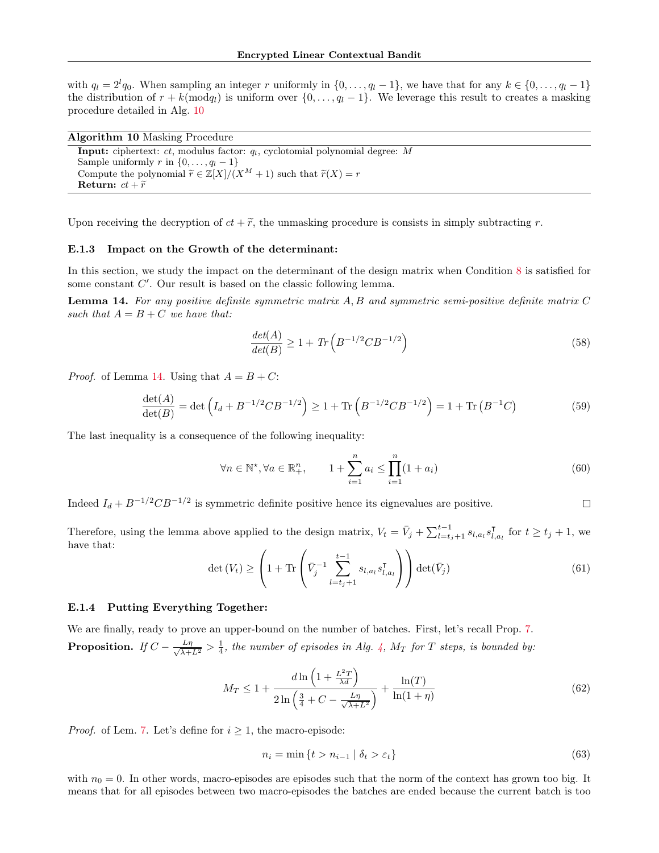with  $q_l = 2^l q_0$ . When sampling an integer r uniformly in  $\{0, \ldots, q_l - 1\}$ , we have that for any  $k \in \{0, \ldots, q_l - 1\}$ the distribution of  $r + k \pmod{q_l}$  is uniform over  $\{0, \ldots, q_l - 1\}$ . We leverage this result to creates a masking procedure detailed in Alg. [10](#page-23-0)

| <b>Algorithm 10 Masking Procedure</b> |  |  |  |
|---------------------------------------|--|--|--|
|---------------------------------------|--|--|--|

<span id="page-23-0"></span>

| <b>Input:</b> ciphertext: $ct$ , modulus factor: $q_l$ , cyclotomial polynomial degree: M           |
|-----------------------------------------------------------------------------------------------------|
| Sample uniformly r in $\{0, \ldots, q_l-1\}$                                                        |
| Compute the polynomial $\widetilde{r} \in \mathbb{Z}[X]/(X^M + 1)$ such that $\widetilde{r}(X) = r$ |
| Return: $ct + \widetilde{r}$                                                                        |
|                                                                                                     |

Upon receiving the decryption of  $ct + \tilde{r}$ , the unmasking procedure is consists in simply subtracting r.

#### E.1.3 Impact on the Growth of the determinant:

In this section, we study the impact on the determinant of the design matrix when Condition [8](#page-5-1) is satisfied for some constant  $C'$ . Our result is based on the classic following lemma.

<span id="page-23-1"></span>**Lemma 14.** For any positive definite symmetric matrix  $A, B$  and symmetric semi-positive definite matrix  $C$ such that  $A = B + C$  we have that:

$$
\frac{\det(A)}{\det(B)} \ge 1 + \text{Tr}\left(B^{-1/2}CB^{-1/2}\right) \tag{58}
$$

*Proof.* of Lemma [14.](#page-23-1) Using that  $A = B + C$ :

$$
\frac{\det(A)}{\det(B)} = \det \left( I_d + B^{-1/2} C B^{-1/2} \right) \ge 1 + \text{Tr} \left( B^{-1/2} C B^{-1/2} \right) = 1 + \text{Tr} \left( B^{-1} C \right) \tag{59}
$$

The last inequality is a consequence of the following inequality:

$$
\forall n \in \mathbb{N}^*, \forall a \in \mathbb{R}_+^n, \qquad 1 + \sum_{i=1}^n a_i \le \prod_{i=1}^n (1 + a_i) \tag{60}
$$

 $\Box$ 

Indeed  $I_d + B^{-1/2} C B^{-1/2}$  is symmetric definite positive hence its eignevalues are positive.

Therefore, using the lemma above applied to the design matrix,  $V_t = \bar{V}_j + \sum_{l=t_j+1}^{t-1} s_{l,a_l} s_{l,a_l}^{\intercal}$  $\prod_{l,a_l}$  for  $t \geq t_j + 1$ , we have that:

$$
\det\left(V_t\right) \ge \left(1 + \text{Tr}\left(\bar{V}_j^{-1} \sum_{l=t_j+1}^{t-1} s_{l,a_l} s_{l,a_l}^{\mathsf{T}}\right)\right) \det(\bar{V}_j) \tag{61}
$$

#### E.1.4 Putting Everything Together:

We are finally, ready to prove an upper-bound on the number of batches. First, let's recall Prop. [7.](#page-6-1) **Proposition.** If  $C - \frac{L\eta}{\sqrt{\lambda + L^2}} > \frac{1}{4}$ , the number of episodes in Alg. [4,](#page-11-2) M<sub>T</sub> for T steps, is bounded by:

$$
M_T \le 1 + \frac{d\ln\left(1 + \frac{L^2T}{\lambda d}\right)}{2\ln\left(\frac{3}{4} + C - \frac{L\eta}{\sqrt{\lambda + L^2}}\right)} + \frac{\ln(T)}{\ln(1 + \eta)}
$$
(62)

*Proof.* of Lem. [7.](#page-6-1) Let's define for  $i \geq 1$ , the macro-episode:

$$
n_i = \min\left\{t > n_{i-1} \mid \delta_t > \varepsilon_t\right\} \tag{63}
$$

with  $n_0 = 0$ . In other words, macro-episodes are episodes such that the norm of the context has grown too big. It means that for all episodes between two macro-episodes the batches are ended because the current batch is too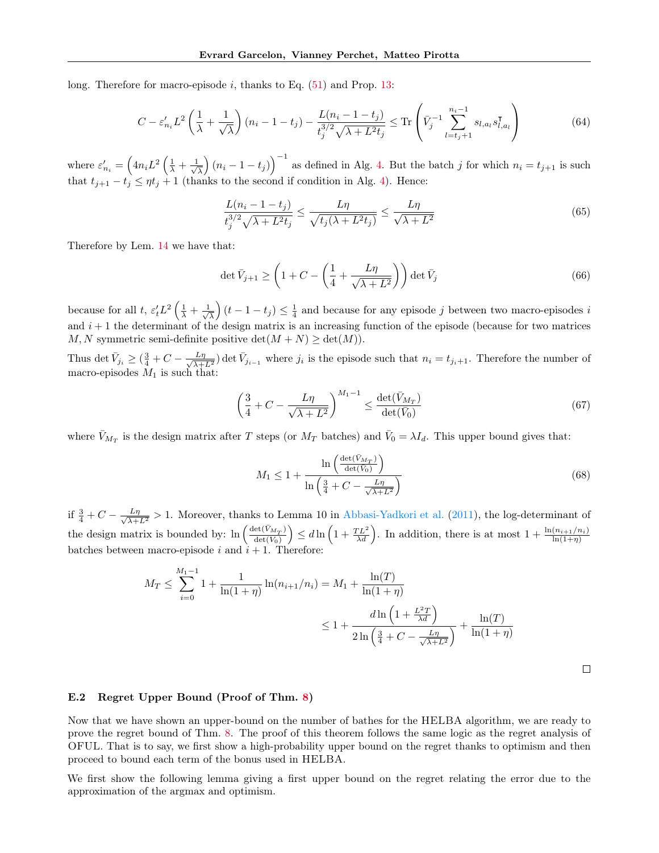long. Therefore for macro-episode i, thanks to Eq.  $(51)$  and Prop. [13:](#page-20-3)

$$
C - \varepsilon'_{n_i} L^2 \left( \frac{1}{\lambda} + \frac{1}{\sqrt{\lambda}} \right) (n_i - 1 - t_j) - \frac{L(n_i - 1 - t_j)}{t_j^{3/2} \sqrt{\lambda + L^2 t_j}} \le \text{Tr} \left( \bar{V}_j^{-1} \sum_{l=t_j + 1}^{n_i - 1} s_{l, a_l} s_{l, a_l}^{\mathsf{T}} \right)
$$
(64)

where  $\varepsilon'_{n_i} = \left(4n_iL^2\left(\frac{1}{\lambda} + \frac{1}{\sqrt{2}}\right)\right)$  $\left(\frac{1}{\lambda}\right)(n_i-1-t_j)\right)^{-1}$  as defined in Alg. [4.](#page-11-2) But the batch j for which  $n_i=t_{j+1}$  is such that  $t_{j+1} - t_j \leq \eta t_j + 1$  (thanks to the second if condition in Alg. [4\)](#page-11-2). Hence:

$$
\frac{L(n_i - 1 - t_j)}{t_j^{3/2}\sqrt{\lambda + L^2 t_j}} \le \frac{L\eta}{\sqrt{t_j(\lambda + L^2 t_j)}} \le \frac{L\eta}{\sqrt{\lambda + L^2}}
$$
\n(65)

Therefore by Lem. [14](#page-23-1) we have that:

$$
\det \bar{V}_{j+1} \ge \left(1 + C - \left(\frac{1}{4} + \frac{L\eta}{\sqrt{\lambda + L^2}}\right)\right) \det \bar{V}_j \tag{66}
$$

because for all t,  $\varepsilon_t'L^2\left(\frac{1}{\lambda} + \frac{1}{\sqrt{2}}\right)$  $\frac{1}{\lambda}(t-1-t_j) \leq \frac{1}{4}$  and because for any episode j between two macro-episodes i and  $i + 1$  the determinant of the design matrix is an increasing function of the episode (because for two matrices M, N symmetric semi-definite positive  $\det(M+N) \geq \det(M)$ .

Thus det  $\bar{V}_{j_i} \geq (\frac{3}{4} + C - \frac{L\eta}{\sqrt{\lambda + 1}})$  $\frac{L\eta}{\lambda+L^2}$  det  $\bar{V}_{j_{i-1}}$  where  $j_i$  is the episode such that  $n_i = t_{j_i+1}$ . Therefore the number of macro-episodes  $M_1$  is such that:

$$
\left(\frac{3}{4} + C - \frac{L\eta}{\sqrt{\lambda + L^2}}\right)^{M_1 - 1} \le \frac{\det(\bar{V}_{M_T})}{\det(\bar{V}_0)}\tag{67}
$$

where  $\bar{V}_{M_T}$  is the design matrix after T steps (or  $M_T$  batches) and  $\bar{V}_0 = \lambda I_d$ . This upper bound gives that:

$$
M_1 \le 1 + \frac{\ln\left(\frac{\det(\bar{V}_{M_T})}{\det(\bar{V}_0)}\right)}{\ln\left(\frac{3}{4} + C - \frac{L\eta}{\sqrt{\lambda + L^2}}\right)}\tag{68}
$$

 $\Box$ 

if  $\frac{3}{4} + C - \frac{L\eta}{\sqrt{\lambda + L^2}} > 1$ . Moreover, thanks to Lemma 10 in [Abbasi-Yadkori et al.](#page-8-2) [\(2011\)](#page-8-2), the log-determinant of the design matrix is bounded by:  $\ln \left( \frac{\det(V_{M_T})}{\det(V_0)} \right) \leq d \ln \left( 1 + \frac{TL^2}{\lambda d} \right)$ . In addition, there is at most  $1 + \frac{\ln(n_{i+1}/n_i)}{\ln(1+\eta)}$ batches between macro-episode  $i$  and  $i + 1$ . Therefore:

$$
M_T \le \sum_{i=0}^{M_1 - 1} 1 + \frac{1}{\ln(1 + \eta)} \ln(n_{i+1}/n_i) = M_1 + \frac{\ln(T)}{\ln(1 + \eta)}
$$
  

$$
\le 1 + \frac{d \ln\left(1 + \frac{L^2 T}{\lambda d}\right)}{2 \ln\left(\frac{3}{4} + C - \frac{L\eta}{\sqrt{\lambda + L^2}}\right)} + \frac{\ln(T)}{\ln(1 + \eta)}
$$

<span id="page-24-0"></span>E.2 Regret Upper Bound (Proof of Thm. [8\)](#page-6-3)

Now that we have shown an upper-bound on the number of bathes for the HELBA algorithm, we are ready to prove the regret bound of Thm. [8.](#page-6-3) The proof of this theorem follows the same logic as the regret analysis of OFUL. That is to say, we first show a high-probability upper bound on the regret thanks to optimism and then proceed to bound each term of the bonus used in HELBA.

We first show the following lemma giving a first upper bound on the regret relating the error due to the approximation of the argmax and optimism.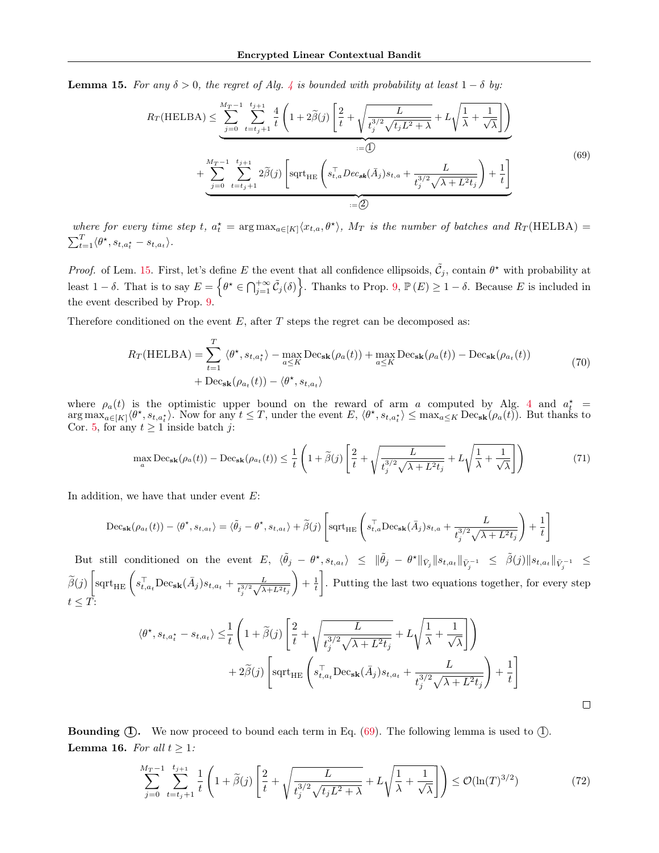<span id="page-25-0"></span>**Lemma 15.** For any  $\delta > 0$ , the regret of Alg. [4](#page-11-2) is bounded with probability at least  $1 - \delta$  by:

<span id="page-25-1"></span>
$$
R_T(\text{HELBA}) \leq \underbrace{\sum_{j=0}^{M_T-1} \sum_{t=t_j+1}^{t_{j+1}} \frac{4}{t} \left( 1 + 2\tilde{\beta}(j) \left[ \frac{2}{t} + \sqrt{\frac{L}{t_j^{3/2} \sqrt{t_j L^2 + \lambda}} + L \sqrt{\frac{1}{\lambda} + \frac{1}{\sqrt{\lambda}}} \right]}_{:=\square} \right)}_{:=\square} + \underbrace{\sum_{j=0}^{M_T-1} \sum_{t=t_j+1}^{t_{j+1}} 2\tilde{\beta}(j) \left[ \text{sqrt}_{\text{HE}} \left( s_{t,a}^\top Dec_{\textbf{sk}}(\bar{A}_j) s_{t,a} + \frac{L}{t_j^{3/2} \sqrt{\lambda + L^2 t_j}} \right) + \frac{1}{t} \right]}_{:=\square} \tag{69}
$$

where for every time step t,  $a_t^* = \arg \max_{a \in [K]} \langle x_{t,a}, \theta^* \rangle$ ,  $M_T$  is the number of batches and  $R_T(\text{HELBA}) =$  $\sum_{t=1}^T \langle \theta^\star, s_{t,a_t^\star} - s_{t,a_t} \rangle.$ 

*Proof.* of Lem. [15.](#page-25-0) First, let's define E the event that all confidence ellipsoids,  $\tilde{C}_j$ , contain  $\theta^*$  with probability at least  $1-\delta$ . That is to say  $E = \left\{\theta^* \in \bigcap_{j=1}^{+\infty} \tilde{C}_j(\delta)\right\}$ . Thanks to Prop. [9,](#page-16-0)  $\mathbb{P}(E) \geq 1-\delta$ . Because E is included in the event described by Prop. [9.](#page-16-0)

Therefore conditioned on the event  $E$ , after  $T$  steps the regret can be decomposed as:

$$
R_T(\text{HELBA}) = \sum_{t=1}^T \langle \theta^*, s_{t,a_t^*} \rangle - \max_{a \le K} \text{Dec}_{\textbf{sk}}(\rho_a(t)) + \max_{a \le K} \text{Dec}_{\textbf{sk}}(\rho_a(t)) - \text{Dec}_{\textbf{sk}}(\rho_{a_t}(t)) + \text{Dec}_{\textbf{sk}}(\rho_{a_t}(t)) - \langle \theta^*, s_{t,a_t} \rangle
$$
\n(70)

where  $\rho_a(t)$  is the optimistic upper bound on the reward of arm a computed by Alg. [4](#page-11-2) and  $a_t^*$  $\arg \max_{a \in [K]} \langle \theta^*, s_{t,a_t^*} \rangle$ . Now for any  $t \leq T$ , under the event  $E, \langle \theta^*, s_{t,a_t^*} \rangle \leq \max_{a \leq K} \mathrm{Dec}_{\mathbf{sk}}(\rho_a(t))$ . But thanks to Cor. [5,](#page-5-0) for any  $t \ge 1$  inside batch j:

$$
\max_{a} \text{Dec}_{\mathbf{sk}}(\rho_a(t)) - \text{Dec}_{\mathbf{sk}}(\rho_{a_t}(t)) \le \frac{1}{t} \left( 1 + \tilde{\beta}(j) \left[ \frac{2}{t} + \sqrt{\frac{L}{t_j^{3/2} \sqrt{\lambda + L^2 t_j}}} + L\sqrt{\frac{1}{\lambda} + \frac{1}{\sqrt{\lambda}}} \right] \right) \tag{71}
$$

In addition, we have that under event  $E$ :

$$
\mathrm{Dec}_{\mathbf{sk}}(\rho_{a_t}(t)) - \langle \theta^{\star}, s_{t, a_t} \rangle = \langle \tilde{\theta}_j - \theta^{\star}, s_{t, a_t} \rangle + \widetilde{\beta}(j) \left[ \mathrm{sqrt}_{\mathrm{HE}} \left( s_{t, a}^{\top} \mathrm{Dec}_{\mathbf{sk}}(\bar{A}_j) s_{t, a} + \frac{L}{t_j^{3/2} \sqrt{\lambda + L^2 t_j}} \right) + \frac{1}{t} \right]
$$

But still conditioned on the event  $E$ ,  $\langle \tilde{\theta}_j - \theta^{\star}, s_{t,a_t} \rangle \leq \|\tilde{\theta}_j - \theta^{\star}\|_{\bar{V}_j} \|s_{t,a_t}\|_{\bar{V}_j^{-1}} \leq \tilde{\beta}(j) \|s_{t,a_t}\|_{\bar{V}_j^{-1}} \leq$ j  $j$  is  $j$  if  $j$  $\widetilde{\beta}(j) \left[\text{sqrt}_{\text{HE}}\left(s_{t,a_t}^{\top} \text{Dec}_{\textbf{sk}}(\bar{A}_j) s_{t,a_t}+\frac{L}{t_{s}^{3/2} \sqrt{\lambda}}\right)\right]$  $\frac{L}{t_{j}^{3/2}\sqrt{\lambda+L^{2}t_{j}}}$  $+ \frac{1}{t}$  . Putting the last two equations together, for every step  $t\leq T$ :

$$
\langle \theta^{\star}, s_{t, a_t^{\star}} - s_{t, a_t} \rangle \leq \frac{1}{t} \left( 1 + \tilde{\beta}(j) \left[ \frac{2}{t} + \sqrt{\frac{L}{t_j^{3/2} \sqrt{\lambda + L^2 t_j}}} + L \sqrt{\frac{1}{\lambda} + \frac{1}{\sqrt{\lambda}}} \right] \right) + 2\tilde{\beta}(j) \left[ \text{sqrt}_{\text{HE}} \left( s_{t, a_t}^{\top} \text{Dec}_{\textbf{sk}}(\bar{A}_j) s_{t, a_t} + \frac{L}{t_j^{3/2} \sqrt{\lambda + L^2 t_j}} \right) + \frac{1}{t} \right]
$$

<span id="page-25-2"></span>**Bounding**  $(1)$ **.** We now proceed to bound each term in Eq.  $(69)$ . The following lemma is used to  $(1)$ . **Lemma 16.** For all  $t \geq 1$ :

$$
\sum_{j=0}^{M_T-1} \sum_{t=t_j+1}^{t_{j+1}} \frac{1}{t} \left( 1 + \tilde{\beta}(j) \left[ \frac{2}{t} + \sqrt{\frac{L}{t_j^{3/2} \sqrt{t_j L^2 + \lambda}}} + L \sqrt{\frac{1}{\lambda} + \frac{1}{\sqrt{\lambda}}} \right] \right) \le \mathcal{O}(\ln(T)^{3/2})
$$
(72)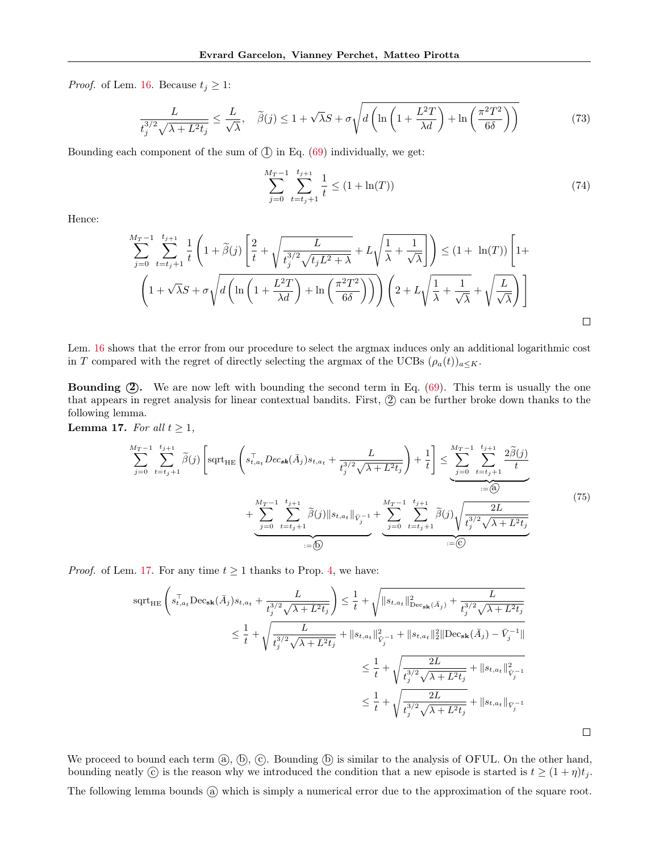*Proof.* of Lem. [16.](#page-25-2) Because  $t_j \geq 1$ :

$$
\frac{L}{t_j^{3/2}\sqrt{\lambda + L^2 t_j}} \le \frac{L}{\sqrt{\lambda}}, \quad \tilde{\beta}(j) \le 1 + \sqrt{\lambda}S + \sigma\sqrt{d\left(\ln\left(1 + \frac{L^2T}{\lambda d}\right) + \ln\left(\frac{\pi^2 T^2}{6\delta}\right)\right)}
$$
(73)

Bounding each component of the sum of  $(1)$  in Eq.  $(69)$  individually, we get:

$$
\sum_{j=0}^{M_T-1} \sum_{t=t_j+1}^{t_{j+1}} \frac{1}{t} \le (1 + \ln(T)) \tag{74}
$$

Hence:

$$
\sum_{j=0}^{M_T-1} \sum_{t=t_j+1}^{t_{j+1}} \frac{1}{t} \left( 1 + \tilde{\beta}(j) \left[ \frac{2}{t} + \sqrt{\frac{L}{t_j^{3/2} \sqrt{t_j L^2 + \lambda}}} + L \sqrt{\frac{1}{\lambda} + \frac{1}{\sqrt{\lambda}}} \right] \right) \leq (1 + \ln(T)) \left[ 1 + \sqrt{\frac{L}{\lambda}} + \sqrt{\frac{L}{\lambda}} + \sqrt{\frac{L}{\lambda}} \right] \leq (1 + \ln(T)) \left[ 1 + \sqrt{\frac{L}{\lambda}} + \sqrt{\frac{L}{\lambda}} + \sqrt{\frac{L}{\lambda}} \right]
$$

Lem. [16](#page-25-2) shows that the error from our procedure to select the argmax induces only an additional logarithmic cost in T compared with the regret of directly selecting the argmax of the UCBs  $(\rho_a(t))_{a \leq K}$ .

**Bounding**  $(2)$ **.** We are now left with bounding the second term in Eq.  $(69)$ . This term is usually the one that appears in regret analysis for linear contextual bandits. First,  $(2)$  can be further broke down thanks to the following lemma.

<span id="page-26-0"></span>Lemma 17. For all  $t \geq 1$ ,

$$
\sum_{j=0}^{M_T-1} \sum_{t=t_j+1}^{t_{j+1}} \tilde{\beta}(j) \left[ \text{sqrt}_{HE} \left( s_{t,a_t}^\top Dec_{sk}(\bar{A}_j) s_{t,a_t} + \frac{L}{t_j^{3/2} \sqrt{\lambda + L^2 t_j}} \right) + \frac{1}{t} \right] \leq \underbrace{\sum_{j=0}^{M_T-1} \sum_{t=t_j+1}^{t_{j+1}} \frac{2\tilde{\beta}(j)}{t}}_{:=\textcircled{4}} + \underbrace{\sum_{j=0}^{M_T-1} \sum_{t=t_j+1}^{t_{j+1}} \tilde{\beta}(j) \| s_{t,a_t} \|_{\bar{V}_j^{-1}}}_{:=\textcircled{5}} + \underbrace{\sum_{j=0}^{M_T-1} \sum_{t=t_j+1}^{t_{j+1}} \tilde{\beta}(j) \sqrt{\sum_{t=t_j+1}^{2L} \frac{2L}{t_j^{3/2} \sqrt{\lambda + L^2 t_j}}}}_{:=\textcircled{5}} \tag{75}
$$

*Proof.* of Lem. [17.](#page-26-0) For any time  $t \geq 1$  thanks to Prop. [4,](#page-4-4) we have:

$$
\begin{aligned} \text{sqrt}_{\text{HE}} \left( s_{t,a_t}^\top \text{Dec}_{\textbf{sk}}(\bar{A}_j) s_{t,a_t} + \frac{L}{t_j^{3/2} \sqrt{\lambda + L^2 t_j}} \right) & \leq \frac{1}{t} + \sqrt{\| s_{t,a_t} \|_{\text{Dec}_{\textbf{sk}}(\bar{A}_j)}^2 + \frac{L}{t_j^{3/2} \sqrt{\lambda + L^2 t_j}}} \\ & \leq \frac{1}{t} + \sqrt{\frac{L}{t_j^{3/2} \sqrt{\lambda + L^2 t_j}}} + \| s_{t,a_t} \|_{\bar{V}_j^{-1}}^2 + \| s_{t,a_t} \|_2^2 \| \text{Dec}_{\textbf{sk}}(\bar{A}_j) - \bar{V}_j^{-1} \|} \\ & \leq \frac{1}{t} + \sqrt{\frac{2L}{t_j^{3/2} \sqrt{\lambda + L^2 t_j}}} + \| s_{t,a_t} \|_{\bar{V}_j^{-1}}^2 \\ & \leq \frac{1}{t} + \sqrt{\frac{2L}{t_j^{3/2} \sqrt{\lambda + L^2 t_j}}} + \| s_{t,a_t} \|_{\bar{V}_j^{-1}} \\ \end{aligned}
$$

 $\Box$ 

We proceed to bound each term  $(\mathbf{a}), (\mathbf{b}), (\mathbf{c})$ . Bounding  $(\mathbf{b})$  is similar to the analysis of OFUL. On the other hand, bounding neatly  $\odot$  is the reason why we introduced the condition that a new episode is started is  $t \geq (1 + \eta)t_j$ . The following lemma bounds (a) which is simply a numerical error due to the approximation of the square root.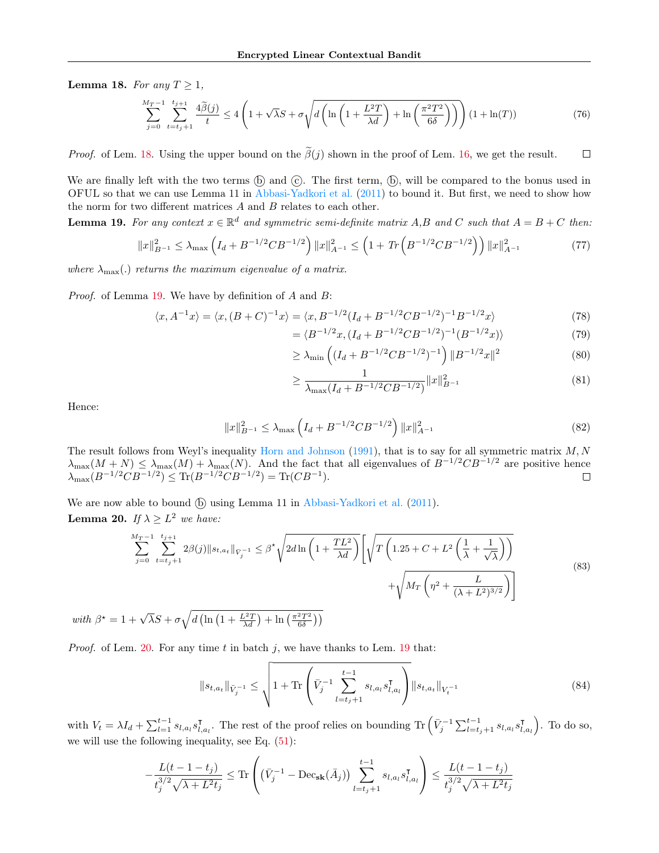<span id="page-27-0"></span>Lemma 18. For any  $T \geq 1$ ,

$$
\sum_{j=0}^{M_T-1} \sum_{t=t_j+1}^{t_{j+1}} \frac{4\tilde{\beta}(j)}{t} \le 4\left(1+\sqrt{\lambda}S + \sigma\sqrt{d\left(\ln\left(1+\frac{L^2T}{\lambda d}\right) + \ln\left(\frac{\pi^2T^2}{6\delta}\right)\right)}\right) (1+\ln(T))\tag{76}
$$

*Proof.* of Lem. [18.](#page-27-0) Using the upper bound on the  $\tilde{\beta}(j)$  shown in the proof of Lem. [16,](#page-25-2) we get the result.  $\Box$ 

We are finally left with the two terms  $(\overline{b})$  and  $(\overline{c})$ . The first term,  $(\overline{b})$ , will be compared to the bonus used in OFUL so that we can use Lemma 11 in [Abbasi-Yadkori et al.](#page-8-2) [\(2011\)](#page-8-2) to bound it. But first, we need to show how the norm for two different matrices  $A$  and  $B$  relates to each other.

<span id="page-27-1"></span>**Lemma 19.** For any context  $x \in \mathbb{R}^d$  and symmetric semi-definite matrix A,B and C such that  $A = B + C$  then:

$$
||x||_{B^{-1}}^2 \le \lambda_{\max} \left( I_d + B^{-1/2} C B^{-1/2} \right) ||x||_{A^{-1}}^2 \le \left( 1 + \text{Tr} \left( B^{-1/2} C B^{-1/2} \right) \right) ||x||_{A^{-1}}^2 \tag{77}
$$

where  $\lambda_{\text{max}}(.)$  returns the maximum eigenvalue of a matrix.

Proof. of Lemma [19.](#page-27-1) We have by definition of A and B:

$$
\langle x, A^{-1}x \rangle = \langle x, (B+C)^{-1}x \rangle = \langle x, B^{-1/2}(I_d + B^{-1/2}CB^{-1/2})^{-1}B^{-1/2}x \rangle \tag{78}
$$

$$
= \langle B^{-1/2}x, (I_d + B^{-1/2}CB^{-1/2})^{-1}(B^{-1/2}x) \rangle \tag{79}
$$

$$
\geq \lambda_{\min} \left( (I_d + B^{-1/2} C B^{-1/2})^{-1} \right) \| B^{-1/2} x \|^2 \tag{80}
$$

$$
\geq \frac{1}{\lambda_{\max}(I_d + B^{-1/2}CB^{-1/2})} \|x\|_{B^{-1}}^2
$$
\n(81)

Hence:

$$
||x||_{B^{-1}}^2 \le \lambda_{\max} \left( I_d + B^{-1/2} C B^{-1/2} \right) ||x||_{A^{-1}}^2 \tag{82}
$$

The result follows from Weyl's inequality [Horn and Johnson](#page-9-24)  $(1991)$ , that is to say for all symmetric matrix  $M, N$  $\lambda_{\max}(M+N) \leq \lambda_{\max}(M) + \lambda_{\max}(N)$ . And the fact that all eigenvalues of  $B^{-1/2}CB^{-1/2}$  are positive hence  $\lambda_{\max}(B^{-1/2}CB^{-1/2}) \leq \text{Tr}(B^{-1/2}CB^{-1/2}) = \text{Tr}(CB^{-1}).$  $\Box$ 

<span id="page-27-2"></span>We are now able to bound  $(\overline{b})$  using Lemma 11 in [Abbasi-Yadkori et al.](#page-8-2)  $(2011)$ . **Lemma 20.** If  $\lambda \geq L^2$  we have:

$$
\sum_{j=0}^{M_T-1} \sum_{t=t_j+1}^{t_{j+1}} 2\beta(j) \|s_{t,a_t}\|_{\bar{V}_j^{-1}} \leq \beta^* \sqrt{2d \ln\left(1 + \frac{TL^2}{\lambda d}\right)} \left[\sqrt{T\left(1.25 + C + L^2\left(\frac{1}{\lambda} + \frac{1}{\sqrt{\lambda}}\right)\right)} + \sqrt{M_T\left(\eta^2 + \frac{L}{(\lambda + L^2)^{3/2}}\right)}\right]
$$
\n
$$
(83)
$$

with  $\beta^* = 1 + \sqrt{\lambda}S + \sigma \sqrt{d \left( \ln \left( 1 + \frac{L^2 T}{\lambda d} \right) + \ln \left( \frac{\pi^2 T^2}{6 \delta} \right) \right)}$ 

*Proof.* of Lem. [20.](#page-27-2) For any time t in batch j, we have thanks to Lem. [19](#page-27-1) that:

$$
||s_{t,a_t}||_{\bar{V}_j^{-1}} \leq \sqrt{1 + \text{Tr}\left(\bar{V}_j^{-1} \sum_{l=t_j+1}^{t-1} s_{l,a_l} s_{l,a_l}^{\mathsf{T}}\right)} ||s_{t,a_t}||_{V_t^{-1}}
$$
(84)

with  $V_t = \lambda I_d + \sum_{l=1}^{t-1} s_{l,a_l} s_{l,a_l}^{\mathsf{T}}$  $I_{l,a_l}$ . The rest of the proof relies on bounding Tr  $(\bar{V}_j^{-1} \sum_{l=t_j+1}^{t-1} s_{l,a_l} s_{l,a_l}^{\intercal})$  $\left(\begin{smallmatrix} \textsf{T}\ l,a_l \end{smallmatrix}\right)$ . To do so, we will use the following inequality, see Eq. [\(51\)](#page-22-1):

$$
-\frac{L(t-1-t_j)}{t_j^{3/2}\sqrt{\lambda+L^2t_j}} \le \text{Tr}\left((\bar{V}_j^{-1} - \text{Dec}_{\textbf{sk}}(\bar{A}_j)) \sum_{l=t_j+1}^{t-1} s_{l,a_l} s_{l,a_l}^{\intercal} \right) \le \frac{L(t-1-t_j)}{t_j^{3/2}\sqrt{\lambda+L^2t_j}}
$$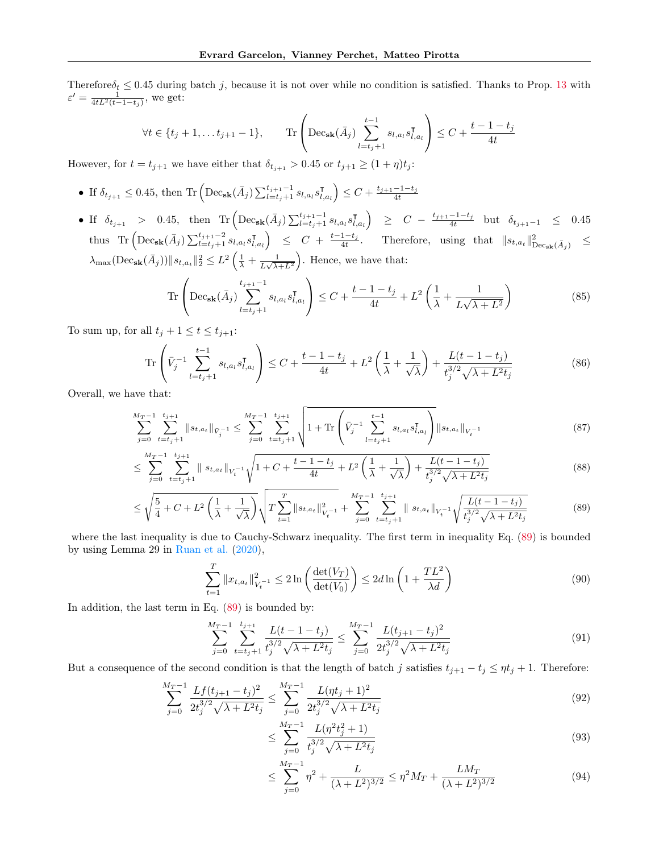Therefore  $\delta_t \leq 0.45$  during batch j, because it is not over while no condition is satisfied. Thanks to Prop. [13](#page-20-3) with  $\varepsilon' = \frac{1}{4tL^2(t-1-t_j)}$ , we get:

$$
\forall t \in \{t_j + 1, \dots t_{j+1} - 1\}, \qquad \text{Tr}\left(\text{Dec}_{\textbf{sk}}(\bar{A}_j) \sum_{l=t_j + 1}^{t-1} s_{l, a_l} s_{l, a_l}^{\intercal} \right) \le C + \frac{t - 1 - t_j}{4t}
$$

However, for  $t = t_{j+1}$  we have either that  $\delta_{t_{j+1}} > 0.45$  or  $t_{j+1} \geq (1 + \eta)t_j$ :

- If  $\delta_{t_{j+1}} \leq 0.45$ , then Tr  $\left( \text{Dec}_{\textbf{sk}}(\bar{A}_{j}) \sum_{l=t_{j}+1}^{t_{j+1}-1} s_{l,a_{l}} s_{l,a_{l}}^{\intercal} \right)$  $\left(\begin{smallmatrix} \textsf{T}\ I_{l,a_l} \end{smallmatrix}\right) \leq C + \frac{t_{j+1}-1-t_j}{4t}$
- If  $\delta_{t_{j+1}} > 0.45$ , then  $\text{Tr} \left( \text{Dec}_{\textbf{sk}}(\bar{A}_{j}) \sum_{l=t_{j}+1}^{t_{j+1}-1} s_{l,a_{l}} s_{l,a_{l}}^{\intercal} \right)$  $\begin{array}{rcl} \left( \begin{array}{cccc} \overline{I} & 0 \end{array} \right) & \geq & C \; - \; \frac{t_{j+1}-1-t_j}{4t} \quad \text{but} \quad \delta_{t_{j+1}-1} \quad \leq \quad 0.45 \end{array}$ thus Tr  $\left( \text{Dec}_{\textbf{sk}}(\bar{A}_{j}) \sum_{l=t_{j}+1}^{t_{j+1}-2} s_{l,a_{l}} s_{l,\text{eq}}^{\intercal} \right)$  $\begin{array}{rcl} \left\{ \bar{f}_{l,a_{t}} \right\} & \leq & C \; + \; \frac{t-1-t_{j}}{4t}. \hspace{1em} \text{Therefore,} \hspace{0.2em} \text{using } \text{ that } \hspace{0.2em} \left\| \bar{s}_{t,a_{t}} \right\|_{\text{Dec}_{\textbf{sk}}(\bar{A}_{j})}^{2} \hspace{0.2em} \leq \hspace{0.2em} \end{array}$  $\lambda_{\max}(\text{Dec}_{\textbf{sk}}(\bar{A}_{j}))||s_{t,a_{t}}||_{2}^{2} \leq L^{2}\left(\frac{1}{\lambda}+\frac{1}{L\sqrt{\lambda^{2}}} \right)$  $\frac{1}{L\sqrt{\lambda+L^2}}$ . Hence, we have that:

Tr
$$
\left(\text{Dec}_{\textbf{sk}}(\bar{A}_{j})\sum_{l=t_{j}+1}^{t_{j+1}-1} s_{l,a_{l}} s_{l,a_{l}}^{\intercal} \right) \leq C + \frac{t-1-t_{j}}{4t} + L^{2}\left(\frac{1}{\lambda} + \frac{1}{L\sqrt{\lambda + L^{2}}}\right)
$$
 (85)

To sum up, for all  $t_j + 1 \le t \le t_{j+1}$ :

$$
\text{Tr}\left(\bar{V}_j^{-1} \sum_{l=t_j+1}^{t-1} s_{l,a_l} s_{l,a_l}^{\mathsf{T}}\right) \le C + \frac{t-1-t_j}{4t} + L^2 \left(\frac{1}{\lambda} + \frac{1}{\sqrt{\lambda}}\right) + \frac{L(t-1-t_j)}{t_j^{3/2} \sqrt{\lambda + L^2 t_j}}\tag{86}
$$

Overall, we have that:

$$
\sum_{j=0}^{M_T-1} \sum_{t=t_j+1}^{t_{j+1}} \|s_{t,a_t}\|_{\bar{V}_j^{-1}} \le \sum_{j=0}^{M_T-1} \sum_{t=t_j+1}^{t_{j+1}} \sqrt{1+\text{Tr}\left(\bar{V}_j^{-1}\sum_{l=t_j+1}^{t-1} s_{l,a_l} s_{l,a_l}^{\mathsf{T}}\right)} \|s_{t,a_t}\|_{V_t^{-1}}
$$
(87)

$$
\leq \sum_{j=0}^{M_T-1} \sum_{t=t_j+1}^{t_{j+1}} \|s_{t,a_t}\|_{V_t^{-1}} \sqrt{1+C+\frac{t-1-t_j}{4t}+L^2\left(\frac{1}{\lambda}+\frac{1}{\sqrt{\lambda}}\right)+\frac{L(t-1-t_j)}{t_j^{3/2}\sqrt{\lambda+L^2t_j}}}
$$
(88)

$$
\leq \sqrt{\frac{5}{4} + C + L^2 \left(\frac{1}{\lambda} + \frac{1}{\sqrt{\lambda}}\right)} \sqrt{T \sum_{t=1}^T \|s_{t,a_t}\|_{V_t^{-1}}^2 + \sum_{j=0}^{M_T - 1} \sum_{t=t_j+1}^{t_{j+1}} \|s_{t,a_t}\|_{V_t^{-1}} \sqrt{\frac{L(t-1-t_j)}{t_j^{3/2} \sqrt{\lambda + L^2 t_j}}} \tag{89}
$$

where the last inequality is due to Cauchy-Schwarz inequality. The first term in inequality Eq. [\(89\)](#page-28-0) is bounded by using Lemma 29 in [Ruan et al.](#page-9-25) [\(2020\)](#page-9-25),

<span id="page-28-0"></span>
$$
\sum_{t=1}^{T} \|x_{t,a_t}\|_{V_t^{-1}}^2 \le 2 \ln \left( \frac{\det(V_T)}{\det(V_0)} \right) \le 2d \ln \left( 1 + \frac{TL^2}{\lambda d} \right)
$$
\n(90)

In addition, the last term in Eq. [\(89\)](#page-28-0) is bounded by:

$$
\sum_{j=0}^{M_T-1} \sum_{t=t_j+1}^{t_{j+1}} \frac{L(t-1-t_j)}{t_j^{3/2}\sqrt{\lambda+L^2t_j}} \le \sum_{j=0}^{M_T-1} \frac{L(t_{j+1}-t_j)^2}{2t_j^{3/2}\sqrt{\lambda+L^2t_j}}
$$
(91)

But a consequence of the second condition is that the length of batch j satisfies  $t_{j+1} - t_j \leq \eta t_j + 1$ . Therefore:

$$
\sum_{j=0}^{M_T-1} \frac{Lf(t_{j+1}-t_j)^2}{2t_j^{3/2}\sqrt{\lambda+L^2t_j}} \le \sum_{j=0}^{M_T-1} \frac{L(\eta t_j+1)^2}{2t_j^{3/2}\sqrt{\lambda+L^2t_j}}
$$
(92)

$$
\leq \sum_{j=0}^{M_T - 1} \frac{L(\eta^2 t_j^2 + 1)}{t_j^{3/2} \sqrt{\lambda + L^2 t_j}}\tag{93}
$$

$$
\leq \sum_{j=0}^{M_T - 1} \eta^2 + \frac{L}{(\lambda + L^2)^{3/2}} \leq \eta^2 M_T + \frac{LM_T}{(\lambda + L^2)^{3/2}} \tag{94}
$$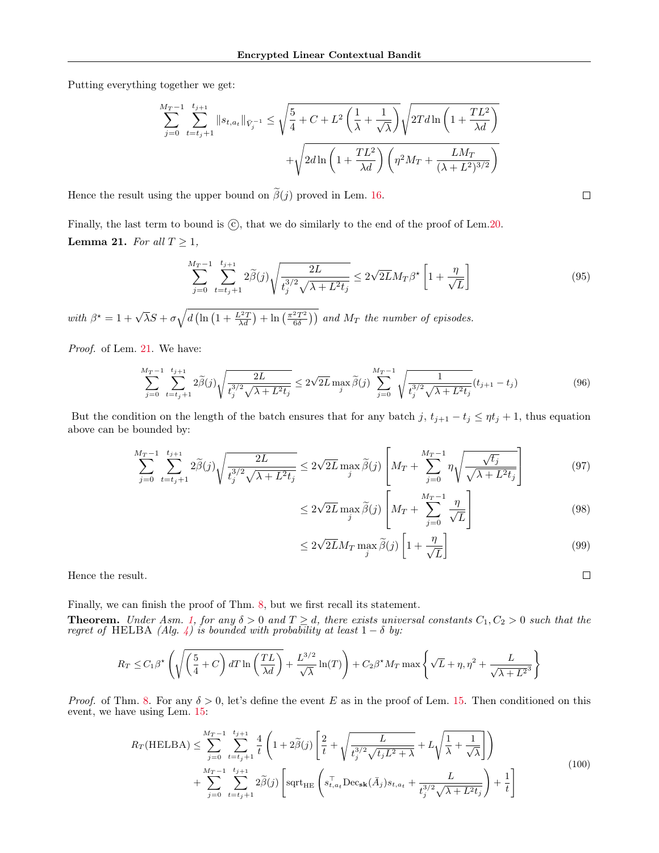Putting everything together we get:

$$
\sum_{j=0}^{M_T-1} \sum_{t=t_j+1}^{t_{j+1}} ||s_{t,a_t}||_{\tilde{V}_j^{-1}} \le \sqrt{\frac{5}{4} + C + L^2 \left(\frac{1}{\lambda} + \frac{1}{\sqrt{\lambda}}\right)} \sqrt{2T d \ln\left(1 + \frac{TL^2}{\lambda d}\right)} + \sqrt{2d \ln\left(1 + \frac{TL^2}{\lambda d}\right) \left(\eta^2 M_T + \frac{LM_T}{(\lambda + L^2)^{3/2}}\right)}
$$

Hence the result using the upper bound on  $\tilde{\beta}(j)$  proved in Lem. [16.](#page-25-2)

<span id="page-29-0"></span>Finally, the last term to bound is  $\odot$ , that we do similarly to the end of the proof of Lem[.20.](#page-27-2) **Lemma 21.** For all  $T \geq 1$ ,

$$
\sum_{j=0}^{M_T-1} \sum_{t=t_j+1}^{t_{j+1}} 2\tilde{\beta}(j) \sqrt{\frac{2L}{t_j^{3/2}\sqrt{\lambda + L^2 t_j}}} \le 2\sqrt{2L} M_T \beta^{\star} \left[1 + \frac{\eta}{\sqrt{L}}\right]
$$
(95)

with  $\beta^* = 1 + \sqrt{\lambda}S + \sigma \sqrt{d \left( \ln \left( 1 + \frac{L^2 T}{\lambda d} \right) + \ln \left( \frac{\pi^2 T^2}{6 \delta} \right) \right)}$  and  $M_T$  the number of episodes.

Proof. of Lem. [21.](#page-29-0) We have:

$$
\sum_{j=0}^{M_T-1} \sum_{t=t_j+1}^{t_{j+1}} 2\tilde{\beta}(j) \sqrt{\frac{2L}{t_j^{3/2}\sqrt{\lambda + L^2 t_j}}} \le 2\sqrt{2L} \max_j \tilde{\beta}(j) \sum_{j=0}^{M_T-1} \sqrt{\frac{1}{t_j^{3/2}\sqrt{\lambda + L^2 t_j}}} (t_{j+1} - t_j)
$$
(96)

But the condition on the length of the batch ensures that for any batch j,  $t_{j+1} - t_j \leq \eta t_j + 1$ , thus equation above can be bounded by:

$$
\sum_{j=0}^{M_T-1} \sum_{t=t_j+1}^{t_{j+1}} 2\tilde{\beta}(j) \sqrt{\frac{2L}{t_j^{3/2}\sqrt{\lambda + L^2 t_j}}} \le 2\sqrt{2L} \max_j \tilde{\beta}(j) \left[ M_T + \sum_{j=0}^{M_T-1} \eta \sqrt{\frac{\sqrt{t_j}}{\sqrt{\lambda + L^2 t_j}}} \right] \tag{97}
$$

$$
\leq 2\sqrt{2L} \max_{j} \widetilde{\beta}(j) \left[ M_T + \sum_{j=0}^{M_T - 1} \frac{\eta}{\sqrt{L}} \right] \tag{98}
$$

$$
\leq 2\sqrt{2L}M_T \max_{j} \widetilde{\beta}(j) \left[1 + \frac{\eta}{\sqrt{L}}\right] \tag{99}
$$

Hence the result.

Finally, we can finish the proof of Thm. [8,](#page-6-3) but we first recall its statement.

**Theorem.** Under Asm. [1,](#page-3-5) for any  $\delta > 0$  and  $T \geq d$ , there exists universal constants  $C_1, C_2 > 0$  such that the regret of HELBA (Alg. [4\)](#page-11-2) is bounded with probability at least  $1 - \delta$  by:

$$
R_T \leq C_1 \beta^{\star} \left( \sqrt{\left(\frac{5}{4} + C\right) dT \ln\left(\frac{TL}{\lambda d}\right)} + \frac{L^{3/2}}{\sqrt{\lambda}} \ln(T) \right) + C_2 \beta^{\star} M_T \max\left\{ \sqrt{L} + \eta, \eta^2 + \frac{L}{\sqrt{\lambda + L^2}^3} \right\}
$$

*Proof.* of Thm. [8.](#page-6-3) For any  $\delta > 0$ , let's define the event E as in the proof of Lem. [15.](#page-25-0) Then conditioned on this event, we have using Lem. [15:](#page-25-0)

$$
R_T(\text{HELBA}) \leq \sum_{j=0}^{M_T-1} \sum_{t=t_j+1}^{t_{j+1}} \frac{4}{t} \left( 1 + 2\tilde{\beta}(j) \left[ \frac{2}{t} + \sqrt{\frac{L}{t_j^{3/2} \sqrt{t_j L^2 + \lambda}}} + L\sqrt{\frac{1}{\lambda} + \frac{1}{\sqrt{\lambda}}} \right] \right) + \sum_{j=0}^{M_T-1} \sum_{t=t_j+1}^{t_{j+1}} 2\tilde{\beta}(j) \left[ \text{sqrt}_{\text{HE}} \left( s_{t,a_t}^\top \text{Dec}_{\textbf{sk}}(\bar{A}_j) s_{t,a_t} + \frac{L}{t_j^{3/2} \sqrt{\lambda + L^2 t_j}} \right) + \frac{1}{t} \right]
$$
(100)

 $\Box$ 

 $\Box$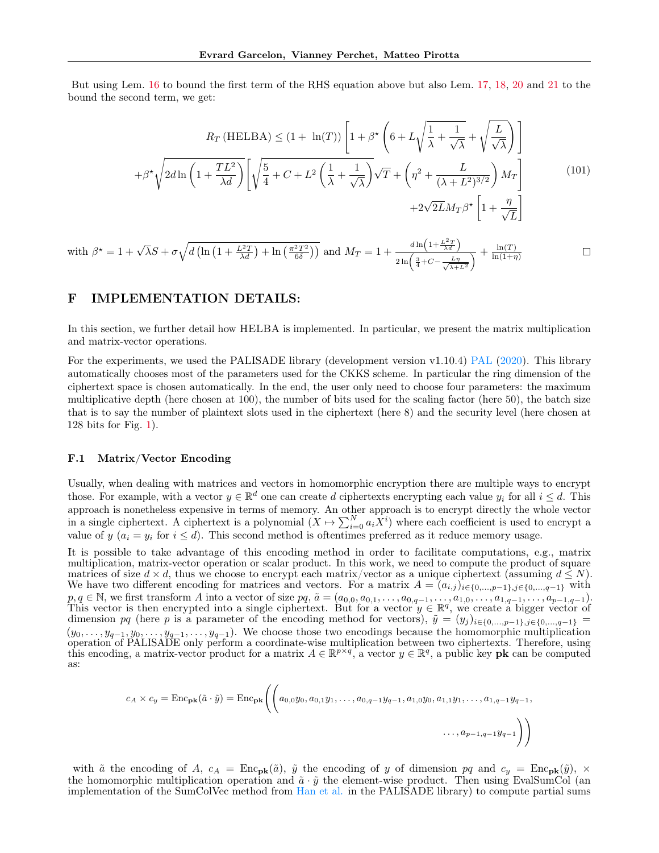But using Lem. [16](#page-25-2) to bound the first term of the RHS equation above but also Lem. [17,](#page-26-0) [18,](#page-27-0) [20](#page-27-2) and [21](#page-29-0) to the bound the second term, we get:

$$
R_T \text{(HELBA)} \le (1 + \ln(T)) \left[ 1 + \beta^* \left( 6 + L \sqrt{\frac{1}{\lambda} + \frac{1}{\sqrt{\lambda}}} + \sqrt{\frac{L}{\sqrt{\lambda}}} \right) \right]
$$

$$
+ \beta^* \sqrt{2d \ln\left( 1 + \frac{TL^2}{\lambda d} \right)} \left[ \sqrt{\frac{5}{4}} + C + L^2 \left( \frac{1}{\lambda} + \frac{1}{\sqrt{\lambda}} \right) \sqrt{T} + \left( \eta^2 + \frac{L}{(\lambda + L^2)^{3/2}} \right) M_T \right]
$$

$$
+ 2\sqrt{2L} M_T \beta^* \left[ 1 + \frac{\eta}{\sqrt{L}} \right]
$$
(101)

with 
$$
\beta^* = 1 + \sqrt{\lambda}S + \sigma \sqrt{d \left( \ln \left( 1 + \frac{L^2 T}{\lambda d} \right) + \ln \left( \frac{\pi^2 T^2}{6\delta} \right) \right)}
$$
 and  $M_T = 1 + \frac{d \ln \left( 1 + \frac{L^2 T}{\lambda d} \right)}{2 \ln \left( \frac{3}{4} + C - \frac{L\eta}{\sqrt{\lambda + L^2}} \right)} + \frac{\ln(T)}{\ln(1 + \eta)}$ 

# F IMPLEMENTATION DETAILS:

In this section, we further detail how HELBA is implemented. In particular, we present the matrix multiplication and matrix-vector operations.

For the experiments, we used the [PAL](#page-8-13)ISADE library (development version v1.10.4) PAL [\(2020\)](#page-8-13). This library automatically chooses most of the parameters used for the CKKS scheme. In particular the ring dimension of the ciphertext space is chosen automatically. In the end, the user only need to choose four parameters: the maximum multiplicative depth (here chosen at 100), the number of bits used for the scaling factor (here 50), the batch size that is to say the number of plaintext slots used in the ciphertext (here 8) and the security level (here chosen at 128 bits for Fig. [1\)](#page-6-2).

#### <span id="page-30-0"></span>F.1 Matrix/Vector Encoding

Usually, when dealing with matrices and vectors in homomorphic encryption there are multiple ways to encrypt those. For example, with a vector  $y \in \mathbb{R}^d$  one can create d ciphertexts encrypting each value  $y_i$  for all  $i \leq d$ . This approach is nonetheless expensive in terms of memory. An other approach is to encrypt directly the whole vector in a single ciphertext. A ciphertext is a polynomial  $(X \mapsto \sum_{i=0}^{N} a_i X^i)$  where each coefficient is used to encrypt a value of y  $(a_i = y_i \text{ for } i \leq d)$ . This second method is oftentimes preferred as it reduce memory usage.

It is possible to take advantage of this encoding method in order to facilitate computations, e.g., matrix multiplication, matrix-vector operation or scalar product. In this work, we need to compute the product of square matrices of size  $d \times d$ , thus we choose to encrypt each matrix/vector as a unique ciphertext (assuming  $d \leq N$ ). We have two different encoding for matrices and vectors. For a matrix  $A = (a_{i,j})_{i \in \{0,\dots,p-1\},j \in \{0,\dots,q-1\}}$  with  $p, q \in \mathbb{N}$ , we first transform A into a vector of size  $pq, \tilde{a} = (a_{0,0}, a_{0,1}, \ldots, a_{0,q-1}, \ldots, a_{1,0}, \ldots, a_{1,q-1}, \ldots, a_{p-1,q-1}).$ This vector is then encrypted into a single ciphertext. But for a vector  $y \in \mathbb{R}^q$ , we create a bigger vector of dimension pq (here p is a parameter of the encoding method for vectors),  $\tilde{y} = (y_j)_{i \in \{0,\dots,p-1\},j \in \{0,\dots,q-1\}}$  $(y_0, \ldots, y_{q-1}, y_0, \ldots, y_{q-1}, \ldots, y_{q-1})$ . We choose those two encodings because the homomorphic multiplication operation of PALISADE only perform a coordinate-wise multiplication between two ciphertexts. Therefore, using this encoding, a matrix-vector product for a matrix  $A \in \mathbb{R}^{p \times q}$ , a vector  $y \in \mathbb{R}^q$ , a public key **pk** as:

$$
c_A \times c_y = \text{Enc}_{\textbf{pk}}(\tilde{a} \cdot \tilde{y}) = \text{Enc}_{\textbf{pk}}\Bigg(\Bigg(a_{0,0}y_0, a_{0,1}y_1, \dots, a_{0,q-1}y_{q-1}, a_{1,0}y_0, a_{1,1}y_1, \dots, a_{1,q-1}y_{q-1}, a_{1,q-1}y_{q-1}, \dots, a_{p-1,q-1}y_{q-1}\Bigg)
$$

with  $\tilde{a}$  the encoding of A,  $c_A = \text{Enc}_{\textbf{pk}}(\tilde{a})$ ,  $\tilde{y}$  the encoding of y of dimension pq and  $c_y = \text{Enc}_{\textbf{pk}}(\tilde{y})$ ,  $\times$ the homomorphic multiplication operation and  $\tilde{a} \cdot \tilde{y}$  the element-wise product. Then using EvalSumCol (an implementation of the SumColVec method from [Han et al.](#page-9-26) in the PALISADE library) to compute partial sums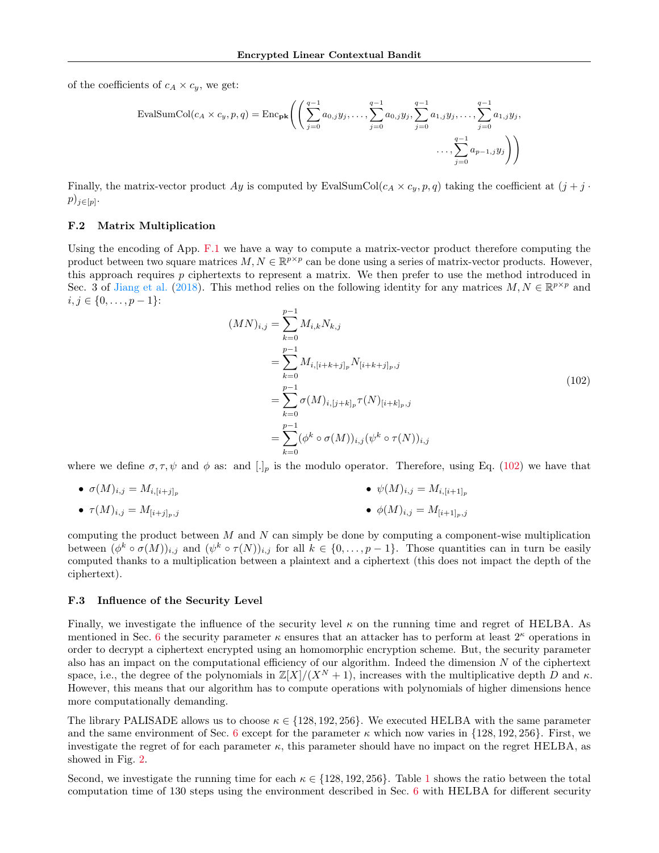of the coefficients of  $c_A \times c_y$ , we get:

$$
\text{EvalSumCol}(c_A \times c_y, p, q) = \text{Enc}_{\textbf{pk}} \Bigg( \Bigg( \sum_{j=0}^{q-1} a_{0,j} y_j, \dots, \sum_{j=0}^{q-1} a_{0,j} y_j, \sum_{j=0}^{q-1} a_{1,j} y_j, \dots, \sum_{j=0}^{q-1} a_{1,j} y_j, \dots, \sum_{j=0}^{q-1} a_{1,j} y_j, \dots, \sum_{j=0}^{q-1} a_{1,j} y_j, \dots, \sum_{j=0}^{q-1} a_{1,j} y_j, \dots, \sum_{j=0}^{q-1} a_{1,j} y_j, \dots, \sum_{j=0}^{q-1} a_{1,j} y_j, \dots, \sum_{j=0}^{q-1} a_{1,j} y_j, \dots, \sum_{j=0}^{q-1} a_{1,j} y_j, \dots, \sum_{j=0}^{q-1} a_{1,j} y_j, \dots, \sum_{j=0}^{q-1} a_{1,j} y_j, \dots, \sum_{j=0}^{q-1} a_{1,j} y_j, \dots, \sum_{j=0}^{q-1} a_{1,j} y_j, \dots, \sum_{j=0}^{q-1} a_{1,j} y_j, \dots, \sum_{j=0}^{q-1} a_{1,j} y_j, \dots, \sum_{j=0}^{q-1} a_{1,j} y_j, \dots, \sum_{j=0}^{q-1} a_{1,j} y_j, \dots, \sum_{j=0}^{q-1} a_{1,j} y_j, \dots, \sum_{j=0}^{q-1} a_{1,j} y_j, \dots, \sum_{j=0}^{q-1} a_{1,j} y_j, \dots, \sum_{j=0}^{q-1} a_{1,j} y_j, \dots, \sum_{j=0}^{q-1} a_{1,j} y_j, \dots, \sum_{j=0}^{q-1} a_{1,j} y_j, \dots, \sum_{j=0}^{q-1} a_{1,j} y_j, \dots, \sum_{j=0}^{q-1} a_{1,j} y_j, \dots, \sum_{j=0}^{q-1} a_{1,j} y_j, \dots, \dots, \sum_{j=0}^{q-1} a_{1,j} y_j, \dots, \dots, \sum_{j=0}^{q-1} a_{1,j} y_j, \dots, \dots, \sum_{j=0}^{q-1} a_{1,j} y_j, \dots, \dots,
$$

Finally, the matrix-vector product Ay is computed by EvalSumCol( $c_A \times c_y$ , p, q) taking the coefficient at  $(j + j \cdot$  $p)_{j\in[p]}$ .

## F.2 Matrix Multiplication

Using the encoding of App. [F.1](#page-30-0) we have a way to compute a matrix-vector product therefore computing the product between two square matrices  $M, N \in \mathbb{R}^{p \times p}$  can be done using a series of matrix-vector products. However, this approach requires  $p$  ciphertexts to represent a matrix. We then prefer to use the method introduced in Sec. 3 of [Jiang et al.](#page-9-27) [\(2018\)](#page-9-27). This method relies on the following identity for any matrices  $M, N \in \mathbb{R}^{p \times p}$  and  $i, j \in \{0, \ldots, p-1\}$ :

<span id="page-31-0"></span>
$$
(MN)_{i,j} = \sum_{k=0}^{p-1} M_{i,k} N_{k,j}
$$
  
= 
$$
\sum_{k=0}^{p-1} M_{i,[i+k+j]_p} N_{[i+k+j]_p,j}
$$
  
= 
$$
\sum_{k=0}^{p-1} \sigma(M)_{i,[j+k]_p} \tau(N)_{[i+k]_p,j}
$$
  
= 
$$
\sum_{k=0}^{p-1} (\phi^k \circ \sigma(M))_{i,j} (\psi^k \circ \tau(N))_{i,j}
$$
 (102)

where we define  $\sigma, \tau, \psi$  and  $\phi$  as: and  $[.]_p$  is the modulo operator. Therefore, using Eq. [\(102\)](#page-31-0) we have that

- $\bullet \ \sigma(M)_{i,j} = M_{i,[i+j]_p}$ •  $\psi(M)_{i,j} = M_{i,[i+1]_p}$
- $\tau(M)_{i,j} = M_{[i+j]_n,j}$ •  $\phi(M)_{i,j} = M_{[i+1]_p,j}$

computing the product between  $M$  and  $N$  can simply be done by computing a component-wise multiplication between  $(\phi^k \circ \sigma(M))_{i,j}$  and  $(\psi^k \circ \tau(N))_{i,j}$  for all  $k \in \{0, \ldots, p-1\}$ . Those quantities can in turn be easily computed thanks to a multiplication between a plaintext and a ciphertext (this does not impact the depth of the ciphertext).

#### F.3 Influence of the Security Level

Finally, we investigate the influence of the security level  $\kappa$  on the running time and regret of HELBA. As mentioned in Sec. [6](#page-6-0) the security parameter  $\kappa$  ensures that an attacker has to perform at least  $2^{\kappa}$  operations in order to decrypt a ciphertext encrypted using an homomorphic encryption scheme. But, the security parameter also has an impact on the computational efficiency of our algorithm. Indeed the dimension  $N$  of the ciphertext space, i.e., the degree of the polynomials in  $\mathbb{Z}[X]/(X^N + 1)$ , increases with the multiplicative depth D and  $\kappa$ . However, this means that our algorithm has to compute operations with polynomials of higher dimensions hence more computationally demanding.

The library PALISADE allows us to choose  $\kappa \in \{128, 192, 256\}$ . We executed HELBA with the same parameter and the same environment of Sec. [6](#page-6-0) except for the parameter  $\kappa$  which now varies in {128, 192, 256}. First, we investigate the regret of for each parameter  $\kappa$ , this parameter should have no impact on the regret HELBA, as showed in Fig. [2.](#page-32-0)

Second, we investigate the running time for each  $\kappa \in \{128, 192, 256\}$  $\kappa \in \{128, 192, 256\}$  $\kappa \in \{128, 192, 256\}$ . Table 1 shows the ratio between the total computation time of 130 steps using the environment described in Sec. [6](#page-6-0) with HELBA for different security